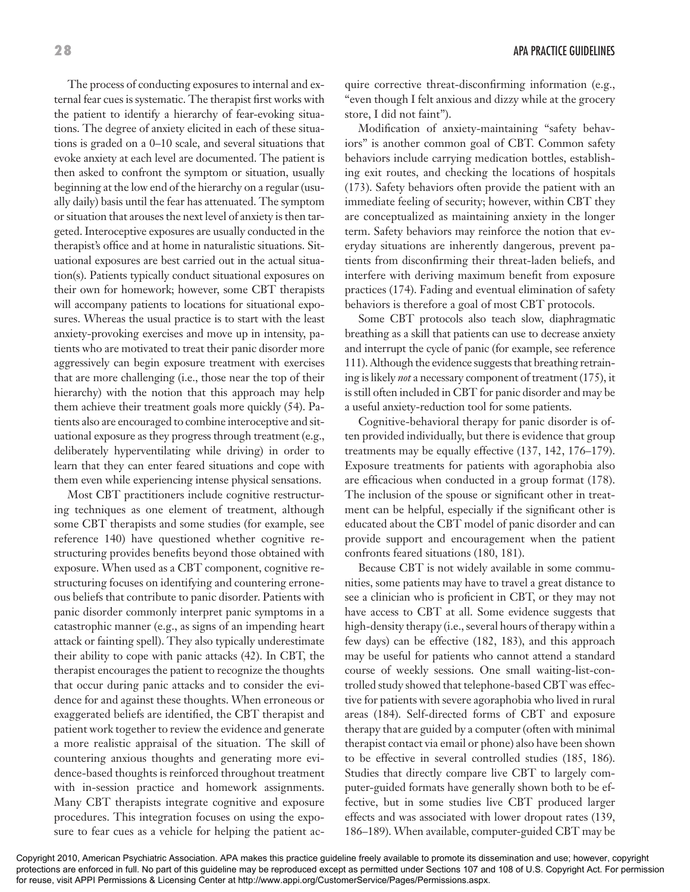The process of conducting exposures to internal and external fear cues is systematic. The therapist first works with the patient to identify a hierarchy of fear-evoking situations. The degree of anxiety elicited in each of these situations is graded on a 0–10 scale, and several situations that evoke anxiety at each level are documented. The patient is then asked to confront the symptom or situation, usually beginning at the low end of the hierarchy on a regular (usually daily) basis until the fear has attenuated. The symptom or situation that arouses the next level of anxiety is then targeted. Interoceptive exposures are usually conducted in the therapist's office and at home in naturalistic situations. Situational exposures are best carried out in the actual situation(s). Patients typically conduct situational exposures on their own for homework; however, some CBT therapists will accompany patients to locations for situational exposures. Whereas the usual practice is to start with the least anxiety-provoking exercises and move up in intensity, patients who are motivated to treat their panic disorder more aggressively can begin exposure treatment with exercises that are more challenging (i.e., those near the top of their hierarchy) with the notion that this approach may help them achieve their treatment goals more quickly (54). Patients also are encouraged to combine interoceptive and situational exposure as they progress through treatment (e.g., deliberately hyperventilating while driving) in order to learn that they can enter feared situations and cope with them even while experiencing intense physical sensations.

Most CBT practitioners include cognitive restructuring techniques as one element of treatment, although some CBT therapists and some studies (for example, see reference 140) have questioned whether cognitive restructuring provides benefits beyond those obtained with exposure. When used as a CBT component, cognitive restructuring focuses on identifying and countering erroneous beliefs that contribute to panic disorder. Patients with panic disorder commonly interpret panic symptoms in a catastrophic manner (e.g., as signs of an impending heart attack or fainting spell). They also typically underestimate their ability to cope with panic attacks (42). In CBT, the therapist encourages the patient to recognize the thoughts that occur during panic attacks and to consider the evidence for and against these thoughts. When erroneous or exaggerated beliefs are identified, the CBT therapist and patient work together to review the evidence and generate a more realistic appraisal of the situation. The skill of countering anxious thoughts and generating more evidence-based thoughts is reinforced throughout treatment with in-session practice and homework assignments. Many CBT therapists integrate cognitive and exposure procedures. This integration focuses on using the exposure to fear cues as a vehicle for helping the patient ac-

**28** APA PRACTICE GUIDELINES

quire corrective threat-disconfirming information (e.g., "even though I felt anxious and dizzy while at the grocery store, I did not faint").

Modification of anxiety-maintaining "safety behaviors" is another common goal of CBT. Common safety behaviors include carrying medication bottles, establishing exit routes, and checking the locations of hospitals (173). Safety behaviors often provide the patient with an immediate feeling of security; however, within CBT they are conceptualized as maintaining anxiety in the longer term. Safety behaviors may reinforce the notion that everyday situations are inherently dangerous, prevent patients from disconfirming their threat-laden beliefs, and interfere with deriving maximum benefit from exposure practices (174). Fading and eventual elimination of safety behaviors is therefore a goal of most CBT protocols.

Some CBT protocols also teach slow, diaphragmatic breathing as a skill that patients can use to decrease anxiety and interrupt the cycle of panic (for example, see reference 111). Although the evidence suggests that breathing retraining is likely *not* a necessary component of treatment (175), it is still often included in CBT for panic disorder and may be a useful anxiety-reduction tool for some patients.

Cognitive-behavioral therapy for panic disorder is often provided individually, but there is evidence that group treatments may be equally effective (137, 142, 176–179). Exposure treatments for patients with agoraphobia also are efficacious when conducted in a group format (178). The inclusion of the spouse or significant other in treatment can be helpful, especially if the significant other is educated about the CBT model of panic disorder and can provide support and encouragement when the patient confronts feared situations (180, 181).

Because CBT is not widely available in some communities, some patients may have to travel a great distance to see a clinician who is proficient in CBT, or they may not have access to CBT at all. Some evidence suggests that high-density therapy (i.e., several hours of therapy within a few days) can be effective (182, 183), and this approach may be useful for patients who cannot attend a standard course of weekly sessions. One small waiting-list-controlled study showed that telephone-based CBT was effective for patients with severe agoraphobia who lived in rural areas (184). Self-directed forms of CBT and exposure therapy that are guided by a computer (often with minimal therapist contact via email or phone) also have been shown to be effective in several controlled studies (185, 186). Studies that directly compare live CBT to largely computer-guided formats have generally shown both to be effective, but in some studies live CBT produced larger effects and was associated with lower dropout rates (139, 186–189). When available, computer-guided CBT may be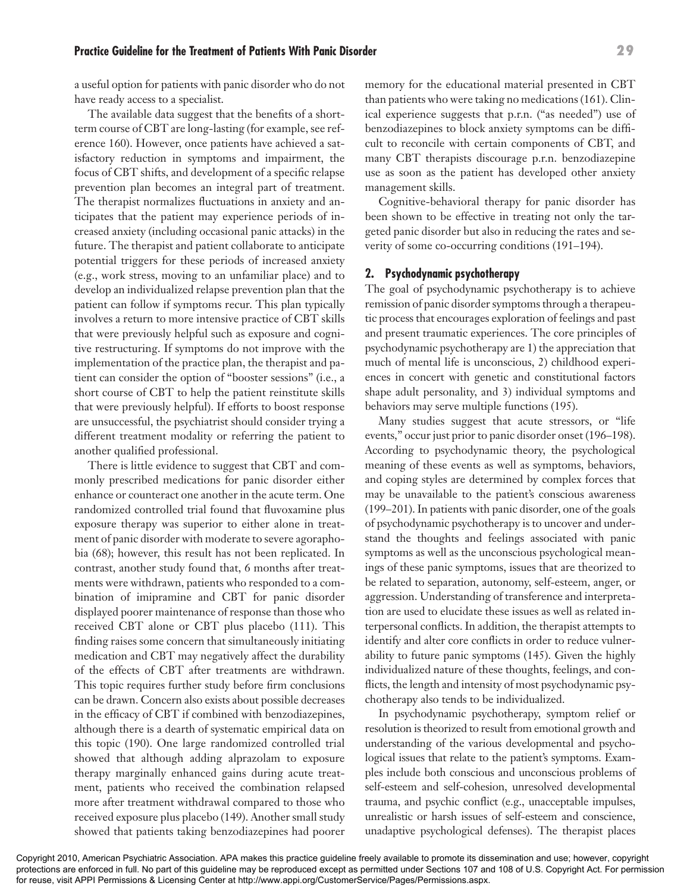## **Practice Guideline for the Treatment of Patients With Panic Disorder 29**

a useful option for patients with panic disorder who do not have ready access to a specialist.

The available data suggest that the benefits of a shortterm course of CBT are long-lasting (for example, see reference 160). However, once patients have achieved a satisfactory reduction in symptoms and impairment, the focus of CBT shifts, and development of a specific relapse prevention plan becomes an integral part of treatment. The therapist normalizes fluctuations in anxiety and anticipates that the patient may experience periods of increased anxiety (including occasional panic attacks) in the future. The therapist and patient collaborate to anticipate potential triggers for these periods of increased anxiety (e.g., work stress, moving to an unfamiliar place) and to develop an individualized relapse prevention plan that the patient can follow if symptoms recur. This plan typically involves a return to more intensive practice of CBT skills that were previously helpful such as exposure and cognitive restructuring. If symptoms do not improve with the implementation of the practice plan, the therapist and patient can consider the option of "booster sessions" (i.e., a short course of CBT to help the patient reinstitute skills that were previously helpful). If efforts to boost response are unsuccessful, the psychiatrist should consider trying a different treatment modality or referring the patient to another qualified professional.

There is little evidence to suggest that CBT and commonly prescribed medications for panic disorder either enhance or counteract one another in the acute term. One randomized controlled trial found that fluvoxamine plus exposure therapy was superior to either alone in treatment of panic disorder with moderate to severe agoraphobia (68); however, this result has not been replicated. In contrast, another study found that, 6 months after treatments were withdrawn, patients who responded to a combination of imipramine and CBT for panic disorder displayed poorer maintenance of response than those who received CBT alone or CBT plus placebo (111). This finding raises some concern that simultaneously initiating medication and CBT may negatively affect the durability of the effects of CBT after treatments are withdrawn. This topic requires further study before firm conclusions can be drawn. Concern also exists about possible decreases in the efficacy of CBT if combined with benzodiazepines, although there is a dearth of systematic empirical data on this topic (190). One large randomized controlled trial showed that although adding alprazolam to exposure therapy marginally enhanced gains during acute treatment, patients who received the combination relapsed more after treatment withdrawal compared to those who received exposure plus placebo (149). Another small study showed that patients taking benzodiazepines had poorer memory for the educational material presented in CBT than patients who were taking no medications (161). Clinical experience suggests that p.r.n. ("as needed") use of benzodiazepines to block anxiety symptoms can be difficult to reconcile with certain components of CBT, and many CBT therapists discourage p.r.n. benzodiazepine use as soon as the patient has developed other anxiety management skills.

Cognitive-behavioral therapy for panic disorder has been shown to be effective in treating not only the targeted panic disorder but also in reducing the rates and severity of some co-occurring conditions (191–194).

## **2. Psychodynamic psychotherapy**

The goal of psychodynamic psychotherapy is to achieve remission of panic disorder symptoms through a therapeutic process that encourages exploration of feelings and past and present traumatic experiences. The core principles of psychodynamic psychotherapy are 1) the appreciation that much of mental life is unconscious, 2) childhood experiences in concert with genetic and constitutional factors shape adult personality, and 3) individual symptoms and behaviors may serve multiple functions (195).

Many studies suggest that acute stressors, or "life events," occur just prior to panic disorder onset (196–198). According to psychodynamic theory, the psychological meaning of these events as well as symptoms, behaviors, and coping styles are determined by complex forces that may be unavailable to the patient's conscious awareness (199–201). In patients with panic disorder, one of the goals of psychodynamic psychotherapy is to uncover and understand the thoughts and feelings associated with panic symptoms as well as the unconscious psychological meanings of these panic symptoms, issues that are theorized to be related to separation, autonomy, self-esteem, anger, or aggression. Understanding of transference and interpretation are used to elucidate these issues as well as related interpersonal conflicts. In addition, the therapist attempts to identify and alter core conflicts in order to reduce vulnerability to future panic symptoms (145). Given the highly individualized nature of these thoughts, feelings, and conflicts, the length and intensity of most psychodynamic psychotherapy also tends to be individualized.

In psychodynamic psychotherapy, symptom relief or resolution is theorized to result from emotional growth and understanding of the various developmental and psychological issues that relate to the patient's symptoms. Examples include both conscious and unconscious problems of self-esteem and self-cohesion, unresolved developmental trauma, and psychic conflict (e.g., unacceptable impulses, unrealistic or harsh issues of self-esteem and conscience, unadaptive psychological defenses). The therapist places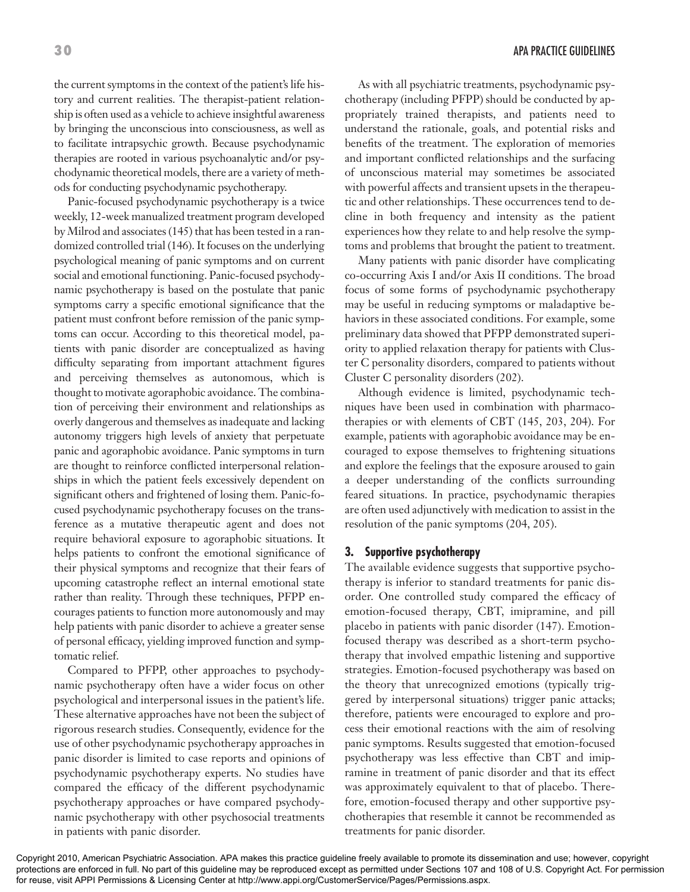the current symptoms in the context of the patient's life history and current realities. The therapist-patient relationship is often used as a vehicle to achieve insightful awareness by bringing the unconscious into consciousness, as well as to facilitate intrapsychic growth. Because psychodynamic therapies are rooted in various psychoanalytic and/or psychodynamic theoretical models, there are a variety of methods for conducting psychodynamic psychotherapy.

Panic-focused psychodynamic psychotherapy is a twice weekly, 12-week manualized treatment program developed by Milrod and associates (145) that has been tested in a randomized controlled trial (146). It focuses on the underlying psychological meaning of panic symptoms and on current social and emotional functioning. Panic-focused psychodynamic psychotherapy is based on the postulate that panic symptoms carry a specific emotional significance that the patient must confront before remission of the panic symptoms can occur. According to this theoretical model, patients with panic disorder are conceptualized as having difficulty separating from important attachment figures and perceiving themselves as autonomous, which is thought to motivate agoraphobic avoidance. The combination of perceiving their environment and relationships as overly dangerous and themselves as inadequate and lacking autonomy triggers high levels of anxiety that perpetuate panic and agoraphobic avoidance. Panic symptoms in turn are thought to reinforce conflicted interpersonal relationships in which the patient feels excessively dependent on significant others and frightened of losing them. Panic-focused psychodynamic psychotherapy focuses on the transference as a mutative therapeutic agent and does not require behavioral exposure to agoraphobic situations. It helps patients to confront the emotional significance of their physical symptoms and recognize that their fears of upcoming catastrophe reflect an internal emotional state rather than reality. Through these techniques, PFPP encourages patients to function more autonomously and may help patients with panic disorder to achieve a greater sense of personal efficacy, yielding improved function and symptomatic relief.

Compared to PFPP, other approaches to psychodynamic psychotherapy often have a wider focus on other psychological and interpersonal issues in the patient's life. These alternative approaches have not been the subject of rigorous research studies. Consequently, evidence for the use of other psychodynamic psychotherapy approaches in panic disorder is limited to case reports and opinions of psychodynamic psychotherapy experts. No studies have compared the efficacy of the different psychodynamic psychotherapy approaches or have compared psychodynamic psychotherapy with other psychosocial treatments in patients with panic disorder.

As with all psychiatric treatments, psychodynamic psychotherapy (including PFPP) should be conducted by appropriately trained therapists, and patients need to understand the rationale, goals, and potential risks and benefits of the treatment. The exploration of memories and important conflicted relationships and the surfacing of unconscious material may sometimes be associated with powerful affects and transient upsets in the therapeutic and other relationships. These occurrences tend to decline in both frequency and intensity as the patient experiences how they relate to and help resolve the symptoms and problems that brought the patient to treatment.

Many patients with panic disorder have complicating co-occurring Axis I and/or Axis II conditions. The broad focus of some forms of psychodynamic psychotherapy may be useful in reducing symptoms or maladaptive behaviors in these associated conditions. For example, some preliminary data showed that PFPP demonstrated superiority to applied relaxation therapy for patients with Cluster C personality disorders, compared to patients without Cluster C personality disorders (202).

Although evidence is limited, psychodynamic techniques have been used in combination with pharmacotherapies or with elements of CBT (145, 203, 204). For example, patients with agoraphobic avoidance may be encouraged to expose themselves to frightening situations and explore the feelings that the exposure aroused to gain a deeper understanding of the conflicts surrounding feared situations. In practice, psychodynamic therapies are often used adjunctively with medication to assist in the resolution of the panic symptoms (204, 205).

#### **3. Supportive psychotherapy**

The available evidence suggests that supportive psychotherapy is inferior to standard treatments for panic disorder. One controlled study compared the efficacy of emotion-focused therapy, CBT, imipramine, and pill placebo in patients with panic disorder (147). Emotionfocused therapy was described as a short-term psychotherapy that involved empathic listening and supportive strategies. Emotion-focused psychotherapy was based on the theory that unrecognized emotions (typically triggered by interpersonal situations) trigger panic attacks; therefore, patients were encouraged to explore and process their emotional reactions with the aim of resolving panic symptoms. Results suggested that emotion-focused psychotherapy was less effective than CBT and imipramine in treatment of panic disorder and that its effect was approximately equivalent to that of placebo. Therefore, emotion-focused therapy and other supportive psychotherapies that resemble it cannot be recommended as treatments for panic disorder.

Copyright 2010, American Psychiatric Association. APA makes this practice guideline freely available to promote its dissemination and use; however, copyright protections are enforced in full. No part of this guideline may be reproduced except as permitted under Sections 107 and 108 of U.S. Copyright Act. For permission for reuse, visit APPI Permissions & Licensing Center at http://www.appi.org/CustomerService/Pages/Permissions.aspx.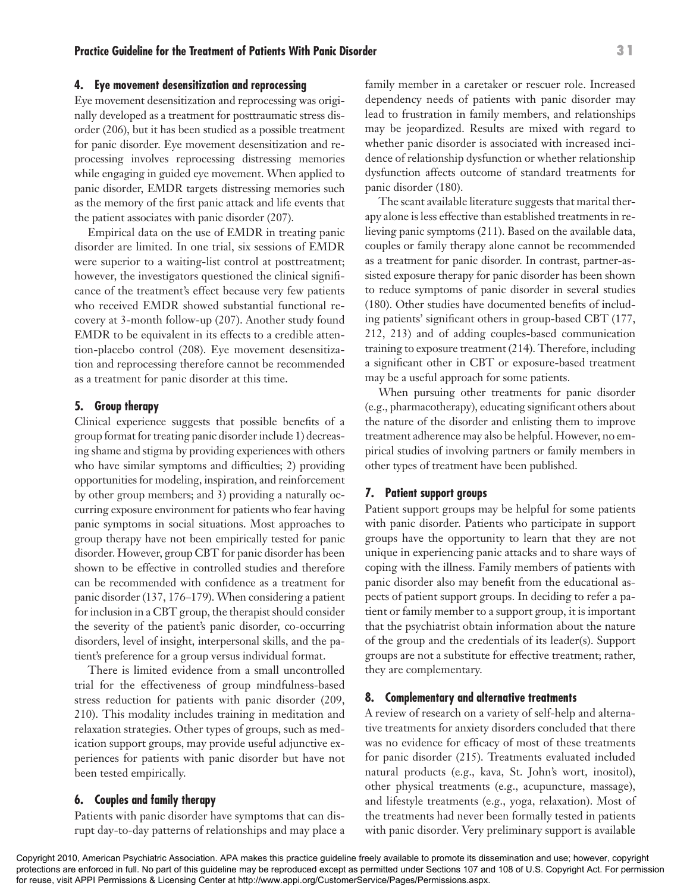#### **4. Eye movement desensitization and reprocessing**

Eye movement desensitization and reprocessing was originally developed as a treatment for posttraumatic stress disorder (206), but it has been studied as a possible treatment for panic disorder. Eye movement desensitization and reprocessing involves reprocessing distressing memories while engaging in guided eye movement. When applied to panic disorder, EMDR targets distressing memories such as the memory of the first panic attack and life events that the patient associates with panic disorder (207).

Empirical data on the use of EMDR in treating panic disorder are limited. In one trial, six sessions of EMDR were superior to a waiting-list control at posttreatment; however, the investigators questioned the clinical significance of the treatment's effect because very few patients who received EMDR showed substantial functional recovery at 3-month follow-up (207). Another study found EMDR to be equivalent in its effects to a credible attention-placebo control (208). Eye movement desensitization and reprocessing therefore cannot be recommended as a treatment for panic disorder at this time.

#### **5. Group therapy**

Clinical experience suggests that possible benefits of a group format for treating panic disorder include 1) decreasing shame and stigma by providing experiences with others who have similar symptoms and difficulties; 2) providing opportunities for modeling, inspiration, and reinforcement by other group members; and 3) providing a naturally occurring exposure environment for patients who fear having panic symptoms in social situations. Most approaches to group therapy have not been empirically tested for panic disorder. However, group CBT for panic disorder has been shown to be effective in controlled studies and therefore can be recommended with confidence as a treatment for panic disorder (137, 176–179). When considering a patient for inclusion in a CBT group, the therapist should consider the severity of the patient's panic disorder, co-occurring disorders, level of insight, interpersonal skills, and the patient's preference for a group versus individual format.

There is limited evidence from a small uncontrolled trial for the effectiveness of group mindfulness-based stress reduction for patients with panic disorder (209, 210). This modality includes training in meditation and relaxation strategies. Other types of groups, such as medication support groups, may provide useful adjunctive experiences for patients with panic disorder but have not been tested empirically.

#### **6. Couples and family therapy**

Patients with panic disorder have symptoms that can disrupt day-to-day patterns of relationships and may place a family member in a caretaker or rescuer role. Increased dependency needs of patients with panic disorder may lead to frustration in family members, and relationships may be jeopardized. Results are mixed with regard to whether panic disorder is associated with increased incidence of relationship dysfunction or whether relationship dysfunction affects outcome of standard treatments for panic disorder (180).

The scant available literature suggests that marital therapy alone is less effective than established treatments in relieving panic symptoms (211). Based on the available data, couples or family therapy alone cannot be recommended as a treatment for panic disorder. In contrast, partner-assisted exposure therapy for panic disorder has been shown to reduce symptoms of panic disorder in several studies (180). Other studies have documented benefits of including patients' significant others in group-based CBT (177, 212, 213) and of adding couples-based communication training to exposure treatment (214). Therefore, including a significant other in CBT or exposure-based treatment may be a useful approach for some patients.

When pursuing other treatments for panic disorder (e.g., pharmacotherapy), educating significant others about the nature of the disorder and enlisting them to improve treatment adherence may also be helpful. However, no empirical studies of involving partners or family members in other types of treatment have been published.

#### **7. Patient support groups**

Patient support groups may be helpful for some patients with panic disorder. Patients who participate in support groups have the opportunity to learn that they are not unique in experiencing panic attacks and to share ways of coping with the illness. Family members of patients with panic disorder also may benefit from the educational aspects of patient support groups. In deciding to refer a patient or family member to a support group, it is important that the psychiatrist obtain information about the nature of the group and the credentials of its leader(s). Support groups are not a substitute for effective treatment; rather, they are complementary.

#### **8. Complementary and alternative treatments**

A review of research on a variety of self-help and alternative treatments for anxiety disorders concluded that there was no evidence for efficacy of most of these treatments for panic disorder (215). Treatments evaluated included natural products (e.g., kava, St. John's wort, inositol), other physical treatments (e.g., acupuncture, massage), and lifestyle treatments (e.g., yoga, relaxation). Most of the treatments had never been formally tested in patients with panic disorder. Very preliminary support is available

Copyright 2010, American Psychiatric Association. APA makes this practice guideline freely available to promote its dissemination and use; however, copyright protections are enforced in full. No part of this guideline may be reproduced except as permitted under Sections 107 and 108 of U.S. Copyright Act. For permission for reuse, visit APPI Permissions & Licensing Center at http://www.appi.org/CustomerService/Pages/Permissions.aspx.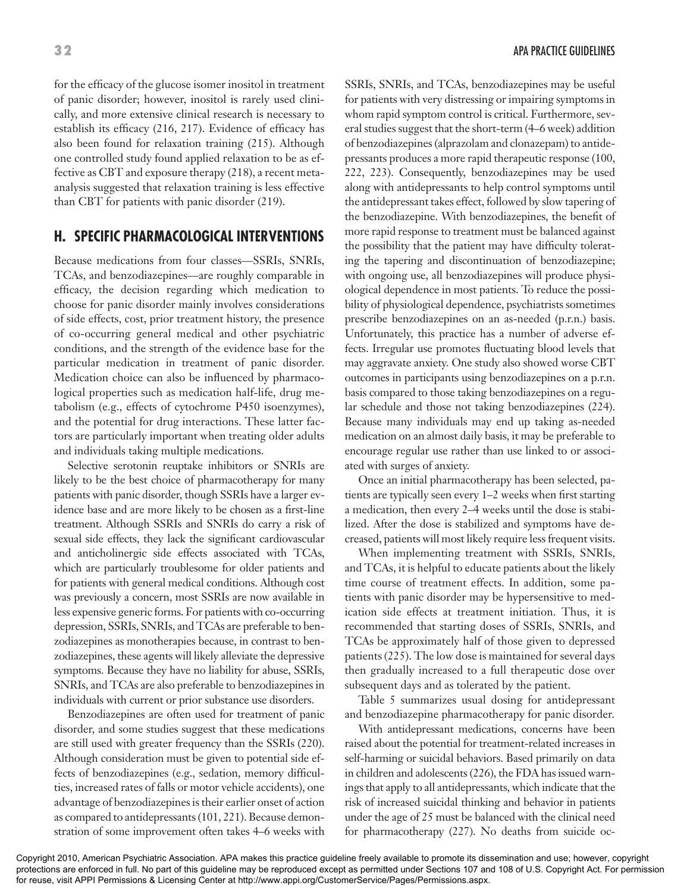for the efficacy of the glucose isomer inositol in treatment of panic disorder; however, inositol is rarely used clinically, and more extensive clinical research is necessary to establish its efficacy (216, 217). Evidence of efficacy has also been found for relaxation training (215). Although one controlled study found applied relaxation to be as effective as CBT and exposure therapy (218), a recent metaanalysis suggested that relaxation training is less effective than CBT for patients with panic disorder (219).

# **H. SPECIFIC PHARMACOLOGICAL INTERVENTIONS**

Because medications from four classes—SSRIs, SNRIs, TCAs, and benzodiazepines—are roughly comparable in efficacy, the decision regarding which medication to choose for panic disorder mainly involves considerations of side effects, cost, prior treatment history, the presence of co-occurring general medical and other psychiatric conditions, and the strength of the evidence base for the particular medication in treatment of panic disorder. Medication choice can also be influenced by pharmacological properties such as medication half-life, drug metabolism (e.g., effects of cytochrome P450 isoenzymes), and the potential for drug interactions. These latter factors are particularly important when treating older adults and individuals taking multiple medications.

Selective serotonin reuptake inhibitors or SNRIs are likely to be the best choice of pharmacotherapy for many patients with panic disorder, though SSRIs have a larger evidence base and are more likely to be chosen as a first-line treatment. Although SSRIs and SNRIs do carry a risk of sexual side effects, they lack the significant cardiovascular and anticholinergic side effects associated with TCAs, which are particularly troublesome for older patients and for patients with general medical conditions. Although cost was previously a concern, most SSRIs are now available in less expensive generic forms. For patients with co-occurring depression, SSRIs, SNRIs, and TCAs are preferable to benzodiazepines as monotherapies because, in contrast to benzodiazepines, these agents will likely alleviate the depressive symptoms. Because they have no liability for abuse, SSRIs, SNRIs, and TCAs are also preferable to benzodiazepines in individuals with current or prior substance use disorders.

Benzodiazepines are often used for treatment of panic disorder, and some studies suggest that these medications are still used with greater frequency than the SSRIs (220). Although consideration must be given to potential side effects of benzodiazepines (e.g., sedation, memory difficulties, increased rates of falls or motor vehicle accidents), one advantage of benzodiazepines is their earlier onset of action as compared to antidepressants (101, 221). Because demonstration of some improvement often takes 4–6 weeks with

SSRIs, SNRIs, and TCAs, benzodiazepines may be useful for patients with very distressing or impairing symptoms in whom rapid symptom control is critical. Furthermore, several studies suggest that the short-term (4–6 week) addition of benzodiazepines (alprazolam and clonazepam) to antidepressants produces a more rapid therapeutic response (100, 222, 223). Consequently, benzodiazepines may be used along with antidepressants to help control symptoms until the antidepressant takes effect, followed by slow tapering of the benzodiazepine. With benzodiazepines, the benefit of more rapid response to treatment must be balanced against the possibility that the patient may have difficulty tolerating the tapering and discontinuation of benzodiazepine; with ongoing use, all benzodiazepines will produce physiological dependence in most patients. To reduce the possibility of physiological dependence, psychiatrists sometimes prescribe benzodiazepines on an as-needed (p.r.n.) basis. Unfortunately, this practice has a number of adverse effects. Irregular use promotes fluctuating blood levels that may aggravate anxiety. One study also showed worse CBT outcomes in participants using benzodiazepines on a p.r.n. basis compared to those taking benzodiazepines on a regular schedule and those not taking benzodiazepines (224). Because many individuals may end up taking as-needed medication on an almost daily basis, it may be preferable to encourage regular use rather than use linked to or associated with surges of anxiety.

Once an initial pharmacotherapy has been selected, patients are typically seen every 1–2 weeks when first starting a medication, then every 2–4 weeks until the dose is stabilized. After the dose is stabilized and symptoms have decreased, patients will most likely require less frequent visits.

When implementing treatment with SSRIs, SNRIs, and TCAs, it is helpful to educate patients about the likely time course of treatment effects. In addition, some patients with panic disorder may be hypersensitive to medication side effects at treatment initiation. Thus, it is recommended that starting doses of SSRIs, SNRIs, and TCAs be approximately half of those given to depressed patients (225). The low dose is maintained for several days then gradually increased to a full therapeutic dose over subsequent days and as tolerated by the patient.

Table 5 summarizes usual dosing for antidepressant and benzodiazepine pharmacotherapy for panic disorder.

With antidepressant medications, concerns have been raised about the potential for treatment-related increases in self-harming or suicidal behaviors. Based primarily on data in children and adolescents (226), the FDA has issued warnings that apply to all antidepressants, which indicate that the risk of increased suicidal thinking and behavior in patients under the age of 25 must be balanced with the clinical need for pharmacotherapy (227). No deaths from suicide oc-

Copyright 2010, American Psychiatric Association. APA makes this practice guideline freely available to promote its dissemination and use; however, copyright protections are enforced in full. No part of this guideline may be reproduced except as permitted under Sections 107 and 108 of U.S. Copyright Act. For permission for reuse, visit APPI Permissions & Licensing Center at http://www.appi.org/CustomerService/Pages/Permissions.aspx.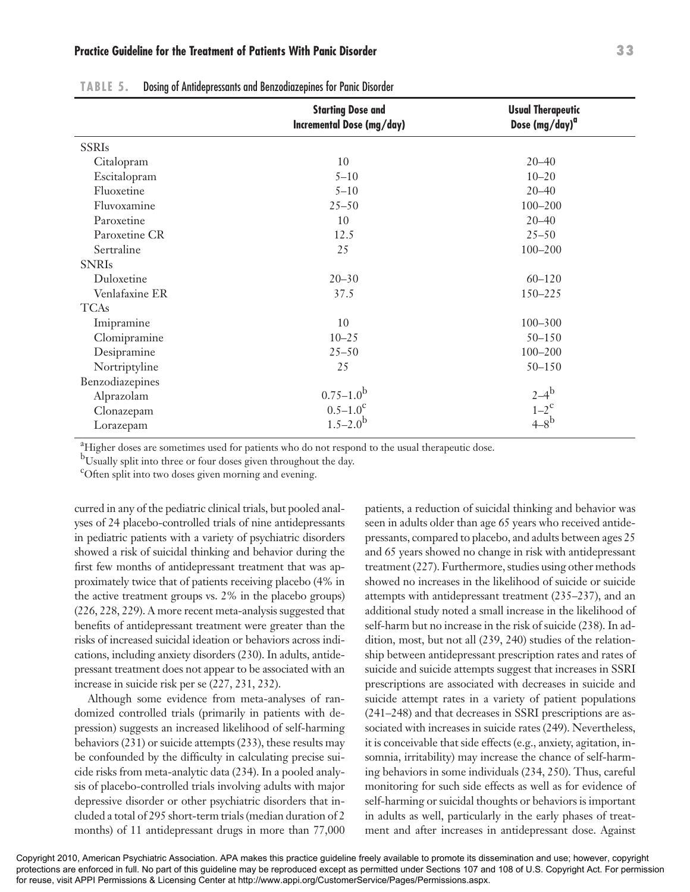# **Practice Guideline for the Treatment of Patients With Panic Disorder 33**

|                 | <b>Starting Dose and</b><br>Incremental Dose (mg/day) | <b>Usual Therapeutic</b><br>Dose (mg/day) <sup>a</sup> |
|-----------------|-------------------------------------------------------|--------------------------------------------------------|
| <b>SSRIs</b>    |                                                       |                                                        |
| Citalopram      | 10                                                    | $20 - 40$                                              |
| Escitalopram    | $5 - 10$                                              | $10 - 20$                                              |
| Fluoxetine      | $5 - 10$                                              | $20 - 40$                                              |
| Fluvoxamine     | $25 - 50$                                             | $100 - 200$                                            |
| Paroxetine      | 10                                                    | $20 - 40$                                              |
| Paroxetine CR   | 12.5                                                  | $25 - 50$                                              |
| Sertraline      | 25                                                    | $100 - 200$                                            |
| <b>SNRIs</b>    |                                                       |                                                        |
| Duloxetine      | $20 - 30$                                             | $60 - 120$                                             |
| Venlafaxine ER  | 37.5                                                  | 150-225                                                |
| <b>TCAs</b>     |                                                       |                                                        |
| Imipramine      | 10                                                    | $100 - 300$                                            |
| Clomipramine    | $10 - 25$                                             | $50 - 150$                                             |
| Desipramine     | $25 - 50$                                             | $100 - 200$                                            |
| Nortriptyline   | 25                                                    | $50 - 150$                                             |
| Benzodiazepines |                                                       |                                                        |
| Alprazolam      | $0.75 - 1.0^{\rm b}$                                  | $2-4^{b}$                                              |
| Clonazepam      | $0.5 - 1.0^c$                                         | $1-2^c$<br>4-8 <sup>b</sup>                            |
| Lorazepam       | $1.5 - 2.0^{\rm b}$                                   |                                                        |
|                 |                                                       |                                                        |

**TABLE 5.** Dosing of Antidepressants and Benzodiazepines for Panic Disorder

<sup>a</sup>Higher doses are sometimes used for patients who do not respond to the usual therapeutic dose.

bUsually split into three or four doses given throughout the day.

c Often split into two doses given morning and evening.

curred in any of the pediatric clinical trials, but pooled analyses of 24 placebo-controlled trials of nine antidepressants in pediatric patients with a variety of psychiatric disorders showed a risk of suicidal thinking and behavior during the first few months of antidepressant treatment that was approximately twice that of patients receiving placebo (4% in the active treatment groups vs. 2% in the placebo groups) (226, 228, 229). A more recent meta-analysis suggested that benefits of antidepressant treatment were greater than the risks of increased suicidal ideation or behaviors across indications, including anxiety disorders (230). In adults, antidepressant treatment does not appear to be associated with an increase in suicide risk per se (227, 231, 232).

Although some evidence from meta-analyses of randomized controlled trials (primarily in patients with depression) suggests an increased likelihood of self-harming behaviors (231) or suicide attempts (233), these results may be confounded by the difficulty in calculating precise suicide risks from meta-analytic data (234). In a pooled analysis of placebo-controlled trials involving adults with major depressive disorder or other psychiatric disorders that included a total of 295 short-term trials (median duration of 2 months) of 11 antidepressant drugs in more than 77,000

patients, a reduction of suicidal thinking and behavior was seen in adults older than age 65 years who received antidepressants, compared to placebo, and adults between ages 25 and 65 years showed no change in risk with antidepressant treatment (227). Furthermore, studies using other methods showed no increases in the likelihood of suicide or suicide attempts with antidepressant treatment (235–237), and an additional study noted a small increase in the likelihood of self-harm but no increase in the risk of suicide (238). In addition, most, but not all (239, 240) studies of the relationship between antidepressant prescription rates and rates of suicide and suicide attempts suggest that increases in SSRI prescriptions are associated with decreases in suicide and suicide attempt rates in a variety of patient populations (241–248) and that decreases in SSRI prescriptions are associated with increases in suicide rates (249). Nevertheless, it is conceivable that side effects (e.g., anxiety, agitation, insomnia, irritability) may increase the chance of self-harming behaviors in some individuals (234, 250). Thus, careful monitoring for such side effects as well as for evidence of self-harming or suicidal thoughts or behaviors is important in adults as well, particularly in the early phases of treatment and after increases in antidepressant dose. Against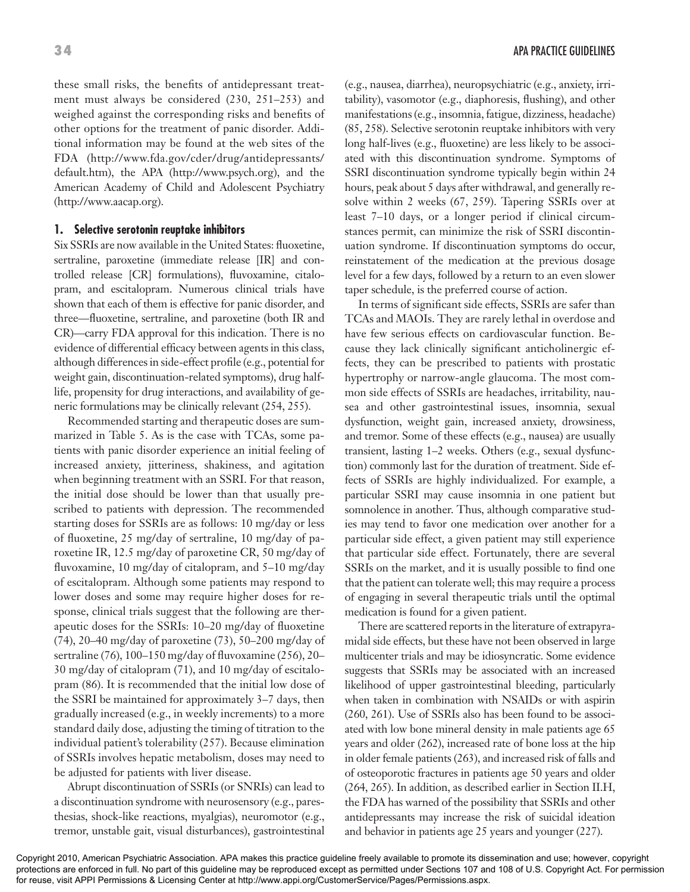these small risks, the benefits of antidepressant treatment must always be considered (230, 251–253) and weighed against the corresponding risks and benefits of other options for the treatment of panic disorder. Additional information may be found at the web sites of the FDA (http://www.fda.gov/cder/drug/antidepressants/ default.htm), the APA (http://www.psych.org), and the American Academy of Child and Adolescent Psychiatry (http://www.aacap.org).

# **1. Selective serotonin reuptake inhibitors**

Six SSRIs are now available in the United States: fluoxetine, sertraline, paroxetine (immediate release [IR] and controlled release [CR] formulations), fluvoxamine, citalopram, and escitalopram. Numerous clinical trials have shown that each of them is effective for panic disorder, and three—fluoxetine, sertraline, and paroxetine (both IR and CR)—carry FDA approval for this indication. There is no evidence of differential efficacy between agents in this class, although differences in side-effect profile (e.g., potential for weight gain, discontinuation-related symptoms), drug halflife, propensity for drug interactions, and availability of generic formulations may be clinically relevant (254, 255).

Recommended starting and therapeutic doses are summarized in Table 5. As is the case with TCAs, some patients with panic disorder experience an initial feeling of increased anxiety, jitteriness, shakiness, and agitation when beginning treatment with an SSRI. For that reason, the initial dose should be lower than that usually prescribed to patients with depression. The recommended starting doses for SSRIs are as follows: 10 mg/day or less of fluoxetine, 25 mg/day of sertraline, 10 mg/day of paroxetine IR, 12.5 mg/day of paroxetine CR, 50 mg/day of fluvoxamine, 10 mg/day of citalopram, and 5–10 mg/day of escitalopram. Although some patients may respond to lower doses and some may require higher doses for response, clinical trials suggest that the following are therapeutic doses for the SSRIs: 10–20 mg/day of fluoxetine (74), 20–40 mg/day of paroxetine (73), 50–200 mg/day of sertraline (76), 100–150 mg/day of fluvoxamine (256), 20– 30 mg/day of citalopram (71), and 10 mg/day of escitalopram (86). It is recommended that the initial low dose of the SSRI be maintained for approximately 3–7 days, then gradually increased (e.g., in weekly increments) to a more standard daily dose, adjusting the timing of titration to the individual patient's tolerability (257). Because elimination of SSRIs involves hepatic metabolism, doses may need to be adjusted for patients with liver disease.

Abrupt discontinuation of SSRIs (or SNRIs) can lead to a discontinuation syndrome with neurosensory (e.g., paresthesias, shock-like reactions, myalgias), neuromotor (e.g., tremor, unstable gait, visual disturbances), gastrointestinal

(e.g., nausea, diarrhea), neuropsychiatric (e.g., anxiety, irritability), vasomotor (e.g., diaphoresis, flushing), and other manifestations (e.g., insomnia, fatigue, dizziness, headache) (85, 258). Selective serotonin reuptake inhibitors with very long half-lives (e.g., fluoxetine) are less likely to be associated with this discontinuation syndrome. Symptoms of SSRI discontinuation syndrome typically begin within 24 hours, peak about 5 days after withdrawal, and generally resolve within 2 weeks (67, 259). Tapering SSRIs over at least 7–10 days, or a longer period if clinical circumstances permit, can minimize the risk of SSRI discontinuation syndrome. If discontinuation symptoms do occur, reinstatement of the medication at the previous dosage level for a few days, followed by a return to an even slower taper schedule, is the preferred course of action.

In terms of significant side effects, SSRIs are safer than TCAs and MAOIs. They are rarely lethal in overdose and have few serious effects on cardiovascular function. Because they lack clinically significant anticholinergic effects, they can be prescribed to patients with prostatic hypertrophy or narrow-angle glaucoma. The most common side effects of SSRIs are headaches, irritability, nausea and other gastrointestinal issues, insomnia, sexual dysfunction, weight gain, increased anxiety, drowsiness, and tremor. Some of these effects (e.g., nausea) are usually transient, lasting 1–2 weeks. Others (e.g., sexual dysfunction) commonly last for the duration of treatment. Side effects of SSRIs are highly individualized. For example, a particular SSRI may cause insomnia in one patient but somnolence in another. Thus, although comparative studies may tend to favor one medication over another for a particular side effect, a given patient may still experience that particular side effect. Fortunately, there are several SSRIs on the market, and it is usually possible to find one that the patient can tolerate well; this may require a process of engaging in several therapeutic trials until the optimal medication is found for a given patient.

There are scattered reports in the literature of extrapyramidal side effects, but these have not been observed in large multicenter trials and may be idiosyncratic. Some evidence suggests that SSRIs may be associated with an increased likelihood of upper gastrointestinal bleeding, particularly when taken in combination with NSAIDs or with aspirin (260, 261). Use of SSRIs also has been found to be associated with low bone mineral density in male patients age 65 years and older (262), increased rate of bone loss at the hip in older female patients (263), and increased risk of falls and of osteoporotic fractures in patients age 50 years and older (264, 265). In addition, as described earlier in Section II.H, the FDA has warned of the possibility that SSRIs and other antidepressants may increase the risk of suicidal ideation and behavior in patients age 25 years and younger (227).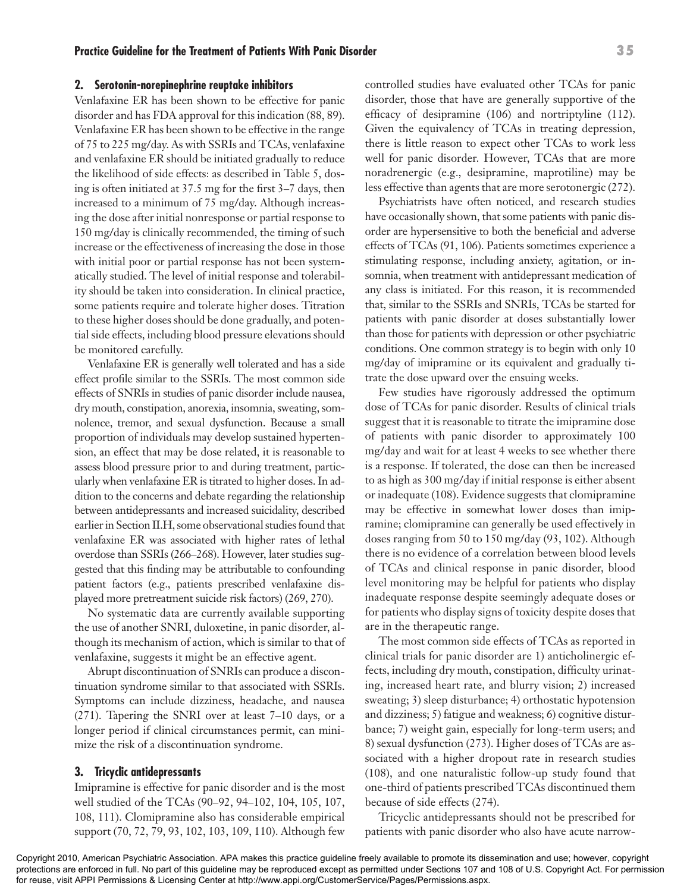#### **2. Serotonin-norepinephrine reuptake inhibitors**

Venlafaxine ER has been shown to be effective for panic disorder and has FDA approval for this indication (88, 89). Venlafaxine ER has been shown to be effective in the range of 75 to 225 mg/day. As with SSRIs and TCAs, venlafaxine and venlafaxine ER should be initiated gradually to reduce the likelihood of side effects: as described in Table 5, dosing is often initiated at 37.5 mg for the first 3–7 days, then increased to a minimum of 75 mg/day. Although increasing the dose after initial nonresponse or partial response to 150 mg/day is clinically recommended, the timing of such increase or the effectiveness of increasing the dose in those with initial poor or partial response has not been systematically studied. The level of initial response and tolerability should be taken into consideration. In clinical practice, some patients require and tolerate higher doses. Titration to these higher doses should be done gradually, and potential side effects, including blood pressure elevations should be monitored carefully.

Venlafaxine ER is generally well tolerated and has a side effect profile similar to the SSRIs. The most common side effects of SNRIs in studies of panic disorder include nausea, dry mouth, constipation, anorexia, insomnia, sweating, somnolence, tremor, and sexual dysfunction. Because a small proportion of individuals may develop sustained hypertension, an effect that may be dose related, it is reasonable to assess blood pressure prior to and during treatment, particularly when venlafaxine ER is titrated to higher doses. In addition to the concerns and debate regarding the relationship between antidepressants and increased suicidality, described earlier in Section II.H, some observational studies found that venlafaxine ER was associated with higher rates of lethal overdose than SSRIs (266–268). However, later studies suggested that this finding may be attributable to confounding patient factors (e.g., patients prescribed venlafaxine displayed more pretreatment suicide risk factors) (269, 270).

No systematic data are currently available supporting the use of another SNRI, duloxetine, in panic disorder, although its mechanism of action, which is similar to that of venlafaxine, suggests it might be an effective agent.

Abrupt discontinuation of SNRIs can produce a discontinuation syndrome similar to that associated with SSRIs. Symptoms can include dizziness, headache, and nausea (271). Tapering the SNRI over at least 7–10 days, or a longer period if clinical circumstances permit, can minimize the risk of a discontinuation syndrome.

#### **3. Tricyclic antidepressants**

Imipramine is effective for panic disorder and is the most well studied of the TCAs (90–92, 94–102, 104, 105, 107, 108, 111). Clomipramine also has considerable empirical support (70, 72, 79, 93, 102, 103, 109, 110). Although few

controlled studies have evaluated other TCAs for panic disorder, those that have are generally supportive of the efficacy of desipramine (106) and nortriptyline (112). Given the equivalency of TCAs in treating depression, there is little reason to expect other TCAs to work less well for panic disorder. However, TCAs that are more noradrenergic (e.g., desipramine, maprotiline) may be less effective than agents that are more serotonergic (272).

Psychiatrists have often noticed, and research studies have occasionally shown, that some patients with panic disorder are hypersensitive to both the beneficial and adverse effects of TCAs (91, 106). Patients sometimes experience a stimulating response, including anxiety, agitation, or insomnia, when treatment with antidepressant medication of any class is initiated. For this reason, it is recommended that, similar to the SSRIs and SNRIs, TCAs be started for patients with panic disorder at doses substantially lower than those for patients with depression or other psychiatric conditions. One common strategy is to begin with only 10 mg/day of imipramine or its equivalent and gradually titrate the dose upward over the ensuing weeks.

Few studies have rigorously addressed the optimum dose of TCAs for panic disorder. Results of clinical trials suggest that it is reasonable to titrate the imipramine dose of patients with panic disorder to approximately 100 mg/day and wait for at least 4 weeks to see whether there is a response. If tolerated, the dose can then be increased to as high as 300 mg/day if initial response is either absent or inadequate (108). Evidence suggests that clomipramine may be effective in somewhat lower doses than imipramine; clomipramine can generally be used effectively in doses ranging from 50 to 150 mg/day (93, 102). Although there is no evidence of a correlation between blood levels of TCAs and clinical response in panic disorder, blood level monitoring may be helpful for patients who display inadequate response despite seemingly adequate doses or for patients who display signs of toxicity despite doses that are in the therapeutic range.

The most common side effects of TCAs as reported in clinical trials for panic disorder are 1) anticholinergic effects, including dry mouth, constipation, difficulty urinating, increased heart rate, and blurry vision; 2) increased sweating; 3) sleep disturbance; 4) orthostatic hypotension and dizziness; 5) fatigue and weakness; 6) cognitive disturbance; 7) weight gain, especially for long-term users; and 8) sexual dysfunction (273). Higher doses of TCAs are associated with a higher dropout rate in research studies (108), and one naturalistic follow-up study found that one-third of patients prescribed TCAs discontinued them because of side effects (274).

Tricyclic antidepressants should not be prescribed for patients with panic disorder who also have acute narrow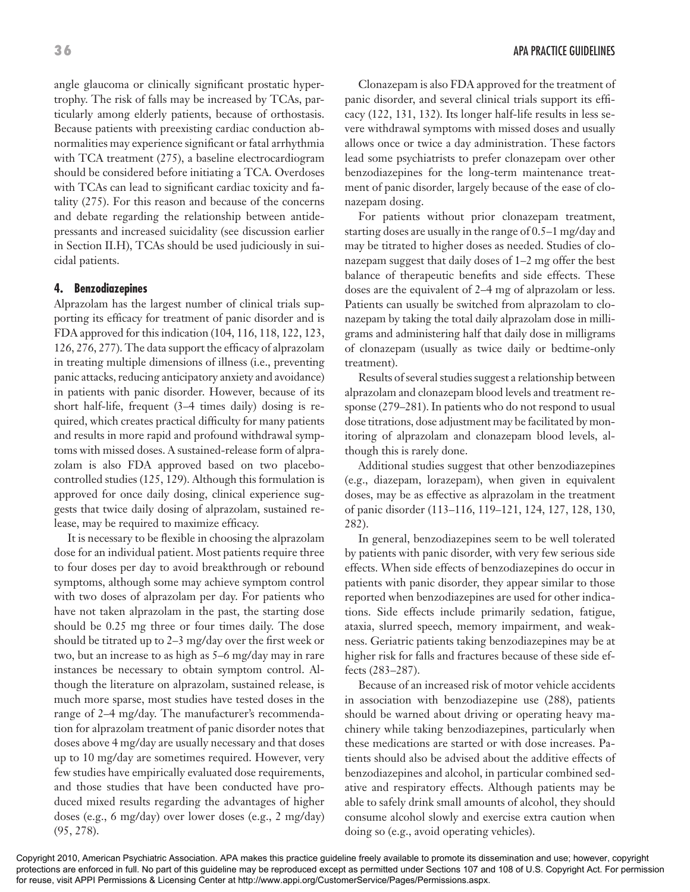angle glaucoma or clinically significant prostatic hypertrophy. The risk of falls may be increased by TCAs, particularly among elderly patients, because of orthostasis. Because patients with preexisting cardiac conduction abnormalities may experience significant or fatal arrhythmia with TCA treatment (275), a baseline electrocardiogram should be considered before initiating a TCA. Overdoses with TCAs can lead to significant cardiac toxicity and fatality (275). For this reason and because of the concerns and debate regarding the relationship between antidepressants and increased suicidality (see discussion earlier in Section II.H), TCAs should be used judiciously in suicidal patients.

## **4. Benzodiazepines**

Alprazolam has the largest number of clinical trials supporting its efficacy for treatment of panic disorder and is FDA approved for this indication (104, 116, 118, 122, 123, 126, 276, 277). The data support the efficacy of alprazolam in treating multiple dimensions of illness (i.e., preventing panic attacks, reducing anticipatory anxiety and avoidance) in patients with panic disorder. However, because of its short half-life, frequent (3–4 times daily) dosing is required, which creates practical difficulty for many patients and results in more rapid and profound withdrawal symptoms with missed doses. A sustained-release form of alprazolam is also FDA approved based on two placebocontrolled studies (125, 129). Although this formulation is approved for once daily dosing, clinical experience suggests that twice daily dosing of alprazolam, sustained release, may be required to maximize efficacy.

It is necessary to be flexible in choosing the alprazolam dose for an individual patient. Most patients require three to four doses per day to avoid breakthrough or rebound symptoms, although some may achieve symptom control with two doses of alprazolam per day. For patients who have not taken alprazolam in the past, the starting dose should be 0.25 mg three or four times daily. The dose should be titrated up to 2–3 mg/day over the first week or two, but an increase to as high as 5–6 mg/day may in rare instances be necessary to obtain symptom control. Although the literature on alprazolam, sustained release, is much more sparse, most studies have tested doses in the range of 2–4 mg/day. The manufacturer's recommendation for alprazolam treatment of panic disorder notes that doses above 4 mg/day are usually necessary and that doses up to 10 mg/day are sometimes required. However, very few studies have empirically evaluated dose requirements, and those studies that have been conducted have produced mixed results regarding the advantages of higher doses (e.g., 6 mg/day) over lower doses (e.g., 2 mg/day) (95, 278).

Clonazepam is also FDA approved for the treatment of panic disorder, and several clinical trials support its efficacy (122, 131, 132). Its longer half-life results in less severe withdrawal symptoms with missed doses and usually allows once or twice a day administration. These factors lead some psychiatrists to prefer clonazepam over other benzodiazepines for the long-term maintenance treatment of panic disorder, largely because of the ease of clonazepam dosing.

For patients without prior clonazepam treatment, starting doses are usually in the range of 0.5–1 mg/day and may be titrated to higher doses as needed. Studies of clonazepam suggest that daily doses of 1–2 mg offer the best balance of therapeutic benefits and side effects. These doses are the equivalent of 2–4 mg of alprazolam or less. Patients can usually be switched from alprazolam to clonazepam by taking the total daily alprazolam dose in milligrams and administering half that daily dose in milligrams of clonazepam (usually as twice daily or bedtime-only treatment).

Results of several studies suggest a relationship between alprazolam and clonazepam blood levels and treatment response (279–281). In patients who do not respond to usual dose titrations, dose adjustment may be facilitated by monitoring of alprazolam and clonazepam blood levels, although this is rarely done.

Additional studies suggest that other benzodiazepines (e.g., diazepam, lorazepam), when given in equivalent doses, may be as effective as alprazolam in the treatment of panic disorder (113–116, 119–121, 124, 127, 128, 130, 282).

In general, benzodiazepines seem to be well tolerated by patients with panic disorder, with very few serious side effects. When side effects of benzodiazepines do occur in patients with panic disorder, they appear similar to those reported when benzodiazepines are used for other indications. Side effects include primarily sedation, fatigue, ataxia, slurred speech, memory impairment, and weakness. Geriatric patients taking benzodiazepines may be at higher risk for falls and fractures because of these side effects (283–287).

Because of an increased risk of motor vehicle accidents in association with benzodiazepine use (288), patients should be warned about driving or operating heavy machinery while taking benzodiazepines, particularly when these medications are started or with dose increases. Patients should also be advised about the additive effects of benzodiazepines and alcohol, in particular combined sedative and respiratory effects. Although patients may be able to safely drink small amounts of alcohol, they should consume alcohol slowly and exercise extra caution when doing so (e.g., avoid operating vehicles).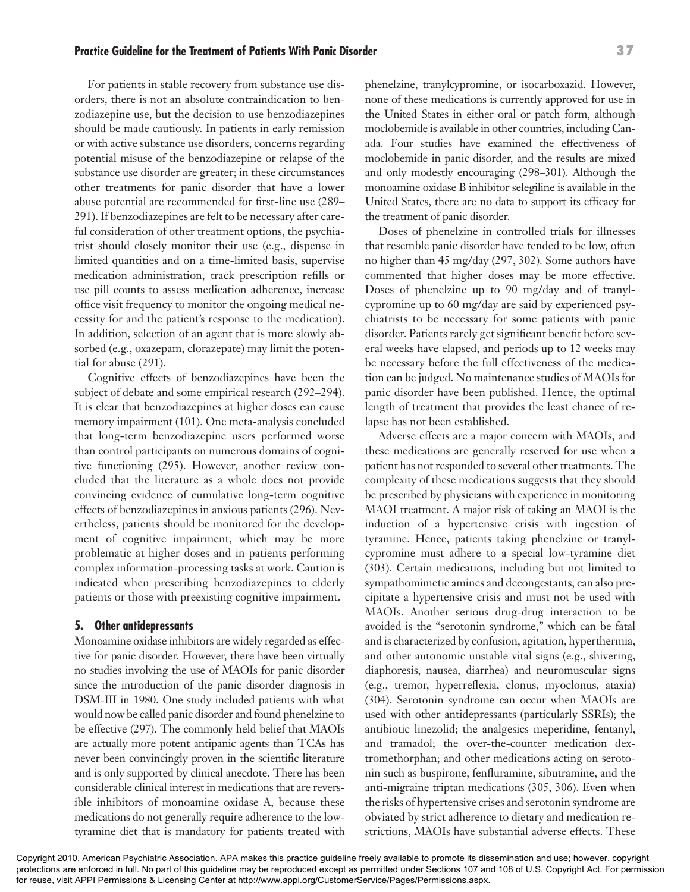#### **Practice Guideline for the Treatment of Patients With Panic Disorder 37**

For patients in stable recovery from substance use disorders, there is not an absolute contraindication to benzodiazepine use, but the decision to use benzodiazepines should be made cautiously. In patients in early remission or with active substance use disorders, concerns regarding potential misuse of the benzodiazepine or relapse of the substance use disorder are greater; in these circumstances other treatments for panic disorder that have a lower abuse potential are recommended for first-line use (289– 291). If benzodiazepines are felt to be necessary after careful consideration of other treatment options, the psychiatrist should closely monitor their use (e.g., dispense in limited quantities and on a time-limited basis, supervise medication administration, track prescription refills or use pill counts to assess medication adherence, increase office visit frequency to monitor the ongoing medical necessity for and the patient's response to the medication). In addition, selection of an agent that is more slowly absorbed (e.g., oxazepam, clorazepate) may limit the potential for abuse (291).

Cognitive effects of benzodiazepines have been the subject of debate and some empirical research (292–294). It is clear that benzodiazepines at higher doses can cause memory impairment (101). One meta-analysis concluded that long-term benzodiazepine users performed worse than control participants on numerous domains of cognitive functioning (295). However, another review concluded that the literature as a whole does not provide convincing evidence of cumulative long-term cognitive effects of benzodiazepines in anxious patients (296). Nevertheless, patients should be monitored for the development of cognitive impairment, which may be more problematic at higher doses and in patients performing complex information-processing tasks at work. Caution is indicated when prescribing benzodiazepines to elderly patients or those with preexisting cognitive impairment.

#### **5. Other antidepressants**

Monoamine oxidase inhibitors are widely regarded as effective for panic disorder. However, there have been virtually no studies involving the use of MAOIs for panic disorder since the introduction of the panic disorder diagnosis in DSM-III in 1980. One study included patients with what would now be called panic disorder and found phenelzine to be effective (297). The commonly held belief that MAOIs are actually more potent antipanic agents than TCAs has never been convincingly proven in the scientific literature and is only supported by clinical anecdote. There has been considerable clinical interest in medications that are reversible inhibitors of monoamine oxidase A, because these medications do not generally require adherence to the lowtyramine diet that is mandatory for patients treated with

phenelzine, tranylcypromine, or isocarboxazid. However, none of these medications is currently approved for use in the United States in either oral or patch form, although moclobemide is available in other countries, including Canada. Four studies have examined the effectiveness of moclobemide in panic disorder, and the results are mixed and only modestly encouraging (298–301). Although the monoamine oxidase B inhibitor selegiline is available in the United States, there are no data to support its efficacy for the treatment of panic disorder.

Doses of phenelzine in controlled trials for illnesses that resemble panic disorder have tended to be low, often no higher than 45 mg/day (297, 302). Some authors have commented that higher doses may be more effective. Doses of phenelzine up to 90 mg/day and of tranylcypromine up to 60 mg/day are said by experienced psychiatrists to be necessary for some patients with panic disorder. Patients rarely get significant benefit before several weeks have elapsed, and periods up to 12 weeks may be necessary before the full effectiveness of the medication can be judged. No maintenance studies of MAOIs for panic disorder have been published. Hence, the optimal length of treatment that provides the least chance of relapse has not been established.

Adverse effects are a major concern with MAOIs, and these medications are generally reserved for use when a patient has not responded to several other treatments. The complexity of these medications suggests that they should be prescribed by physicians with experience in monitoring MAOI treatment. A major risk of taking an MAOI is the induction of a hypertensive crisis with ingestion of tyramine. Hence, patients taking phenelzine or tranylcypromine must adhere to a special low-tyramine diet (303). Certain medications, including but not limited to sympathomimetic amines and decongestants, can also precipitate a hypertensive crisis and must not be used with MAOIs. Another serious drug-drug interaction to be avoided is the "serotonin syndrome," which can be fatal and is characterized by confusion, agitation, hyperthermia, and other autonomic unstable vital signs (e.g., shivering, diaphoresis, nausea, diarrhea) and neuromuscular signs (e.g., tremor, hyperreflexia, clonus, myoclonus, ataxia) (304). Serotonin syndrome can occur when MAOIs are used with other antidepressants (particularly SSRIs); the antibiotic linezolid; the analgesics meperidine, fentanyl, and tramadol; the over-the-counter medication dextromethorphan; and other medications acting on serotonin such as buspirone, fenfluramine, sibutramine, and the anti-migraine triptan medications (305, 306). Even when the risks of hypertensive crises and serotonin syndrome are obviated by strict adherence to dietary and medication restrictions, MAOIs have substantial adverse effects. These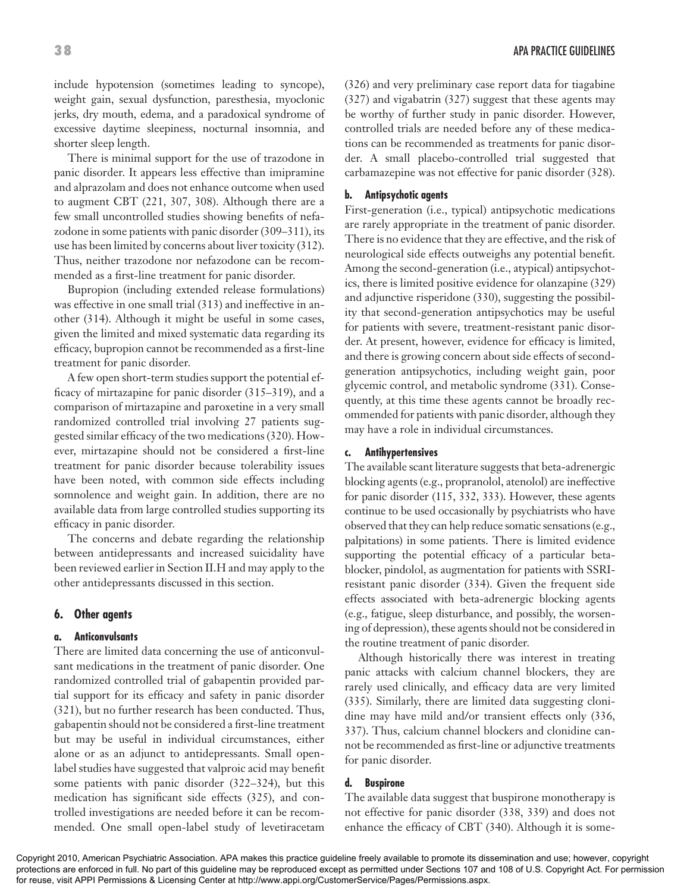There is minimal support for the use of trazodone in panic disorder. It appears less effective than imipramine and alprazolam and does not enhance outcome when used to augment CBT (221, 307, 308). Although there are a few small uncontrolled studies showing benefits of nefazodone in some patients with panic disorder (309–311), its use has been limited by concerns about liver toxicity (312). Thus, neither trazodone nor nefazodone can be recommended as a first-line treatment for panic disorder.

Bupropion (including extended release formulations) was effective in one small trial (313) and ineffective in another (314). Although it might be useful in some cases, given the limited and mixed systematic data regarding its efficacy, bupropion cannot be recommended as a first-line treatment for panic disorder.

A few open short-term studies support the potential efficacy of mirtazapine for panic disorder (315–319), and a comparison of mirtazapine and paroxetine in a very small randomized controlled trial involving 27 patients suggested similar efficacy of the two medications (320). However, mirtazapine should not be considered a first-line treatment for panic disorder because tolerability issues have been noted, with common side effects including somnolence and weight gain. In addition, there are no available data from large controlled studies supporting its efficacy in panic disorder.

The concerns and debate regarding the relationship between antidepressants and increased suicidality have been reviewed earlier in Section II.H and may apply to the other antidepressants discussed in this section.

#### **6. Other agents**

#### **a. Anticonvulsants**

There are limited data concerning the use of anticonvulsant medications in the treatment of panic disorder. One randomized controlled trial of gabapentin provided partial support for its efficacy and safety in panic disorder (321), but no further research has been conducted. Thus, gabapentin should not be considered a first-line treatment but may be useful in individual circumstances, either alone or as an adjunct to antidepressants. Small openlabel studies have suggested that valproic acid may benefit some patients with panic disorder (322–324), but this medication has significant side effects (325), and controlled investigations are needed before it can be recommended. One small open-label study of levetiracetam

(326) and very preliminary case report data for tiagabine (327) and vigabatrin (327) suggest that these agents may be worthy of further study in panic disorder. However, controlled trials are needed before any of these medications can be recommended as treatments for panic disorder. A small placebo-controlled trial suggested that carbamazepine was not effective for panic disorder (328).

#### **b. Antipsychotic agents**

First-generation (i.e., typical) antipsychotic medications are rarely appropriate in the treatment of panic disorder. There is no evidence that they are effective, and the risk of neurological side effects outweighs any potential benefit. Among the second-generation (i.e., atypical) antipsychotics, there is limited positive evidence for olanzapine (329) and adjunctive risperidone (330), suggesting the possibility that second-generation antipsychotics may be useful for patients with severe, treatment-resistant panic disorder. At present, however, evidence for efficacy is limited, and there is growing concern about side effects of secondgeneration antipsychotics, including weight gain, poor glycemic control, and metabolic syndrome (331). Consequently, at this time these agents cannot be broadly recommended for patients with panic disorder, although they may have a role in individual circumstances.

#### **c. Antihypertensives**

The available scant literature suggests that beta-adrenergic blocking agents (e.g., propranolol, atenolol) are ineffective for panic disorder (115, 332, 333). However, these agents continue to be used occasionally by psychiatrists who have observed that they can help reduce somatic sensations (e.g., palpitations) in some patients. There is limited evidence supporting the potential efficacy of a particular betablocker, pindolol, as augmentation for patients with SSRIresistant panic disorder (334). Given the frequent side effects associated with beta-adrenergic blocking agents (e.g., fatigue, sleep disturbance, and possibly, the worsening of depression), these agents should not be considered in the routine treatment of panic disorder.

Although historically there was interest in treating panic attacks with calcium channel blockers, they are rarely used clinically, and efficacy data are very limited (335). Similarly, there are limited data suggesting clonidine may have mild and/or transient effects only (336, 337). Thus, calcium channel blockers and clonidine cannot be recommended as first-line or adjunctive treatments for panic disorder.

#### **d. Buspirone**

The available data suggest that buspirone monotherapy is not effective for panic disorder (338, 339) and does not enhance the efficacy of CBT (340). Although it is some-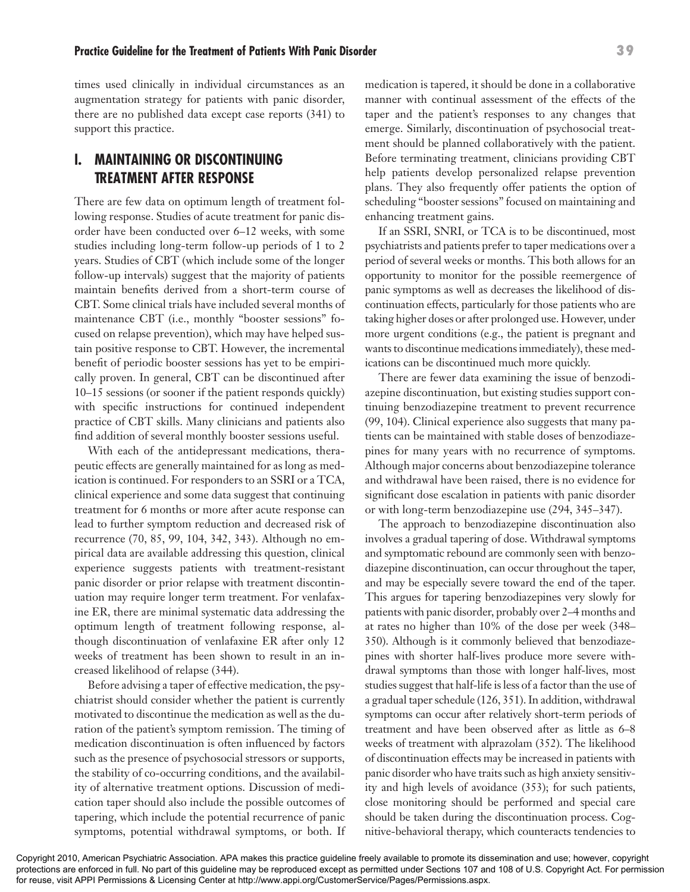#### **Practice Guideline for the Treatment of Patients With Panic Disorder 39**

times used clinically in individual circumstances as an augmentation strategy for patients with panic disorder, there are no published data except case reports (341) to support this practice.

# **I. MAINTAINING OR DISCONTINUING TREATMENT AFTER RESPONSE**

There are few data on optimum length of treatment following response. Studies of acute treatment for panic disorder have been conducted over 6–12 weeks, with some studies including long-term follow-up periods of 1 to 2 years. Studies of CBT (which include some of the longer follow-up intervals) suggest that the majority of patients maintain benefits derived from a short-term course of CBT. Some clinical trials have included several months of maintenance CBT (i.e., monthly "booster sessions" focused on relapse prevention), which may have helped sustain positive response to CBT. However, the incremental benefit of periodic booster sessions has yet to be empirically proven. In general, CBT can be discontinued after 10–15 sessions (or sooner if the patient responds quickly) with specific instructions for continued independent practice of CBT skills. Many clinicians and patients also find addition of several monthly booster sessions useful.

With each of the antidepressant medications, therapeutic effects are generally maintained for as long as medication is continued. For responders to an SSRI or a TCA, clinical experience and some data suggest that continuing treatment for 6 months or more after acute response can lead to further symptom reduction and decreased risk of recurrence (70, 85, 99, 104, 342, 343). Although no empirical data are available addressing this question, clinical experience suggests patients with treatment-resistant panic disorder or prior relapse with treatment discontinuation may require longer term treatment. For venlafaxine ER, there are minimal systematic data addressing the optimum length of treatment following response, although discontinuation of venlafaxine ER after only 12 weeks of treatment has been shown to result in an increased likelihood of relapse (344).

Before advising a taper of effective medication, the psychiatrist should consider whether the patient is currently motivated to discontinue the medication as well as the duration of the patient's symptom remission. The timing of medication discontinuation is often influenced by factors such as the presence of psychosocial stressors or supports, the stability of co-occurring conditions, and the availability of alternative treatment options. Discussion of medication taper should also include the possible outcomes of tapering, which include the potential recurrence of panic symptoms, potential withdrawal symptoms, or both. If medication is tapered, it should be done in a collaborative manner with continual assessment of the effects of the taper and the patient's responses to any changes that emerge. Similarly, discontinuation of psychosocial treatment should be planned collaboratively with the patient. Before terminating treatment, clinicians providing CBT help patients develop personalized relapse prevention plans. They also frequently offer patients the option of scheduling "booster sessions" focused on maintaining and enhancing treatment gains.

If an SSRI, SNRI, or TCA is to be discontinued, most psychiatrists and patients prefer to taper medications over a period of several weeks or months. This both allows for an opportunity to monitor for the possible reemergence of panic symptoms as well as decreases the likelihood of discontinuation effects, particularly for those patients who are taking higher doses or after prolonged use. However, under more urgent conditions (e.g., the patient is pregnant and wants to discontinue medications immediately), these medications can be discontinued much more quickly.

There are fewer data examining the issue of benzodiazepine discontinuation, but existing studies support continuing benzodiazepine treatment to prevent recurrence (99, 104). Clinical experience also suggests that many patients can be maintained with stable doses of benzodiazepines for many years with no recurrence of symptoms. Although major concerns about benzodiazepine tolerance and withdrawal have been raised, there is no evidence for significant dose escalation in patients with panic disorder or with long-term benzodiazepine use (294, 345–347).

The approach to benzodiazepine discontinuation also involves a gradual tapering of dose. Withdrawal symptoms and symptomatic rebound are commonly seen with benzodiazepine discontinuation, can occur throughout the taper, and may be especially severe toward the end of the taper. This argues for tapering benzodiazepines very slowly for patients with panic disorder, probably over 2–4 months and at rates no higher than 10% of the dose per week (348– 350). Although is it commonly believed that benzodiazepines with shorter half-lives produce more severe withdrawal symptoms than those with longer half-lives, most studies suggest that half-life is less of a factor than the use of a gradual taper schedule (126, 351). In addition, withdrawal symptoms can occur after relatively short-term periods of treatment and have been observed after as little as 6–8 weeks of treatment with alprazolam (352). The likelihood of discontinuation effects may be increased in patients with panic disorder who have traits such as high anxiety sensitivity and high levels of avoidance (353); for such patients, close monitoring should be performed and special care should be taken during the discontinuation process. Cognitive-behavioral therapy, which counteracts tendencies to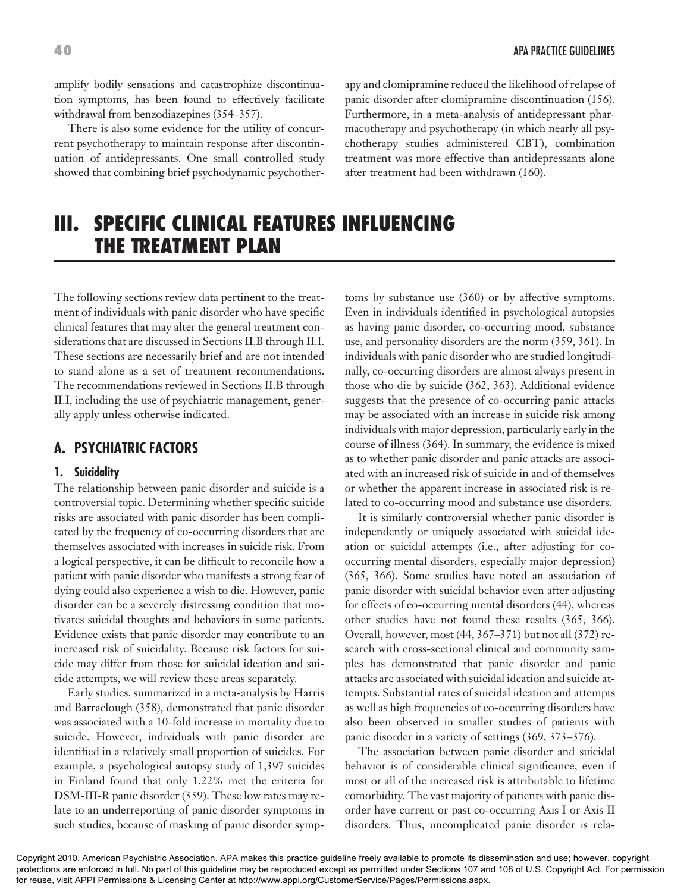amplify bodily sensations and catastrophize discontinuation symptoms, has been found to effectively facilitate withdrawal from benzodiazepines (354–357).

There is also some evidence for the utility of concurrent psychotherapy to maintain response after discontinuation of antidepressants. One small controlled study showed that combining brief psychodynamic psychother-

**40** APA PRACTICE GUIDELINES

apy and clomipramine reduced the likelihood of relapse of panic disorder after clomipramine discontinuation (156). Furthermore, in a meta-analysis of antidepressant pharmacotherapy and psychotherapy (in which nearly all psychotherapy studies administered CBT), combination treatment was more effective than antidepressants alone after treatment had been withdrawn (160).

# **III. SPECIFIC CLINICAL FEATURES INFLUENCING THE TREATMENT PLAN**

The following sections review data pertinent to the treatment of individuals with panic disorder who have specific clinical features that may alter the general treatment considerations that are discussed in Sections II.B through II.I. These sections are necessarily brief and are not intended to stand alone as a set of treatment recommendations. The recommendations reviewed in Sections II.B through II.I, including the use of psychiatric management, generally apply unless otherwise indicated.

# **A. PSYCHIATRIC FACTORS**

#### **1. Suicidality**

The relationship between panic disorder and suicide is a controversial topic. Determining whether specific suicide risks are associated with panic disorder has been complicated by the frequency of co-occurring disorders that are themselves associated with increases in suicide risk. From a logical perspective, it can be difficult to reconcile how a patient with panic disorder who manifests a strong fear of dying could also experience a wish to die. However, panic disorder can be a severely distressing condition that motivates suicidal thoughts and behaviors in some patients. Evidence exists that panic disorder may contribute to an increased risk of suicidality. Because risk factors for suicide may differ from those for suicidal ideation and suicide attempts, we will review these areas separately.

Early studies, summarized in a meta-analysis by Harris and Barraclough (358), demonstrated that panic disorder was associated with a 10-fold increase in mortality due to suicide. However, individuals with panic disorder are identified in a relatively small proportion of suicides. For example, a psychological autopsy study of 1,397 suicides in Finland found that only 1.22% met the criteria for DSM-III-R panic disorder (359). These low rates may relate to an underreporting of panic disorder symptoms in such studies, because of masking of panic disorder symptoms by substance use (360) or by affective symptoms. Even in individuals identified in psychological autopsies as having panic disorder, co-occurring mood, substance use, and personality disorders are the norm (359, 361). In individuals with panic disorder who are studied longitudinally, co-occurring disorders are almost always present in those who die by suicide (362, 363). Additional evidence suggests that the presence of co-occurring panic attacks may be associated with an increase in suicide risk among individuals with major depression, particularly early in the course of illness (364). In summary, the evidence is mixed as to whether panic disorder and panic attacks are associated with an increased risk of suicide in and of themselves or whether the apparent increase in associated risk is related to co-occurring mood and substance use disorders.

It is similarly controversial whether panic disorder is independently or uniquely associated with suicidal ideation or suicidal attempts (i.e., after adjusting for cooccurring mental disorders, especially major depression) (365, 366). Some studies have noted an association of panic disorder with suicidal behavior even after adjusting for effects of co-occurring mental disorders (44), whereas other studies have not found these results (365, 366). Overall, however, most (44, 367–371) but not all (372) research with cross-sectional clinical and community samples has demonstrated that panic disorder and panic attacks are associated with suicidal ideation and suicide attempts. Substantial rates of suicidal ideation and attempts as well as high frequencies of co-occurring disorders have also been observed in smaller studies of patients with panic disorder in a variety of settings (369, 373–376).

The association between panic disorder and suicidal behavior is of considerable clinical significance, even if most or all of the increased risk is attributable to lifetime comorbidity. The vast majority of patients with panic disorder have current or past co-occurring Axis I or Axis II disorders. Thus, uncomplicated panic disorder is rela-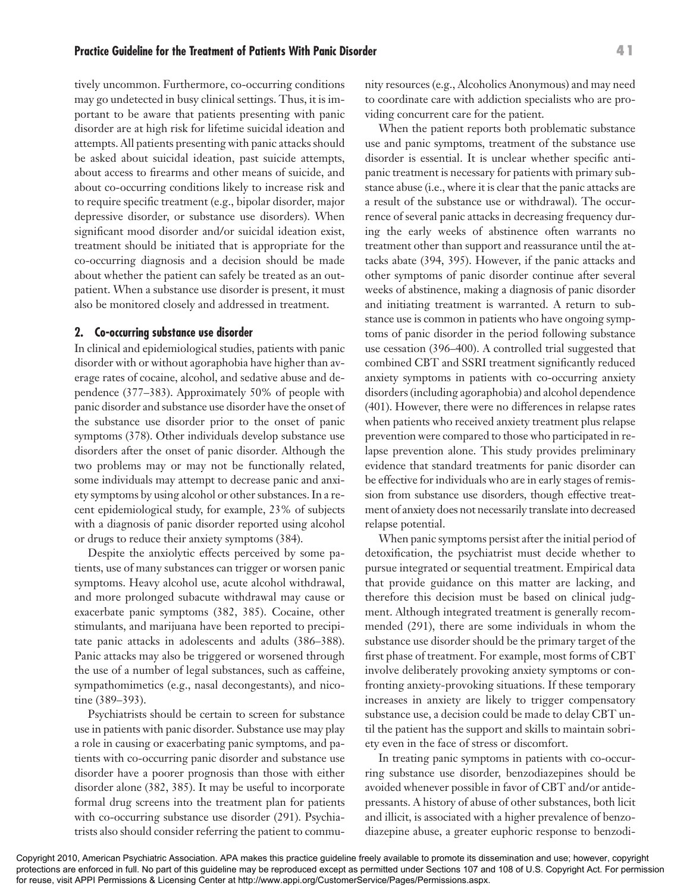#### **Practice Guideline for the Treatment of Patients With Panic Disorder 41**

tively uncommon. Furthermore, co-occurring conditions may go undetected in busy clinical settings. Thus, it is important to be aware that patients presenting with panic disorder are at high risk for lifetime suicidal ideation and attempts. All patients presenting with panic attacks should be asked about suicidal ideation, past suicide attempts, about access to firearms and other means of suicide, and about co-occurring conditions likely to increase risk and to require specific treatment (e.g., bipolar disorder, major depressive disorder, or substance use disorders). When significant mood disorder and/or suicidal ideation exist, treatment should be initiated that is appropriate for the co-occurring diagnosis and a decision should be made about whether the patient can safely be treated as an outpatient. When a substance use disorder is present, it must also be monitored closely and addressed in treatment.

#### **2. Co-occurring substance use disorder**

In clinical and epidemiological studies, patients with panic disorder with or without agoraphobia have higher than average rates of cocaine, alcohol, and sedative abuse and dependence (377–383). Approximately 50% of people with panic disorder and substance use disorder have the onset of the substance use disorder prior to the onset of panic symptoms (378). Other individuals develop substance use disorders after the onset of panic disorder. Although the two problems may or may not be functionally related, some individuals may attempt to decrease panic and anxiety symptoms by using alcohol or other substances. In a recent epidemiological study, for example, 23% of subjects with a diagnosis of panic disorder reported using alcohol or drugs to reduce their anxiety symptoms (384).

Despite the anxiolytic effects perceived by some patients, use of many substances can trigger or worsen panic symptoms. Heavy alcohol use, acute alcohol withdrawal, and more prolonged subacute withdrawal may cause or exacerbate panic symptoms (382, 385). Cocaine, other stimulants, and marijuana have been reported to precipitate panic attacks in adolescents and adults (386–388). Panic attacks may also be triggered or worsened through the use of a number of legal substances, such as caffeine, sympathomimetics (e.g., nasal decongestants), and nicotine (389–393).

Psychiatrists should be certain to screen for substance use in patients with panic disorder. Substance use may play a role in causing or exacerbating panic symptoms, and patients with co-occurring panic disorder and substance use disorder have a poorer prognosis than those with either disorder alone (382, 385). It may be useful to incorporate formal drug screens into the treatment plan for patients with co-occurring substance use disorder (291). Psychiatrists also should consider referring the patient to community resources (e.g., Alcoholics Anonymous) and may need to coordinate care with addiction specialists who are providing concurrent care for the patient.

When the patient reports both problematic substance use and panic symptoms, treatment of the substance use disorder is essential. It is unclear whether specific antipanic treatment is necessary for patients with primary substance abuse (i.e., where it is clear that the panic attacks are a result of the substance use or withdrawal). The occurrence of several panic attacks in decreasing frequency during the early weeks of abstinence often warrants no treatment other than support and reassurance until the attacks abate (394, 395). However, if the panic attacks and other symptoms of panic disorder continue after several weeks of abstinence, making a diagnosis of panic disorder and initiating treatment is warranted. A return to substance use is common in patients who have ongoing symptoms of panic disorder in the period following substance use cessation (396–400). A controlled trial suggested that combined CBT and SSRI treatment significantly reduced anxiety symptoms in patients with co-occurring anxiety disorders (including agoraphobia) and alcohol dependence (401). However, there were no differences in relapse rates when patients who received anxiety treatment plus relapse prevention were compared to those who participated in relapse prevention alone. This study provides preliminary evidence that standard treatments for panic disorder can be effective for individuals who are in early stages of remission from substance use disorders, though effective treatment of anxiety does not necessarily translate into decreased relapse potential.

When panic symptoms persist after the initial period of detoxification, the psychiatrist must decide whether to pursue integrated or sequential treatment. Empirical data that provide guidance on this matter are lacking, and therefore this decision must be based on clinical judgment. Although integrated treatment is generally recommended (291), there are some individuals in whom the substance use disorder should be the primary target of the first phase of treatment. For example, most forms of CBT involve deliberately provoking anxiety symptoms or confronting anxiety-provoking situations. If these temporary increases in anxiety are likely to trigger compensatory substance use, a decision could be made to delay CBT until the patient has the support and skills to maintain sobriety even in the face of stress or discomfort.

In treating panic symptoms in patients with co-occurring substance use disorder, benzodiazepines should be avoided whenever possible in favor of CBT and/or antidepressants. A history of abuse of other substances, both licit and illicit, is associated with a higher prevalence of benzodiazepine abuse, a greater euphoric response to benzodi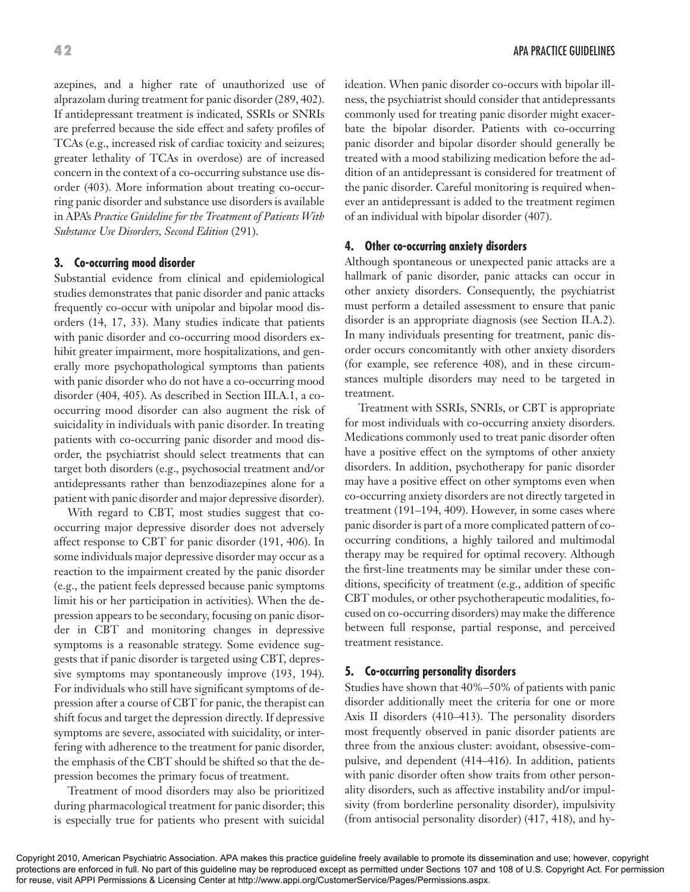azepines, and a higher rate of unauthorized use of alprazolam during treatment for panic disorder (289, 402). If antidepressant treatment is indicated, SSRIs or SNRIs are preferred because the side effect and safety profiles of TCAs (e.g., increased risk of cardiac toxicity and seizures; greater lethality of TCAs in overdose) are of increased concern in the context of a co-occurring substance use disorder (403). More information about treating co-occurring panic disorder and substance use disorders is available in APA's *Practice Guideline for the Treatment of Patients With Substance Use Disorders, Second Edition* (291).

#### **3. Co-occurring mood disorder**

Substantial evidence from clinical and epidemiological studies demonstrates that panic disorder and panic attacks frequently co-occur with unipolar and bipolar mood disorders (14, 17, 33). Many studies indicate that patients with panic disorder and co-occurring mood disorders exhibit greater impairment, more hospitalizations, and generally more psychopathological symptoms than patients with panic disorder who do not have a co-occurring mood disorder (404, 405). As described in Section III.A.1, a cooccurring mood disorder can also augment the risk of suicidality in individuals with panic disorder. In treating patients with co-occurring panic disorder and mood disorder, the psychiatrist should select treatments that can target both disorders (e.g., psychosocial treatment and/or antidepressants rather than benzodiazepines alone for a patient with panic disorder and major depressive disorder).

With regard to CBT, most studies suggest that cooccurring major depressive disorder does not adversely affect response to CBT for panic disorder (191, 406). In some individuals major depressive disorder may occur as a reaction to the impairment created by the panic disorder (e.g., the patient feels depressed because panic symptoms limit his or her participation in activities). When the depression appears to be secondary, focusing on panic disorder in CBT and monitoring changes in depressive symptoms is a reasonable strategy. Some evidence suggests that if panic disorder is targeted using CBT, depressive symptoms may spontaneously improve (193, 194). For individuals who still have significant symptoms of depression after a course of CBT for panic, the therapist can shift focus and target the depression directly. If depressive symptoms are severe, associated with suicidality, or interfering with adherence to the treatment for panic disorder, the emphasis of the CBT should be shifted so that the depression becomes the primary focus of treatment.

Treatment of mood disorders may also be prioritized during pharmacological treatment for panic disorder; this is especially true for patients who present with suicidal ideation. When panic disorder co-occurs with bipolar illness, the psychiatrist should consider that antidepressants commonly used for treating panic disorder might exacerbate the bipolar disorder. Patients with co-occurring panic disorder and bipolar disorder should generally be treated with a mood stabilizing medication before the addition of an antidepressant is considered for treatment of the panic disorder. Careful monitoring is required whenever an antidepressant is added to the treatment regimen of an individual with bipolar disorder (407).

#### **4. Other co-occurring anxiety disorders**

Although spontaneous or unexpected panic attacks are a hallmark of panic disorder, panic attacks can occur in other anxiety disorders. Consequently, the psychiatrist must perform a detailed assessment to ensure that panic disorder is an appropriate diagnosis (see Section II.A.2). In many individuals presenting for treatment, panic disorder occurs concomitantly with other anxiety disorders (for example, see reference 408), and in these circumstances multiple disorders may need to be targeted in treatment.

Treatment with SSRIs, SNRIs, or CBT is appropriate for most individuals with co-occurring anxiety disorders. Medications commonly used to treat panic disorder often have a positive effect on the symptoms of other anxiety disorders. In addition, psychotherapy for panic disorder may have a positive effect on other symptoms even when co-occurring anxiety disorders are not directly targeted in treatment (191–194, 409). However, in some cases where panic disorder is part of a more complicated pattern of cooccurring conditions, a highly tailored and multimodal therapy may be required for optimal recovery. Although the first-line treatments may be similar under these conditions, specificity of treatment (e.g., addition of specific CBT modules, or other psychotherapeutic modalities, focused on co-occurring disorders) may make the difference between full response, partial response, and perceived treatment resistance.

#### **5. Co-occurring personality disorders**

Studies have shown that 40%–50% of patients with panic disorder additionally meet the criteria for one or more Axis II disorders (410–413). The personality disorders most frequently observed in panic disorder patients are three from the anxious cluster: avoidant, obsessive-compulsive, and dependent (414–416). In addition, patients with panic disorder often show traits from other personality disorders, such as affective instability and/or impulsivity (from borderline personality disorder), impulsivity (from antisocial personality disorder) (417, 418), and hy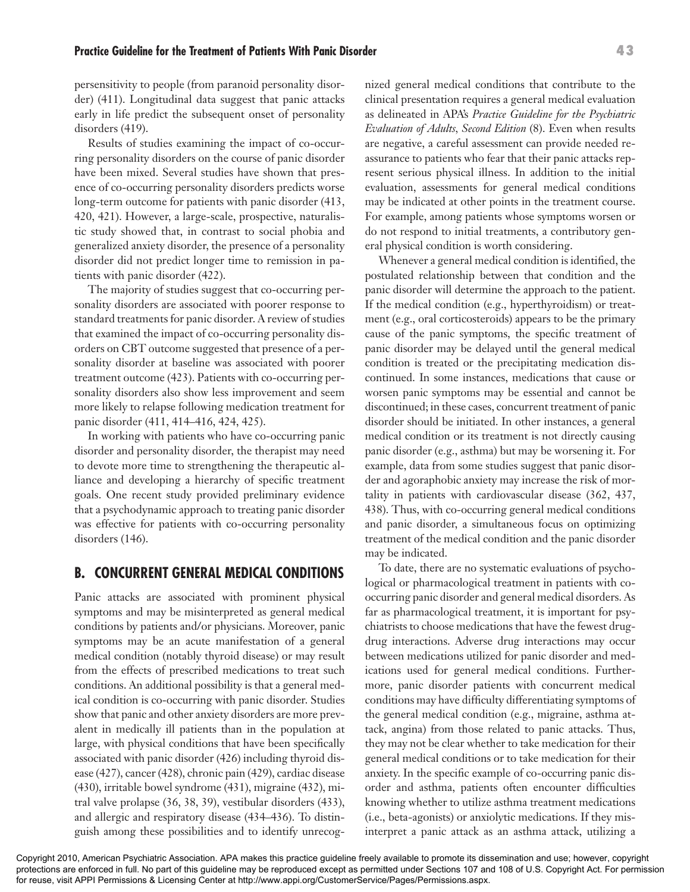persensitivity to people (from paranoid personality disorder) (411). Longitudinal data suggest that panic attacks early in life predict the subsequent onset of personality disorders (419).

Results of studies examining the impact of co-occurring personality disorders on the course of panic disorder have been mixed. Several studies have shown that presence of co-occurring personality disorders predicts worse long-term outcome for patients with panic disorder (413, 420, 421). However, a large-scale, prospective, naturalistic study showed that, in contrast to social phobia and generalized anxiety disorder, the presence of a personality disorder did not predict longer time to remission in patients with panic disorder (422).

The majority of studies suggest that co-occurring personality disorders are associated with poorer response to standard treatments for panic disorder. A review of studies that examined the impact of co-occurring personality disorders on CBT outcome suggested that presence of a personality disorder at baseline was associated with poorer treatment outcome (423). Patients with co-occurring personality disorders also show less improvement and seem more likely to relapse following medication treatment for panic disorder (411, 414–416, 424, 425).

In working with patients who have co-occurring panic disorder and personality disorder, the therapist may need to devote more time to strengthening the therapeutic alliance and developing a hierarchy of specific treatment goals. One recent study provided preliminary evidence that a psychodynamic approach to treating panic disorder was effective for patients with co-occurring personality disorders (146).

## **B. CONCURRENT GENERAL MEDICAL CONDITIONS**

Panic attacks are associated with prominent physical symptoms and may be misinterpreted as general medical conditions by patients and/or physicians. Moreover, panic symptoms may be an acute manifestation of a general medical condition (notably thyroid disease) or may result from the effects of prescribed medications to treat such conditions. An additional possibility is that a general medical condition is co-occurring with panic disorder. Studies show that panic and other anxiety disorders are more prevalent in medically ill patients than in the population at large, with physical conditions that have been specifically associated with panic disorder (426) including thyroid disease (427), cancer (428), chronic pain (429), cardiac disease (430), irritable bowel syndrome (431), migraine (432), mitral valve prolapse (36, 38, 39), vestibular disorders (433), and allergic and respiratory disease (434–436). To distinguish among these possibilities and to identify unrecognized general medical conditions that contribute to the clinical presentation requires a general medical evaluation as delineated in APA's *Practice Guideline for the Psychiatric Evaluation of Adults, Second Edition* (8). Even when results are negative, a careful assessment can provide needed reassurance to patients who fear that their panic attacks represent serious physical illness. In addition to the initial evaluation, assessments for general medical conditions may be indicated at other points in the treatment course. For example, among patients whose symptoms worsen or do not respond to initial treatments, a contributory general physical condition is worth considering.

Whenever a general medical condition is identified, the postulated relationship between that condition and the panic disorder will determine the approach to the patient. If the medical condition (e.g., hyperthyroidism) or treatment (e.g., oral corticosteroids) appears to be the primary cause of the panic symptoms, the specific treatment of panic disorder may be delayed until the general medical condition is treated or the precipitating medication discontinued. In some instances, medications that cause or worsen panic symptoms may be essential and cannot be discontinued; in these cases, concurrent treatment of panic disorder should be initiated. In other instances, a general medical condition or its treatment is not directly causing panic disorder (e.g., asthma) but may be worsening it. For example, data from some studies suggest that panic disorder and agoraphobic anxiety may increase the risk of mortality in patients with cardiovascular disease (362, 437, 438). Thus, with co-occurring general medical conditions and panic disorder, a simultaneous focus on optimizing treatment of the medical condition and the panic disorder may be indicated.

To date, there are no systematic evaluations of psychological or pharmacological treatment in patients with cooccurring panic disorder and general medical disorders. As far as pharmacological treatment, it is important for psychiatrists to choose medications that have the fewest drugdrug interactions. Adverse drug interactions may occur between medications utilized for panic disorder and medications used for general medical conditions. Furthermore, panic disorder patients with concurrent medical conditions may have difficulty differentiating symptoms of the general medical condition (e.g., migraine, asthma attack, angina) from those related to panic attacks. Thus, they may not be clear whether to take medication for their general medical conditions or to take medication for their anxiety. In the specific example of co-occurring panic disorder and asthma, patients often encounter difficulties knowing whether to utilize asthma treatment medications (i.e., beta-agonists) or anxiolytic medications. If they misinterpret a panic attack as an asthma attack, utilizing a

#### **Practice Guideline for the Treatment of Patients With Panic Disorder 43**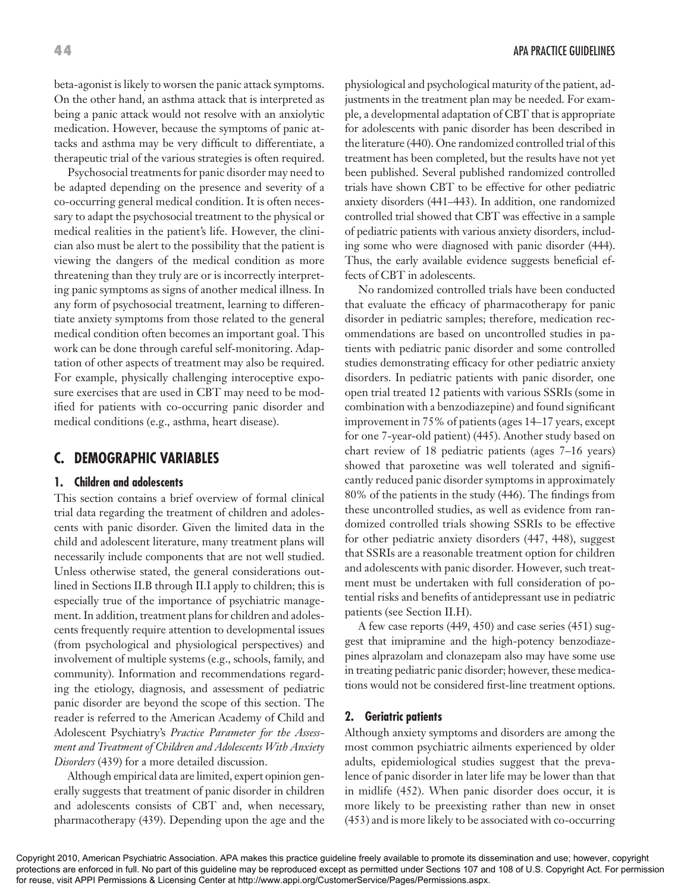beta-agonist is likely to worsen the panic attack symptoms. On the other hand, an asthma attack that is interpreted as being a panic attack would not resolve with an anxiolytic medication. However, because the symptoms of panic attacks and asthma may be very difficult to differentiate, a therapeutic trial of the various strategies is often required.

Psychosocial treatments for panic disorder may need to be adapted depending on the presence and severity of a co-occurring general medical condition. It is often necessary to adapt the psychosocial treatment to the physical or medical realities in the patient's life. However, the clinician also must be alert to the possibility that the patient is viewing the dangers of the medical condition as more threatening than they truly are or is incorrectly interpreting panic symptoms as signs of another medical illness. In any form of psychosocial treatment, learning to differentiate anxiety symptoms from those related to the general medical condition often becomes an important goal. This work can be done through careful self-monitoring. Adaptation of other aspects of treatment may also be required. For example, physically challenging interoceptive exposure exercises that are used in CBT may need to be modified for patients with co-occurring panic disorder and medical conditions (e.g., asthma, heart disease).

# **C. DEMOGRAPHIC VARIABLES**

#### **1. Children and adolescents**

This section contains a brief overview of formal clinical trial data regarding the treatment of children and adolescents with panic disorder. Given the limited data in the child and adolescent literature, many treatment plans will necessarily include components that are not well studied. Unless otherwise stated, the general considerations outlined in Sections II.B through II.I apply to children; this is especially true of the importance of psychiatric management. In addition, treatment plans for children and adolescents frequently require attention to developmental issues (from psychological and physiological perspectives) and involvement of multiple systems (e.g., schools, family, and community). Information and recommendations regarding the etiology, diagnosis, and assessment of pediatric panic disorder are beyond the scope of this section. The reader is referred to the American Academy of Child and Adolescent Psychiatry's *Practice Parameter for the Assessment and Treatment of Children and Adolescents With Anxiety Disorders* (439) for a more detailed discussion.

Although empirical data are limited, expert opinion generally suggests that treatment of panic disorder in children and adolescents consists of CBT and, when necessary, pharmacotherapy (439). Depending upon the age and the physiological and psychological maturity of the patient, adjustments in the treatment plan may be needed. For example, a developmental adaptation of CBT that is appropriate for adolescents with panic disorder has been described in the literature (440). One randomized controlled trial of this treatment has been completed, but the results have not yet been published. Several published randomized controlled trials have shown CBT to be effective for other pediatric anxiety disorders (441–443). In addition, one randomized controlled trial showed that CBT was effective in a sample of pediatric patients with various anxiety disorders, including some who were diagnosed with panic disorder (444). Thus, the early available evidence suggests beneficial effects of CBT in adolescents.

No randomized controlled trials have been conducted that evaluate the efficacy of pharmacotherapy for panic disorder in pediatric samples; therefore, medication recommendations are based on uncontrolled studies in patients with pediatric panic disorder and some controlled studies demonstrating efficacy for other pediatric anxiety disorders. In pediatric patients with panic disorder, one open trial treated 12 patients with various SSRIs (some in combination with a benzodiazepine) and found significant improvement in 75% of patients (ages 14–17 years, except for one 7-year-old patient) (445). Another study based on chart review of 18 pediatric patients (ages 7–16 years) showed that paroxetine was well tolerated and significantly reduced panic disorder symptoms in approximately 80% of the patients in the study (446). The findings from these uncontrolled studies, as well as evidence from randomized controlled trials showing SSRIs to be effective for other pediatric anxiety disorders (447, 448), suggest that SSRIs are a reasonable treatment option for children and adolescents with panic disorder. However, such treatment must be undertaken with full consideration of potential risks and benefits of antidepressant use in pediatric patients (see Section II.H).

A few case reports (449, 450) and case series (451) suggest that imipramine and the high-potency benzodiazepines alprazolam and clonazepam also may have some use in treating pediatric panic disorder; however, these medications would not be considered first-line treatment options.

#### **2. Geriatric patients**

Although anxiety symptoms and disorders are among the most common psychiatric ailments experienced by older adults, epidemiological studies suggest that the prevalence of panic disorder in later life may be lower than that in midlife (452). When panic disorder does occur, it is more likely to be preexisting rather than new in onset (453) and is more likely to be associated with co-occurring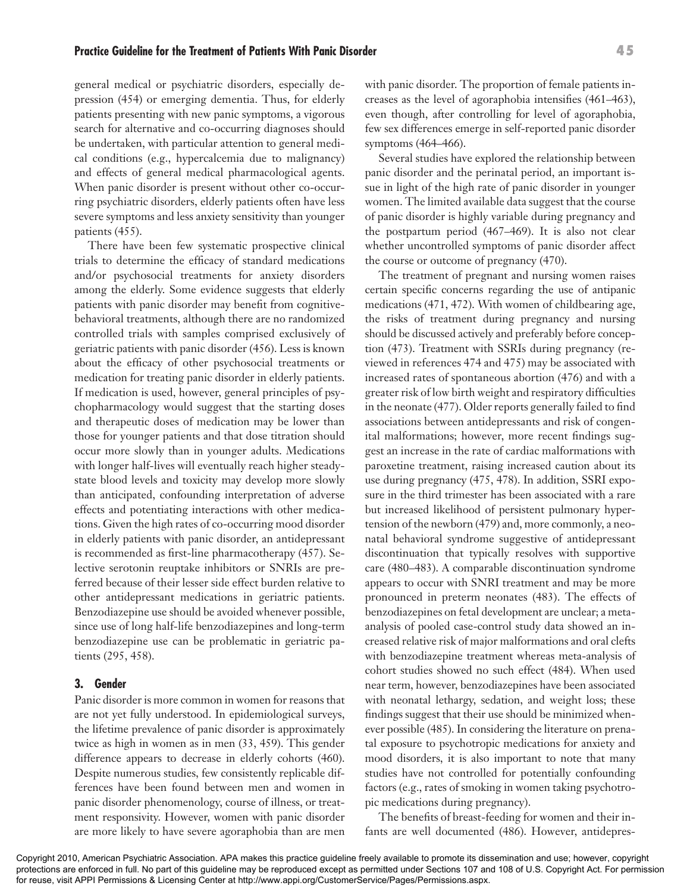general medical or psychiatric disorders, especially depression (454) or emerging dementia. Thus, for elderly patients presenting with new panic symptoms, a vigorous search for alternative and co-occurring diagnoses should be undertaken, with particular attention to general medical conditions (e.g., hypercalcemia due to malignancy) and effects of general medical pharmacological agents. When panic disorder is present without other co-occurring psychiatric disorders, elderly patients often have less severe symptoms and less anxiety sensitivity than younger patients (455).

There have been few systematic prospective clinical trials to determine the efficacy of standard medications and/or psychosocial treatments for anxiety disorders among the elderly. Some evidence suggests that elderly patients with panic disorder may benefit from cognitivebehavioral treatments, although there are no randomized controlled trials with samples comprised exclusively of geriatric patients with panic disorder (456). Less is known about the efficacy of other psychosocial treatments or medication for treating panic disorder in elderly patients. If medication is used, however, general principles of psychopharmacology would suggest that the starting doses and therapeutic doses of medication may be lower than those for younger patients and that dose titration should occur more slowly than in younger adults. Medications with longer half-lives will eventually reach higher steadystate blood levels and toxicity may develop more slowly than anticipated, confounding interpretation of adverse effects and potentiating interactions with other medications. Given the high rates of co-occurring mood disorder in elderly patients with panic disorder, an antidepressant is recommended as first-line pharmacotherapy (457). Selective serotonin reuptake inhibitors or SNRIs are preferred because of their lesser side effect burden relative to other antidepressant medications in geriatric patients. Benzodiazepine use should be avoided whenever possible, since use of long half-life benzodiazepines and long-term benzodiazepine use can be problematic in geriatric patients (295, 458).

#### **3. Gender**

Panic disorder is more common in women for reasons that are not yet fully understood. In epidemiological surveys, the lifetime prevalence of panic disorder is approximately twice as high in women as in men (33, 459). This gender difference appears to decrease in elderly cohorts (460). Despite numerous studies, few consistently replicable differences have been found between men and women in panic disorder phenomenology, course of illness, or treatment responsivity. However, women with panic disorder are more likely to have severe agoraphobia than are men

with panic disorder. The proportion of female patients increases as the level of agoraphobia intensifies (461–463), even though, after controlling for level of agoraphobia, few sex differences emerge in self-reported panic disorder symptoms (464–466).

Several studies have explored the relationship between panic disorder and the perinatal period, an important issue in light of the high rate of panic disorder in younger women. The limited available data suggest that the course of panic disorder is highly variable during pregnancy and the postpartum period (467–469). It is also not clear whether uncontrolled symptoms of panic disorder affect the course or outcome of pregnancy (470).

The treatment of pregnant and nursing women raises certain specific concerns regarding the use of antipanic medications (471, 472). With women of childbearing age, the risks of treatment during pregnancy and nursing should be discussed actively and preferably before conception (473). Treatment with SSRIs during pregnancy (reviewed in references 474 and 475) may be associated with increased rates of spontaneous abortion (476) and with a greater risk of low birth weight and respiratory difficulties in the neonate (477). Older reports generally failed to find associations between antidepressants and risk of congenital malformations; however, more recent findings suggest an increase in the rate of cardiac malformations with paroxetine treatment, raising increased caution about its use during pregnancy (475, 478). In addition, SSRI exposure in the third trimester has been associated with a rare but increased likelihood of persistent pulmonary hypertension of the newborn (479) and, more commonly, a neonatal behavioral syndrome suggestive of antidepressant discontinuation that typically resolves with supportive care (480–483). A comparable discontinuation syndrome appears to occur with SNRI treatment and may be more pronounced in preterm neonates (483). The effects of benzodiazepines on fetal development are unclear; a metaanalysis of pooled case-control study data showed an increased relative risk of major malformations and oral clefts with benzodiazepine treatment whereas meta-analysis of cohort studies showed no such effect (484). When used near term, however, benzodiazepines have been associated with neonatal lethargy, sedation, and weight loss; these findings suggest that their use should be minimized whenever possible (485). In considering the literature on prenatal exposure to psychotropic medications for anxiety and mood disorders, it is also important to note that many studies have not controlled for potentially confounding factors (e.g., rates of smoking in women taking psychotropic medications during pregnancy).

The benefits of breast-feeding for women and their infants are well documented (486). However, antidepres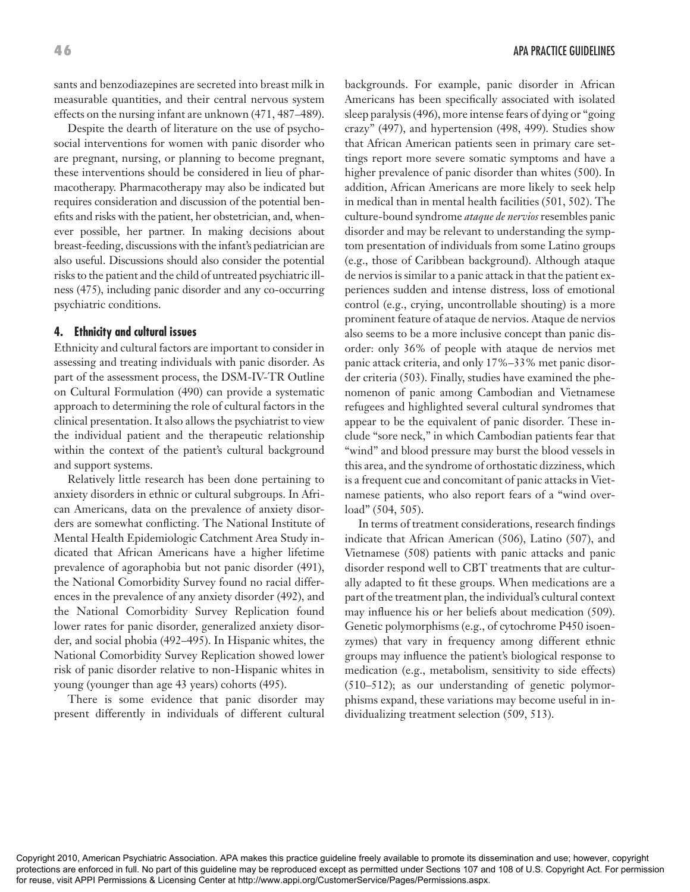sants and benzodiazepines are secreted into breast milk in measurable quantities, and their central nervous system effects on the nursing infant are unknown (471, 487–489).

Despite the dearth of literature on the use of psychosocial interventions for women with panic disorder who are pregnant, nursing, or planning to become pregnant, these interventions should be considered in lieu of pharmacotherapy. Pharmacotherapy may also be indicated but requires consideration and discussion of the potential benefits and risks with the patient, her obstetrician, and, whenever possible, her partner. In making decisions about breast-feeding, discussions with the infant's pediatrician are also useful. Discussions should also consider the potential risks to the patient and the child of untreated psychiatric illness (475), including panic disorder and any co-occurring psychiatric conditions.

#### **4. Ethnicity and cultural issues**

Ethnicity and cultural factors are important to consider in assessing and treating individuals with panic disorder. As part of the assessment process, the DSM-IV-TR Outline on Cultural Formulation (490) can provide a systematic approach to determining the role of cultural factors in the clinical presentation. It also allows the psychiatrist to view the individual patient and the therapeutic relationship within the context of the patient's cultural background and support systems.

Relatively little research has been done pertaining to anxiety disorders in ethnic or cultural subgroups. In African Americans, data on the prevalence of anxiety disorders are somewhat conflicting. The National Institute of Mental Health Epidemiologic Catchment Area Study indicated that African Americans have a higher lifetime prevalence of agoraphobia but not panic disorder (491), the National Comorbidity Survey found no racial differences in the prevalence of any anxiety disorder (492), and the National Comorbidity Survey Replication found lower rates for panic disorder, generalized anxiety disorder, and social phobia (492–495). In Hispanic whites, the National Comorbidity Survey Replication showed lower risk of panic disorder relative to non-Hispanic whites in young (younger than age 43 years) cohorts (495).

There is some evidence that panic disorder may present differently in individuals of different cultural

backgrounds. For example, panic disorder in African Americans has been specifically associated with isolated sleep paralysis (496), more intense fears of dying or "going crazy" (497), and hypertension (498, 499). Studies show that African American patients seen in primary care settings report more severe somatic symptoms and have a higher prevalence of panic disorder than whites (500). In addition, African Americans are more likely to seek help in medical than in mental health facilities (501, 502). The culture-bound syndrome *ataque de nervios* resembles panic disorder and may be relevant to understanding the symptom presentation of individuals from some Latino groups (e.g., those of Caribbean background). Although ataque de nervios is similar to a panic attack in that the patient experiences sudden and intense distress, loss of emotional control (e.g., crying, uncontrollable shouting) is a more prominent feature of ataque de nervios. Ataque de nervios also seems to be a more inclusive concept than panic disorder: only 36% of people with ataque de nervios met panic attack criteria, and only 17%–33% met panic disorder criteria (503). Finally, studies have examined the phenomenon of panic among Cambodian and Vietnamese refugees and highlighted several cultural syndromes that appear to be the equivalent of panic disorder. These include "sore neck," in which Cambodian patients fear that "wind" and blood pressure may burst the blood vessels in this area, and the syndrome of orthostatic dizziness, which is a frequent cue and concomitant of panic attacks in Vietnamese patients, who also report fears of a "wind overload" (504, 505).

In terms of treatment considerations, research findings indicate that African American (506), Latino (507), and Vietnamese (508) patients with panic attacks and panic disorder respond well to CBT treatments that are culturally adapted to fit these groups. When medications are a part of the treatment plan, the individual's cultural context may influence his or her beliefs about medication (509). Genetic polymorphisms (e.g., of cytochrome P450 isoenzymes) that vary in frequency among different ethnic groups may influence the patient's biological response to medication (e.g., metabolism, sensitivity to side effects) (510–512); as our understanding of genetic polymorphisms expand, these variations may become useful in individualizing treatment selection (509, 513).

Copyright 2010, American Psychiatric Association. APA makes this practice guideline freely available to promote its dissemination and use; however, copyright protections are enforced in full. No part of this guideline may be reproduced except as permitted under Sections 107 and 108 of U.S. Copyright Act. For permission for reuse, visit APPI Permissions & Licensing Center at http://www.appi.org/CustomerService/Pages/Permissions.aspx.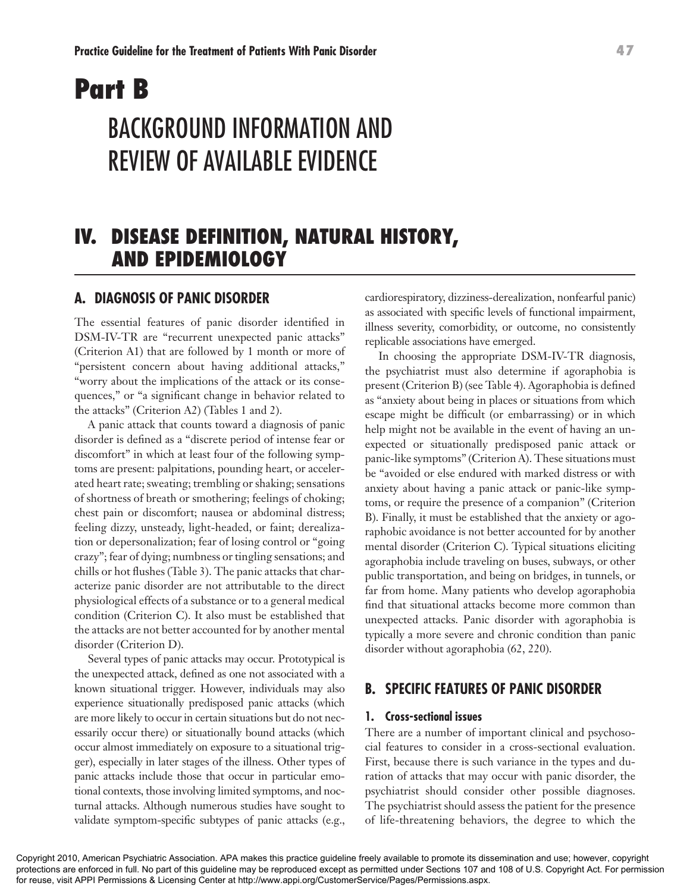# **Part B**  BACKGROUND INFORMATION AND REVIEW OF AVAILABLE EVIDENCE

# **IV. DISEASE DEFINITION, NATURAL HISTORY, AND EPIDEMIOLOGY**

### **A. DIAGNOSIS OF PANIC DISORDER**

The essential features of panic disorder identified in DSM-IV-TR are "recurrent unexpected panic attacks" (Criterion A1) that are followed by 1 month or more of "persistent concern about having additional attacks," "worry about the implications of the attack or its consequences," or "a significant change in behavior related to the attacks" (Criterion A2) (Tables 1 and 2).

A panic attack that counts toward a diagnosis of panic disorder is defined as a "discrete period of intense fear or discomfort" in which at least four of the following symptoms are present: palpitations, pounding heart, or accelerated heart rate; sweating; trembling or shaking; sensations of shortness of breath or smothering; feelings of choking; chest pain or discomfort; nausea or abdominal distress; feeling dizzy, unsteady, light-headed, or faint; derealization or depersonalization; fear of losing control or "going crazy"; fear of dying; numbness or tingling sensations; and chills or hot flushes (Table 3). The panic attacks that characterize panic disorder are not attributable to the direct physiological effects of a substance or to a general medical condition (Criterion C). It also must be established that the attacks are not better accounted for by another mental disorder (Criterion D).

Several types of panic attacks may occur. Prototypical is the unexpected attack, defined as one not associated with a known situational trigger. However, individuals may also experience situationally predisposed panic attacks (which are more likely to occur in certain situations but do not necessarily occur there) or situationally bound attacks (which occur almost immediately on exposure to a situational trigger), especially in later stages of the illness. Other types of panic attacks include those that occur in particular emotional contexts, those involving limited symptoms, and nocturnal attacks. Although numerous studies have sought to validate symptom-specific subtypes of panic attacks (e.g.,

cardiorespiratory, dizziness-derealization, nonfearful panic) as associated with specific levels of functional impairment, illness severity, comorbidity, or outcome, no consistently replicable associations have emerged.

In choosing the appropriate DSM-IV-TR diagnosis, the psychiatrist must also determine if agoraphobia is present (Criterion B) (see Table 4). Agoraphobia is defined as "anxiety about being in places or situations from which escape might be difficult (or embarrassing) or in which help might not be available in the event of having an unexpected or situationally predisposed panic attack or panic-like symptoms" (Criterion A). These situations must be "avoided or else endured with marked distress or with anxiety about having a panic attack or panic-like symptoms, or require the presence of a companion" (Criterion B). Finally, it must be established that the anxiety or agoraphobic avoidance is not better accounted for by another mental disorder (Criterion C). Typical situations eliciting agoraphobia include traveling on buses, subways, or other public transportation, and being on bridges, in tunnels, or far from home. Many patients who develop agoraphobia find that situational attacks become more common than unexpected attacks. Panic disorder with agoraphobia is typically a more severe and chronic condition than panic disorder without agoraphobia (62, 220).

## **B. SPECIFIC FEATURES OF PANIC DISORDER**

#### **1. Cross-sectional issues**

There are a number of important clinical and psychosocial features to consider in a cross-sectional evaluation. First, because there is such variance in the types and duration of attacks that may occur with panic disorder, the psychiatrist should consider other possible diagnoses. The psychiatrist should assess the patient for the presence of life-threatening behaviors, the degree to which the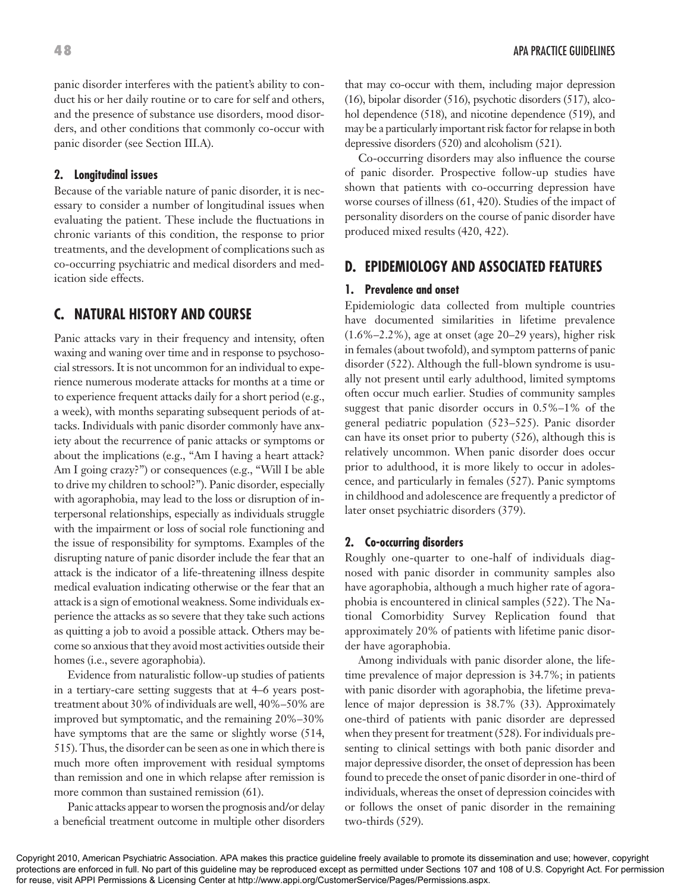panic disorder interferes with the patient's ability to conduct his or her daily routine or to care for self and others, and the presence of substance use disorders, mood disorders, and other conditions that commonly co-occur with panic disorder (see Section III.A).

#### **2. Longitudinal issues**

Because of the variable nature of panic disorder, it is necessary to consider a number of longitudinal issues when evaluating the patient. These include the fluctuations in chronic variants of this condition, the response to prior treatments, and the development of complications such as co-occurring psychiatric and medical disorders and medication side effects.

## **C. NATURAL HISTORY AND COURSE**

Panic attacks vary in their frequency and intensity, often waxing and waning over time and in response to psychosocial stressors. It is not uncommon for an individual to experience numerous moderate attacks for months at a time or to experience frequent attacks daily for a short period (e.g., a week), with months separating subsequent periods of attacks. Individuals with panic disorder commonly have anxiety about the recurrence of panic attacks or symptoms or about the implications (e.g., "Am I having a heart attack? Am I going crazy?") or consequences (e.g., "Will I be able to drive my children to school?"). Panic disorder, especially with agoraphobia, may lead to the loss or disruption of interpersonal relationships, especially as individuals struggle with the impairment or loss of social role functioning and the issue of responsibility for symptoms. Examples of the disrupting nature of panic disorder include the fear that an attack is the indicator of a life-threatening illness despite medical evaluation indicating otherwise or the fear that an attack is a sign of emotional weakness. Some individuals experience the attacks as so severe that they take such actions as quitting a job to avoid a possible attack. Others may become so anxious that they avoid most activities outside their homes (i.e., severe agoraphobia).

Evidence from naturalistic follow-up studies of patients in a tertiary-care setting suggests that at 4–6 years posttreatment about 30% of individuals are well, 40%–50% are improved but symptomatic, and the remaining 20%–30% have symptoms that are the same or slightly worse  $(514, 124)$ 515). Thus, the disorder can be seen as one in which there is much more often improvement with residual symptoms than remission and one in which relapse after remission is more common than sustained remission (61).

Panic attacks appear to worsen the prognosis and/or delay a beneficial treatment outcome in multiple other disorders that may co-occur with them, including major depression (16), bipolar disorder (516), psychotic disorders (517), alcohol dependence (518), and nicotine dependence (519), and may be a particularly important risk factor for relapse in both depressive disorders (520) and alcoholism (521).

Co-occurring disorders may also influence the course of panic disorder. Prospective follow-up studies have shown that patients with co-occurring depression have worse courses of illness (61, 420). Studies of the impact of personality disorders on the course of panic disorder have produced mixed results (420, 422).

## **D. EPIDEMIOLOGY AND ASSOCIATED FEATURES**

#### **1. Prevalence and onset**

Epidemiologic data collected from multiple countries have documented similarities in lifetime prevalence (1.6%–2.2%), age at onset (age 20–29 years), higher risk in females (about twofold), and symptom patterns of panic disorder (522). Although the full-blown syndrome is usually not present until early adulthood, limited symptoms often occur much earlier. Studies of community samples suggest that panic disorder occurs in 0.5%–1% of the general pediatric population (523–525). Panic disorder can have its onset prior to puberty (526), although this is relatively uncommon. When panic disorder does occur prior to adulthood, it is more likely to occur in adolescence, and particularly in females (527). Panic symptoms in childhood and adolescence are frequently a predictor of later onset psychiatric disorders (379).

#### **2. Co-occurring disorders**

Roughly one-quarter to one-half of individuals diagnosed with panic disorder in community samples also have agoraphobia, although a much higher rate of agoraphobia is encountered in clinical samples (522). The National Comorbidity Survey Replication found that approximately 20% of patients with lifetime panic disorder have agoraphobia.

Among individuals with panic disorder alone, the lifetime prevalence of major depression is 34.7%; in patients with panic disorder with agoraphobia, the lifetime prevalence of major depression is 38.7% (33). Approximately one-third of patients with panic disorder are depressed when they present for treatment (528). For individuals presenting to clinical settings with both panic disorder and major depressive disorder, the onset of depression has been found to precede the onset of panic disorder in one-third of individuals, whereas the onset of depression coincides with or follows the onset of panic disorder in the remaining two-thirds (529).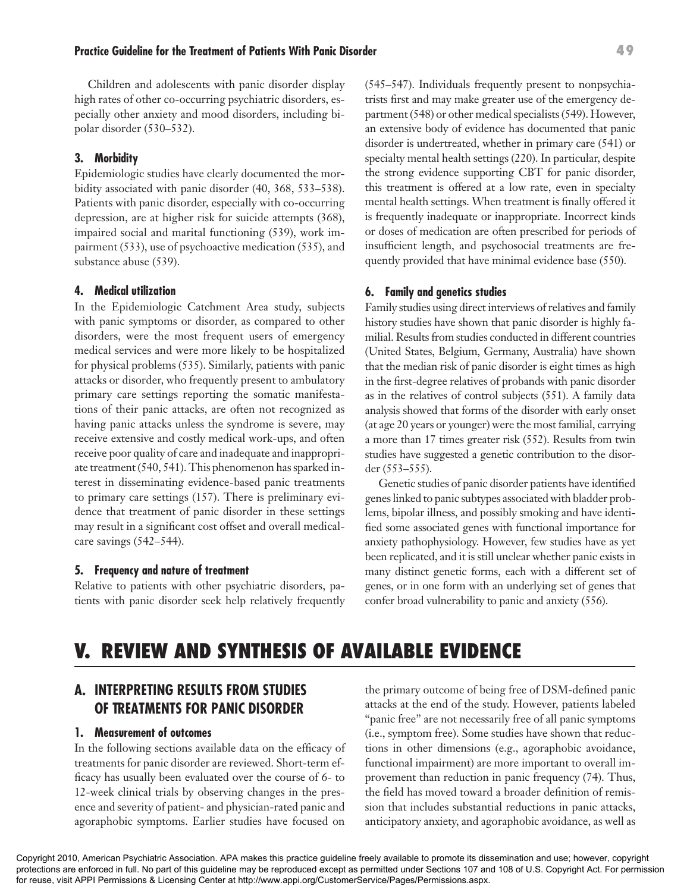# **Practice Guideline for the Treatment of Patients With Panic Disorder 49**

Children and adolescents with panic disorder display high rates of other co-occurring psychiatric disorders, especially other anxiety and mood disorders, including bipolar disorder (530–532).

#### **3. Morbidity**

Epidemiologic studies have clearly documented the morbidity associated with panic disorder (40, 368, 533–538). Patients with panic disorder, especially with co-occurring depression, are at higher risk for suicide attempts (368), impaired social and marital functioning (539), work impairment (533), use of psychoactive medication (535), and substance abuse (539).

#### **4. Medical utilization**

In the Epidemiologic Catchment Area study, subjects with panic symptoms or disorder, as compared to other disorders, were the most frequent users of emergency medical services and were more likely to be hospitalized for physical problems (535). Similarly, patients with panic attacks or disorder, who frequently present to ambulatory primary care settings reporting the somatic manifestations of their panic attacks, are often not recognized as having panic attacks unless the syndrome is severe, may receive extensive and costly medical work-ups, and often receive poor quality of care and inadequate and inappropriate treatment (540, 541). This phenomenon has sparked interest in disseminating evidence-based panic treatments to primary care settings (157). There is preliminary evidence that treatment of panic disorder in these settings may result in a significant cost offset and overall medicalcare savings (542–544).

#### **5. Frequency and nature of treatment**

Relative to patients with other psychiatric disorders, patients with panic disorder seek help relatively frequently (545–547). Individuals frequently present to nonpsychiatrists first and may make greater use of the emergency department (548) or other medical specialists (549). However, an extensive body of evidence has documented that panic disorder is undertreated, whether in primary care (541) or specialty mental health settings (220). In particular, despite the strong evidence supporting CBT for panic disorder, this treatment is offered at a low rate, even in specialty mental health settings. When treatment is finally offered it is frequently inadequate or inappropriate. Incorrect kinds or doses of medication are often prescribed for periods of insufficient length, and psychosocial treatments are frequently provided that have minimal evidence base (550).

#### **6. Family and genetics studies**

Family studies using direct interviews of relatives and family history studies have shown that panic disorder is highly familial. Results from studies conducted in different countries (United States, Belgium, Germany, Australia) have shown that the median risk of panic disorder is eight times as high in the first-degree relatives of probands with panic disorder as in the relatives of control subjects (551). A family data analysis showed that forms of the disorder with early onset (at age 20 years or younger) were the most familial, carrying a more than 17 times greater risk (552). Results from twin studies have suggested a genetic contribution to the disorder (553–555).

Genetic studies of panic disorder patients have identified genes linked to panic subtypes associated with bladder problems, bipolar illness, and possibly smoking and have identified some associated genes with functional importance for anxiety pathophysiology. However, few studies have as yet been replicated, and it is still unclear whether panic exists in many distinct genetic forms, each with a different set of genes, or in one form with an underlying set of genes that confer broad vulnerability to panic and anxiety (556).

# **V. REVIEW AND SYNTHESIS OF AVAILABLE EVIDENCE**

# **A. INTERPRETING RESULTS FROM STUDIES OF TREATMENTS FOR PANIC DISORDER**

#### **1. Measurement of outcomes**

In the following sections available data on the efficacy of treatments for panic disorder are reviewed. Short-term efficacy has usually been evaluated over the course of 6- to 12-week clinical trials by observing changes in the presence and severity of patient- and physician-rated panic and agoraphobic symptoms. Earlier studies have focused on

the primary outcome of being free of DSM-defined panic attacks at the end of the study. However, patients labeled "panic free" are not necessarily free of all panic symptoms (i.e., symptom free). Some studies have shown that reductions in other dimensions (e.g., agoraphobic avoidance, functional impairment) are more important to overall improvement than reduction in panic frequency (74). Thus, the field has moved toward a broader definition of remission that includes substantial reductions in panic attacks, anticipatory anxiety, and agoraphobic avoidance, as well as

Copyright 2010, American Psychiatric Association. APA makes this practice guideline freely available to promote its dissemination and use; however, copyright protections are enforced in full. No part of this guideline may be reproduced except as permitted under Sections 107 and 108 of U.S. Copyright Act. For permission for reuse, visit APPI Permissions & Licensing Center at http://www.appi.org/CustomerService/Pages/Permissions.aspx.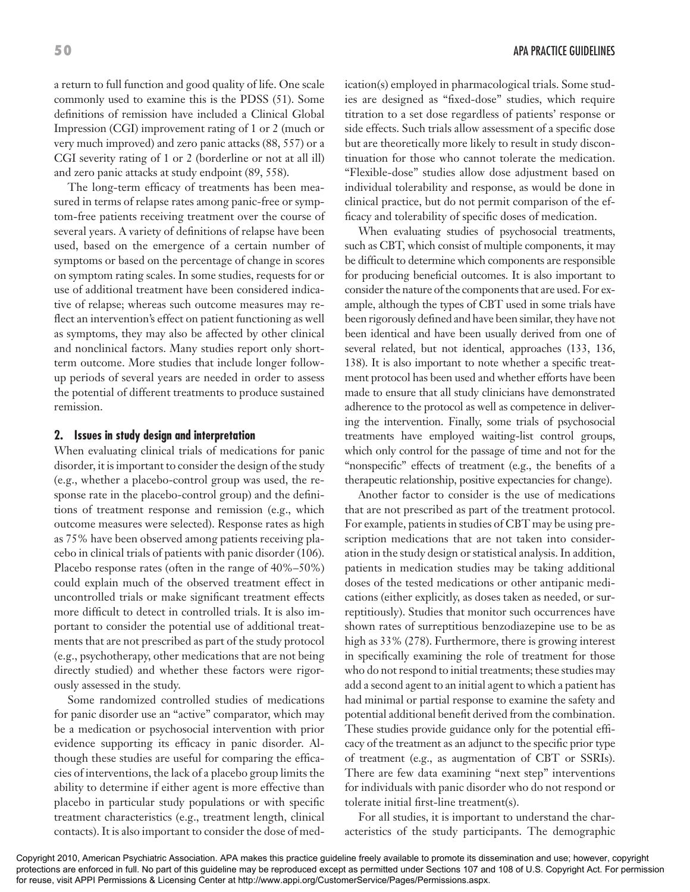a return to full function and good quality of life. One scale commonly used to examine this is the PDSS (51). Some definitions of remission have included a Clinical Global Impression (CGI) improvement rating of 1 or 2 (much or very much improved) and zero panic attacks (88, 557) or a CGI severity rating of 1 or 2 (borderline or not at all ill) and zero panic attacks at study endpoint (89, 558).

The long-term efficacy of treatments has been measured in terms of relapse rates among panic-free or symptom-free patients receiving treatment over the course of several years. A variety of definitions of relapse have been used, based on the emergence of a certain number of symptoms or based on the percentage of change in scores on symptom rating scales. In some studies, requests for or use of additional treatment have been considered indicative of relapse; whereas such outcome measures may reflect an intervention's effect on patient functioning as well as symptoms, they may also be affected by other clinical and nonclinical factors. Many studies report only shortterm outcome. More studies that include longer followup periods of several years are needed in order to assess the potential of different treatments to produce sustained remission.

#### **2. Issues in study design and interpretation**

When evaluating clinical trials of medications for panic disorder, it is important to consider the design of the study (e.g., whether a placebo-control group was used, the response rate in the placebo-control group) and the definitions of treatment response and remission (e.g., which outcome measures were selected). Response rates as high as 75% have been observed among patients receiving placebo in clinical trials of patients with panic disorder (106). Placebo response rates (often in the range of 40%–50%) could explain much of the observed treatment effect in uncontrolled trials or make significant treatment effects more difficult to detect in controlled trials. It is also important to consider the potential use of additional treatments that are not prescribed as part of the study protocol (e.g., psychotherapy, other medications that are not being directly studied) and whether these factors were rigorously assessed in the study.

Some randomized controlled studies of medications for panic disorder use an "active" comparator, which may be a medication or psychosocial intervention with prior evidence supporting its efficacy in panic disorder. Although these studies are useful for comparing the efficacies of interventions, the lack of a placebo group limits the ability to determine if either agent is more effective than placebo in particular study populations or with specific treatment characteristics (e.g., treatment length, clinical contacts). It is also important to consider the dose of medication(s) employed in pharmacological trials. Some studies are designed as "fixed-dose" studies, which require titration to a set dose regardless of patients' response or side effects. Such trials allow assessment of a specific dose but are theoretically more likely to result in study discontinuation for those who cannot tolerate the medication. "Flexible-dose" studies allow dose adjustment based on individual tolerability and response, as would be done in clinical practice, but do not permit comparison of the efficacy and tolerability of specific doses of medication.

When evaluating studies of psychosocial treatments, such as CBT, which consist of multiple components, it may be difficult to determine which components are responsible for producing beneficial outcomes. It is also important to consider the nature of the components that are used. For example, although the types of CBT used in some trials have been rigorously defined and have been similar, they have not been identical and have been usually derived from one of several related, but not identical, approaches (133, 136, 138). It is also important to note whether a specific treatment protocol has been used and whether efforts have been made to ensure that all study clinicians have demonstrated adherence to the protocol as well as competence in delivering the intervention. Finally, some trials of psychosocial treatments have employed waiting-list control groups, which only control for the passage of time and not for the "nonspecific" effects of treatment (e.g., the benefits of a therapeutic relationship, positive expectancies for change).

Another factor to consider is the use of medications that are not prescribed as part of the treatment protocol. For example, patients in studies of CBT may be using prescription medications that are not taken into consideration in the study design or statistical analysis. In addition, patients in medication studies may be taking additional doses of the tested medications or other antipanic medications (either explicitly, as doses taken as needed, or surreptitiously). Studies that monitor such occurrences have shown rates of surreptitious benzodiazepine use to be as high as 33% (278). Furthermore, there is growing interest in specifically examining the role of treatment for those who do not respond to initial treatments; these studies may add a second agent to an initial agent to which a patient has had minimal or partial response to examine the safety and potential additional benefit derived from the combination. These studies provide guidance only for the potential efficacy of the treatment as an adjunct to the specific prior type of treatment (e.g., as augmentation of CBT or SSRIs). There are few data examining "next step" interventions for individuals with panic disorder who do not respond or tolerate initial first-line treatment(s).

For all studies, it is important to understand the characteristics of the study participants. The demographic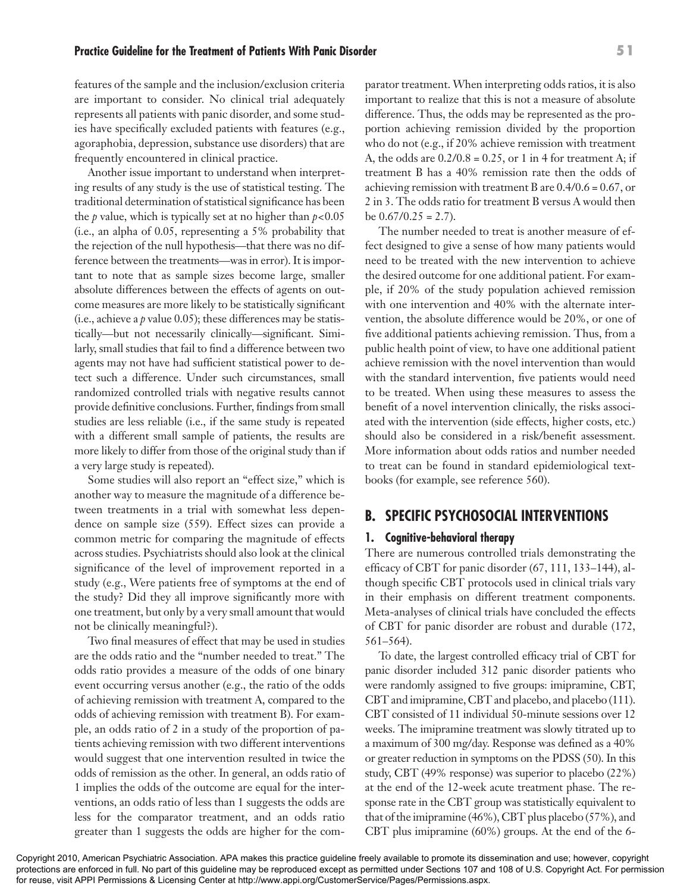### features of the sample and the inclusion/exclusion criteria are important to consider. No clinical trial adequately represents all patients with panic disorder, and some studies have specifically excluded patients with features (e.g., agoraphobia, depression, substance use disorders) that are frequently encountered in clinical practice.

Another issue important to understand when interpreting results of any study is the use of statistical testing. The traditional determination of statistical significance has been the *p* value, which is typically set at no higher than  $p < 0.05$ (i.e., an alpha of 0.05, representing a 5% probability that the rejection of the null hypothesis—that there was no difference between the treatments—was in error). It is important to note that as sample sizes become large, smaller absolute differences between the effects of agents on outcome measures are more likely to be statistically significant (i.e., achieve a *p* value 0.05); these differences may be statistically—but not necessarily clinically—significant. Similarly, small studies that fail to find a difference between two agents may not have had sufficient statistical power to detect such a difference. Under such circumstances, small randomized controlled trials with negative results cannot provide definitive conclusions. Further, findings from small studies are less reliable (i.e., if the same study is repeated with a different small sample of patients, the results are more likely to differ from those of the original study than if a very large study is repeated).

Some studies will also report an "effect size," which is another way to measure the magnitude of a difference between treatments in a trial with somewhat less dependence on sample size (559). Effect sizes can provide a common metric for comparing the magnitude of effects across studies. Psychiatrists should also look at the clinical significance of the level of improvement reported in a study (e.g., Were patients free of symptoms at the end of the study? Did they all improve significantly more with one treatment, but only by a very small amount that would not be clinically meaningful?).

Two final measures of effect that may be used in studies are the odds ratio and the "number needed to treat." The odds ratio provides a measure of the odds of one binary event occurring versus another (e.g., the ratio of the odds of achieving remission with treatment A, compared to the odds of achieving remission with treatment B). For example, an odds ratio of 2 in a study of the proportion of patients achieving remission with two different interventions would suggest that one intervention resulted in twice the odds of remission as the other. In general, an odds ratio of 1 implies the odds of the outcome are equal for the interventions, an odds ratio of less than 1 suggests the odds are less for the comparator treatment, and an odds ratio greater than 1 suggests the odds are higher for the comparator treatment. When interpreting odds ratios, it is also important to realize that this is not a measure of absolute difference. Thus, the odds may be represented as the proportion achieving remission divided by the proportion who do not (e.g., if 20% achieve remission with treatment A, the odds are  $0.2/0.8 = 0.25$ , or 1 in 4 for treatment A; if treatment B has a 40% remission rate then the odds of achieving remission with treatment B are 0.4/0.6 = 0.67, or 2 in 3. The odds ratio for treatment B versus A would then be  $0.67/0.25 = 2.7$ ).

The number needed to treat is another measure of effect designed to give a sense of how many patients would need to be treated with the new intervention to achieve the desired outcome for one additional patient. For example, if 20% of the study population achieved remission with one intervention and 40% with the alternate intervention, the absolute difference would be 20%, or one of five additional patients achieving remission. Thus, from a public health point of view, to have one additional patient achieve remission with the novel intervention than would with the standard intervention, five patients would need to be treated. When using these measures to assess the benefit of a novel intervention clinically, the risks associated with the intervention (side effects, higher costs, etc.) should also be considered in a risk/benefit assessment. More information about odds ratios and number needed to treat can be found in standard epidemiological textbooks (for example, see reference 560).

# **B. SPECIFIC PSYCHOSOCIAL INTERVENTIONS**

## **1. Cognitive-behavioral therapy**

There are numerous controlled trials demonstrating the efficacy of CBT for panic disorder (67, 111, 133–144), although specific CBT protocols used in clinical trials vary in their emphasis on different treatment components. Meta-analyses of clinical trials have concluded the effects of CBT for panic disorder are robust and durable (172, 561–564).

To date, the largest controlled efficacy trial of CBT for panic disorder included 312 panic disorder patients who were randomly assigned to five groups: imipramine, CBT, CBT and imipramine, CBT and placebo, and placebo (111). CBT consisted of 11 individual 50-minute sessions over 12 weeks. The imipramine treatment was slowly titrated up to a maximum of 300 mg/day. Response was defined as a 40% or greater reduction in symptoms on the PDSS (50). In this study, CBT (49% response) was superior to placebo (22%) at the end of the 12-week acute treatment phase. The response rate in the CBT group was statistically equivalent to that of the imipramine (46%), CBT plus placebo (57%), and CBT plus imipramine (60%) groups. At the end of the 6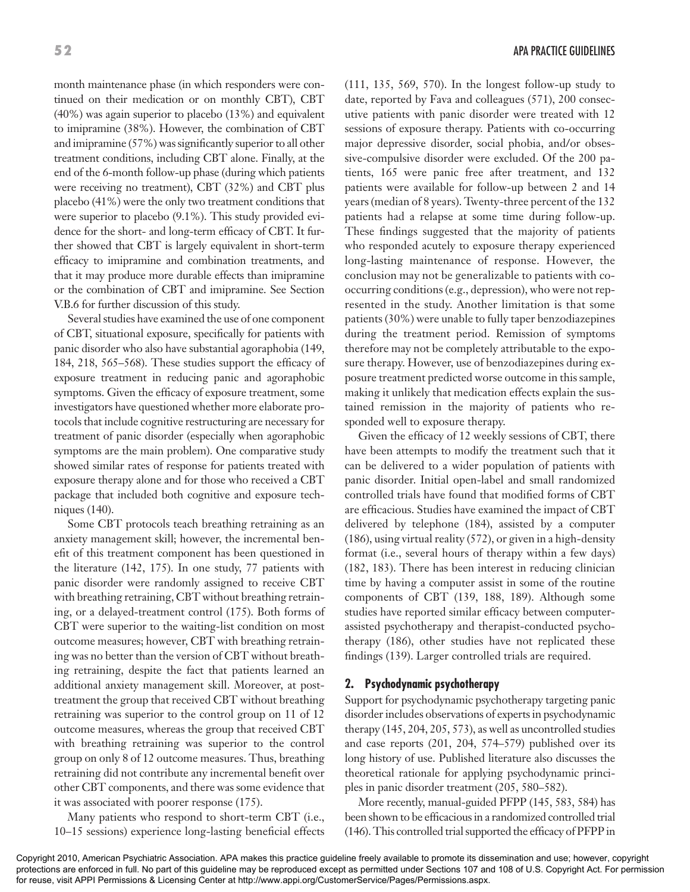month maintenance phase (in which responders were continued on their medication or on monthly CBT), CBT (40%) was again superior to placebo (13%) and equivalent to imipramine (38%). However, the combination of CBT and imipramine (57%) was significantly superior to all other treatment conditions, including CBT alone. Finally, at the end of the 6-month follow-up phase (during which patients were receiving no treatment), CBT (32%) and CBT plus placebo (41%) were the only two treatment conditions that were superior to placebo (9.1%). This study provided evidence for the short- and long-term efficacy of CBT. It further showed that CBT is largely equivalent in short-term efficacy to imipramine and combination treatments, and that it may produce more durable effects than imipramine or the combination of CBT and imipramine. See Section V.B.6 for further discussion of this study.

Several studies have examined the use of one component of CBT, situational exposure, specifically for patients with panic disorder who also have substantial agoraphobia (149, 184, 218, 565–568). These studies support the efficacy of exposure treatment in reducing panic and agoraphobic symptoms. Given the efficacy of exposure treatment, some investigators have questioned whether more elaborate protocols that include cognitive restructuring are necessary for treatment of panic disorder (especially when agoraphobic symptoms are the main problem). One comparative study showed similar rates of response for patients treated with exposure therapy alone and for those who received a CBT package that included both cognitive and exposure techniques (140).

Some CBT protocols teach breathing retraining as an anxiety management skill; however, the incremental benefit of this treatment component has been questioned in the literature (142, 175). In one study, 77 patients with panic disorder were randomly assigned to receive CBT with breathing retraining, CBT without breathing retraining, or a delayed-treatment control (175). Both forms of CBT were superior to the waiting-list condition on most outcome measures; however, CBT with breathing retraining was no better than the version of CBT without breathing retraining, despite the fact that patients learned an additional anxiety management skill. Moreover, at posttreatment the group that received CBT without breathing retraining was superior to the control group on 11 of 12 outcome measures, whereas the group that received CBT with breathing retraining was superior to the control group on only 8 of 12 outcome measures. Thus, breathing retraining did not contribute any incremental benefit over other CBT components, and there was some evidence that it was associated with poorer response (175).

Many patients who respond to short-term CBT (i.e., 10–15 sessions) experience long-lasting beneficial effects (111, 135, 569, 570). In the longest follow-up study to date, reported by Fava and colleagues (571), 200 consecutive patients with panic disorder were treated with 12 sessions of exposure therapy. Patients with co-occurring major depressive disorder, social phobia, and/or obsessive-compulsive disorder were excluded. Of the 200 patients, 165 were panic free after treatment, and 132 patients were available for follow-up between 2 and 14 years (median of 8 years). Twenty-three percent of the 132 patients had a relapse at some time during follow-up. These findings suggested that the majority of patients who responded acutely to exposure therapy experienced long-lasting maintenance of response. However, the conclusion may not be generalizable to patients with cooccurring conditions (e.g., depression), who were not represented in the study. Another limitation is that some patients (30%) were unable to fully taper benzodiazepines during the treatment period. Remission of symptoms therefore may not be completely attributable to the exposure therapy. However, use of benzodiazepines during exposure treatment predicted worse outcome in this sample, making it unlikely that medication effects explain the sustained remission in the majority of patients who responded well to exposure therapy.

Given the efficacy of 12 weekly sessions of CBT, there have been attempts to modify the treatment such that it can be delivered to a wider population of patients with panic disorder. Initial open-label and small randomized controlled trials have found that modified forms of CBT are efficacious. Studies have examined the impact of CBT delivered by telephone (184), assisted by a computer (186), using virtual reality (572), or given in a high-density format (i.e., several hours of therapy within a few days) (182, 183). There has been interest in reducing clinician time by having a computer assist in some of the routine components of CBT (139, 188, 189). Although some studies have reported similar efficacy between computerassisted psychotherapy and therapist-conducted psychotherapy (186), other studies have not replicated these findings (139). Larger controlled trials are required.

#### **2. Psychodynamic psychotherapy**

Support for psychodynamic psychotherapy targeting panic disorder includes observations of experts in psychodynamic therapy (145, 204, 205, 573), as well as uncontrolled studies and case reports (201, 204, 574–579) published over its long history of use. Published literature also discusses the theoretical rationale for applying psychodynamic principles in panic disorder treatment (205, 580–582).

More recently, manual-guided PFPP (145, 583, 584) has been shown to be efficacious in a randomized controlled trial (146). This controlled trial supported the efficacy of PFPP in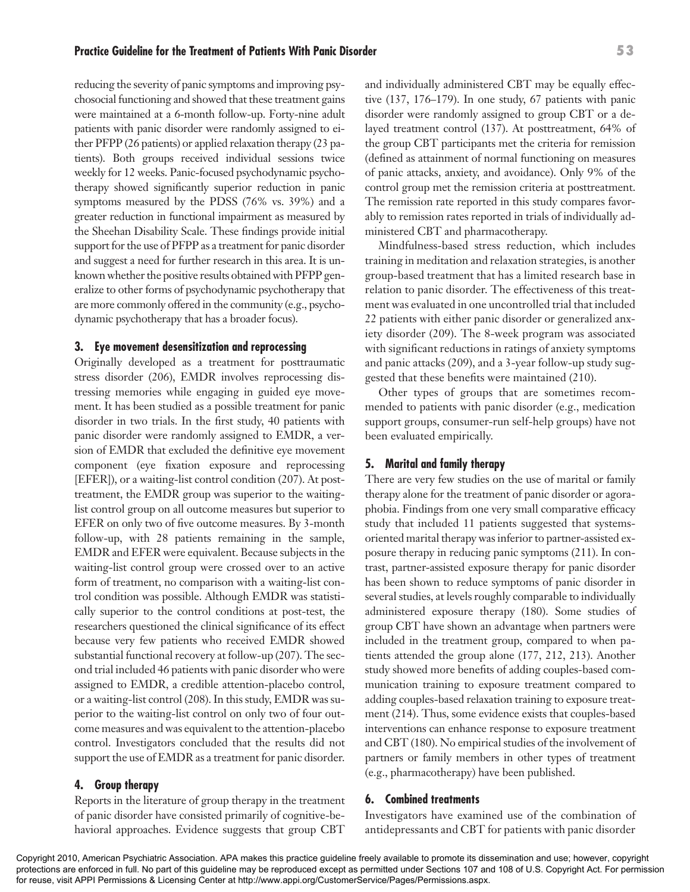reducing the severity of panic symptoms and improving psychosocial functioning and showed that these treatment gains were maintained at a 6-month follow-up. Forty-nine adult patients with panic disorder were randomly assigned to either PFPP (26 patients) or applied relaxation therapy (23 patients). Both groups received individual sessions twice weekly for 12 weeks. Panic-focused psychodynamic psychotherapy showed significantly superior reduction in panic symptoms measured by the PDSS (76% vs. 39%) and a greater reduction in functional impairment as measured by the Sheehan Disability Scale. These findings provide initial support for the use of PFPP as a treatment for panic disorder and suggest a need for further research in this area. It is unknown whether the positive results obtained with PFPP generalize to other forms of psychodynamic psychotherapy that are more commonly offered in the community (e.g., psychodynamic psychotherapy that has a broader focus).

#### **3. Eye movement desensitization and reprocessing**

Originally developed as a treatment for posttraumatic stress disorder (206), EMDR involves reprocessing distressing memories while engaging in guided eye movement. It has been studied as a possible treatment for panic disorder in two trials. In the first study, 40 patients with panic disorder were randomly assigned to EMDR, a version of EMDR that excluded the definitive eye movement component (eye fixation exposure and reprocessing [EFER]), or a waiting-list control condition (207). At posttreatment, the EMDR group was superior to the waitinglist control group on all outcome measures but superior to EFER on only two of five outcome measures. By 3-month follow-up, with 28 patients remaining in the sample, EMDR and EFER were equivalent. Because subjects in the waiting-list control group were crossed over to an active form of treatment, no comparison with a waiting-list control condition was possible. Although EMDR was statistically superior to the control conditions at post-test, the researchers questioned the clinical significance of its effect because very few patients who received EMDR showed substantial functional recovery at follow-up (207). The second trial included 46 patients with panic disorder who were assigned to EMDR, a credible attention-placebo control, or a waiting-list control (208). In this study, EMDR was superior to the waiting-list control on only two of four outcome measures and was equivalent to the attention-placebo control. Investigators concluded that the results did not support the use of EMDR as a treatment for panic disorder.

#### **4. Group therapy**

Reports in the literature of group therapy in the treatment of panic disorder have consisted primarily of cognitive-behavioral approaches. Evidence suggests that group CBT and individually administered CBT may be equally effective (137, 176–179). In one study, 67 patients with panic disorder were randomly assigned to group CBT or a delayed treatment control (137). At posttreatment, 64% of the group CBT participants met the criteria for remission (defined as attainment of normal functioning on measures of panic attacks, anxiety, and avoidance). Only 9% of the control group met the remission criteria at posttreatment. The remission rate reported in this study compares favorably to remission rates reported in trials of individually administered CBT and pharmacotherapy.

Mindfulness-based stress reduction, which includes training in meditation and relaxation strategies, is another group-based treatment that has a limited research base in relation to panic disorder. The effectiveness of this treatment was evaluated in one uncontrolled trial that included 22 patients with either panic disorder or generalized anxiety disorder (209). The 8-week program was associated with significant reductions in ratings of anxiety symptoms and panic attacks (209), and a 3-year follow-up study suggested that these benefits were maintained (210).

Other types of groups that are sometimes recommended to patients with panic disorder (e.g., medication support groups, consumer-run self-help groups) have not been evaluated empirically.

#### **5. Marital and family therapy**

There are very few studies on the use of marital or family therapy alone for the treatment of panic disorder or agoraphobia. Findings from one very small comparative efficacy study that included 11 patients suggested that systemsoriented marital therapy was inferior to partner-assisted exposure therapy in reducing panic symptoms (211). In contrast, partner-assisted exposure therapy for panic disorder has been shown to reduce symptoms of panic disorder in several studies, at levels roughly comparable to individually administered exposure therapy (180). Some studies of group CBT have shown an advantage when partners were included in the treatment group, compared to when patients attended the group alone (177, 212, 213). Another study showed more benefits of adding couples-based communication training to exposure treatment compared to adding couples-based relaxation training to exposure treatment (214). Thus, some evidence exists that couples-based interventions can enhance response to exposure treatment and CBT (180). No empirical studies of the involvement of partners or family members in other types of treatment (e.g., pharmacotherapy) have been published.

#### **6. Combined treatments**

Investigators have examined use of the combination of antidepressants and CBT for patients with panic disorder

#### **Practice Guideline for the Treatment of Patients With Panic Disorder 53**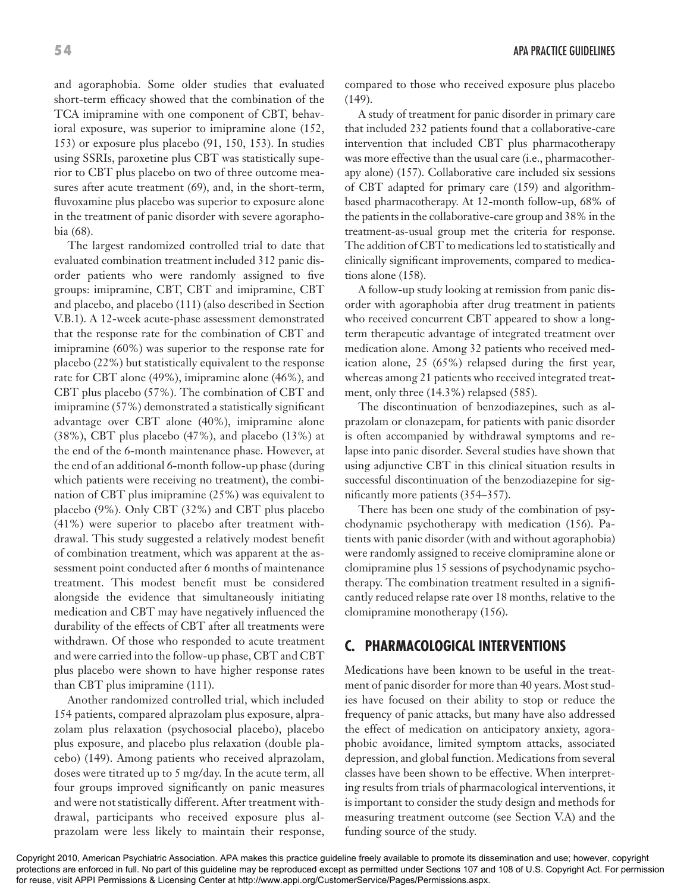and agoraphobia. Some older studies that evaluated short-term efficacy showed that the combination of the TCA imipramine with one component of CBT, behavioral exposure, was superior to imipramine alone (152, 153) or exposure plus placebo (91, 150, 153). In studies using SSRIs, paroxetine plus CBT was statistically superior to CBT plus placebo on two of three outcome measures after acute treatment (69), and, in the short-term, fluvoxamine plus placebo was superior to exposure alone in the treatment of panic disorder with severe agoraphobia (68).

The largest randomized controlled trial to date that evaluated combination treatment included 312 panic disorder patients who were randomly assigned to five groups: imipramine, CBT, CBT and imipramine, CBT and placebo, and placebo (111) (also described in Section V.B.1). A 12-week acute-phase assessment demonstrated that the response rate for the combination of CBT and imipramine (60%) was superior to the response rate for placebo (22%) but statistically equivalent to the response rate for CBT alone (49%), imipramine alone (46%), and CBT plus placebo (57%). The combination of CBT and imipramine (57%) demonstrated a statistically significant advantage over CBT alone (40%), imipramine alone (38%), CBT plus placebo (47%), and placebo (13%) at the end of the 6-month maintenance phase. However, at the end of an additional 6-month follow-up phase (during which patients were receiving no treatment), the combination of CBT plus imipramine (25%) was equivalent to placebo (9%). Only CBT (32%) and CBT plus placebo (41%) were superior to placebo after treatment withdrawal. This study suggested a relatively modest benefit of combination treatment, which was apparent at the assessment point conducted after 6 months of maintenance treatment. This modest benefit must be considered alongside the evidence that simultaneously initiating medication and CBT may have negatively influenced the durability of the effects of CBT after all treatments were withdrawn. Of those who responded to acute treatment and were carried into the follow-up phase, CBT and CBT plus placebo were shown to have higher response rates than CBT plus imipramine (111).

Another randomized controlled trial, which included 154 patients, compared alprazolam plus exposure, alprazolam plus relaxation (psychosocial placebo), placebo plus exposure, and placebo plus relaxation (double placebo) (149). Among patients who received alprazolam, doses were titrated up to 5 mg/day. In the acute term, all four groups improved significantly on panic measures and were not statistically different. After treatment withdrawal, participants who received exposure plus alprazolam were less likely to maintain their response, compared to those who received exposure plus placebo (149).

A study of treatment for panic disorder in primary care that included 232 patients found that a collaborative-care intervention that included CBT plus pharmacotherapy was more effective than the usual care (i.e., pharmacotherapy alone) (157). Collaborative care included six sessions of CBT adapted for primary care (159) and algorithmbased pharmacotherapy. At 12-month follow-up, 68% of the patients in the collaborative-care group and 38% in the treatment-as-usual group met the criteria for response. The addition of CBT to medications led to statistically and clinically significant improvements, compared to medications alone (158).

A follow-up study looking at remission from panic disorder with agoraphobia after drug treatment in patients who received concurrent CBT appeared to show a longterm therapeutic advantage of integrated treatment over medication alone. Among 32 patients who received medication alone, 25 (65%) relapsed during the first year, whereas among 21 patients who received integrated treatment, only three (14.3%) relapsed (585).

The discontinuation of benzodiazepines, such as alprazolam or clonazepam, for patients with panic disorder is often accompanied by withdrawal symptoms and relapse into panic disorder. Several studies have shown that using adjunctive CBT in this clinical situation results in successful discontinuation of the benzodiazepine for significantly more patients (354–357).

There has been one study of the combination of psychodynamic psychotherapy with medication (156). Patients with panic disorder (with and without agoraphobia) were randomly assigned to receive clomipramine alone or clomipramine plus 15 sessions of psychodynamic psychotherapy. The combination treatment resulted in a significantly reduced relapse rate over 18 months, relative to the clomipramine monotherapy (156).

# **C. PHARMACOLOGICAL INTERVENTIONS**

Medications have been known to be useful in the treatment of panic disorder for more than 40 years. Most studies have focused on their ability to stop or reduce the frequency of panic attacks, but many have also addressed the effect of medication on anticipatory anxiety, agoraphobic avoidance, limited symptom attacks, associated depression, and global function. Medications from several classes have been shown to be effective. When interpreting results from trials of pharmacological interventions, it is important to consider the study design and methods for measuring treatment outcome (see Section V.A) and the funding source of the study.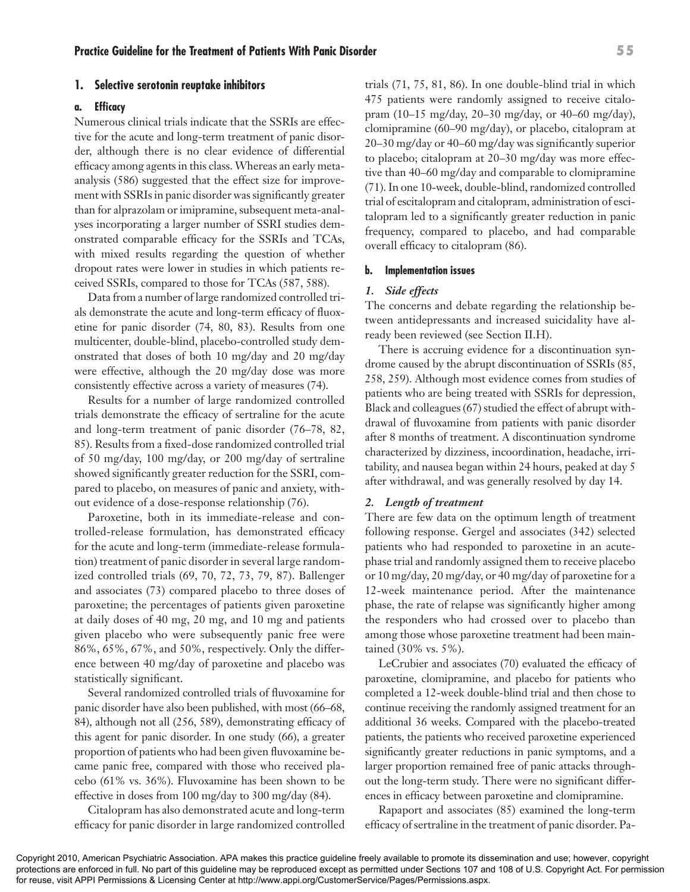#### **1. Selective serotonin reuptake inhibitors**

#### **a. Efficacy**

Numerous clinical trials indicate that the SSRIs are effective for the acute and long-term treatment of panic disorder, although there is no clear evidence of differential efficacy among agents in this class. Whereas an early metaanalysis (586) suggested that the effect size for improvement with SSRIs in panic disorder was significantly greater than for alprazolam or imipramine, subsequent meta-analyses incorporating a larger number of SSRI studies demonstrated comparable efficacy for the SSRIs and TCAs, with mixed results regarding the question of whether dropout rates were lower in studies in which patients received SSRIs, compared to those for TCAs (587, 588).

Data from a number of large randomized controlled trials demonstrate the acute and long-term efficacy of fluoxetine for panic disorder (74, 80, 83). Results from one multicenter, double-blind, placebo-controlled study demonstrated that doses of both 10 mg/day and 20 mg/day were effective, although the 20 mg/day dose was more consistently effective across a variety of measures (74).

Results for a number of large randomized controlled trials demonstrate the efficacy of sertraline for the acute and long-term treatment of panic disorder (76–78, 82, 85). Results from a fixed-dose randomized controlled trial of 50 mg/day, 100 mg/day, or 200 mg/day of sertraline showed significantly greater reduction for the SSRI, compared to placebo, on measures of panic and anxiety, without evidence of a dose-response relationship (76).

Paroxetine, both in its immediate-release and controlled-release formulation, has demonstrated efficacy for the acute and long-term (immediate-release formulation) treatment of panic disorder in several large randomized controlled trials (69, 70, 72, 73, 79, 87). Ballenger and associates (73) compared placebo to three doses of paroxetine; the percentages of patients given paroxetine at daily doses of 40 mg, 20 mg, and 10 mg and patients given placebo who were subsequently panic free were 86%, 65%, 67%, and 50%, respectively. Only the difference between 40 mg/day of paroxetine and placebo was statistically significant.

Several randomized controlled trials of fluvoxamine for panic disorder have also been published, with most (66–68, 84), although not all (256, 589), demonstrating efficacy of this agent for panic disorder. In one study (66), a greater proportion of patients who had been given fluvoxamine became panic free, compared with those who received placebo (61% vs. 36%). Fluvoxamine has been shown to be effective in doses from 100 mg/day to 300 mg/day (84).

Citalopram has also demonstrated acute and long-term efficacy for panic disorder in large randomized controlled

trials (71, 75, 81, 86). In one double-blind trial in which 475 patients were randomly assigned to receive citalopram (10–15 mg/day, 20–30 mg/day, or 40–60 mg/day), clomipramine (60–90 mg/day), or placebo, citalopram at 20–30 mg/day or 40–60 mg/day was significantly superior to placebo; citalopram at 20–30 mg/day was more effective than 40–60 mg/day and comparable to clomipramine (71). In one 10-week, double-blind, randomized controlled trial of escitalopram and citalopram, administration of escitalopram led to a significantly greater reduction in panic frequency, compared to placebo, and had comparable overall efficacy to citalopram (86).

#### **b. Implementation issues**

#### *1. Side effects*

The concerns and debate regarding the relationship between antidepressants and increased suicidality have already been reviewed (see Section II.H).

There is accruing evidence for a discontinuation syndrome caused by the abrupt discontinuation of SSRIs (85, 258, 259). Although most evidence comes from studies of patients who are being treated with SSRIs for depression, Black and colleagues (67) studied the effect of abrupt withdrawal of fluvoxamine from patients with panic disorder after 8 months of treatment. A discontinuation syndrome characterized by dizziness, incoordination, headache, irritability, and nausea began within 24 hours, peaked at day 5 after withdrawal, and was generally resolved by day 14.

#### *2. Length of treatment*

There are few data on the optimum length of treatment following response. Gergel and associates (342) selected patients who had responded to paroxetine in an acutephase trial and randomly assigned them to receive placebo or 10 mg/day, 20 mg/day, or 40 mg/day of paroxetine for a 12-week maintenance period. After the maintenance phase, the rate of relapse was significantly higher among the responders who had crossed over to placebo than among those whose paroxetine treatment had been maintained (30% vs. 5%).

LeCrubier and associates (70) evaluated the efficacy of paroxetine, clomipramine, and placebo for patients who completed a 12-week double-blind trial and then chose to continue receiving the randomly assigned treatment for an additional 36 weeks. Compared with the placebo-treated patients, the patients who received paroxetine experienced significantly greater reductions in panic symptoms, and a larger proportion remained free of panic attacks throughout the long-term study. There were no significant differences in efficacy between paroxetine and clomipramine.

Rapaport and associates (85) examined the long-term efficacy of sertraline in the treatment of panic disorder. Pa-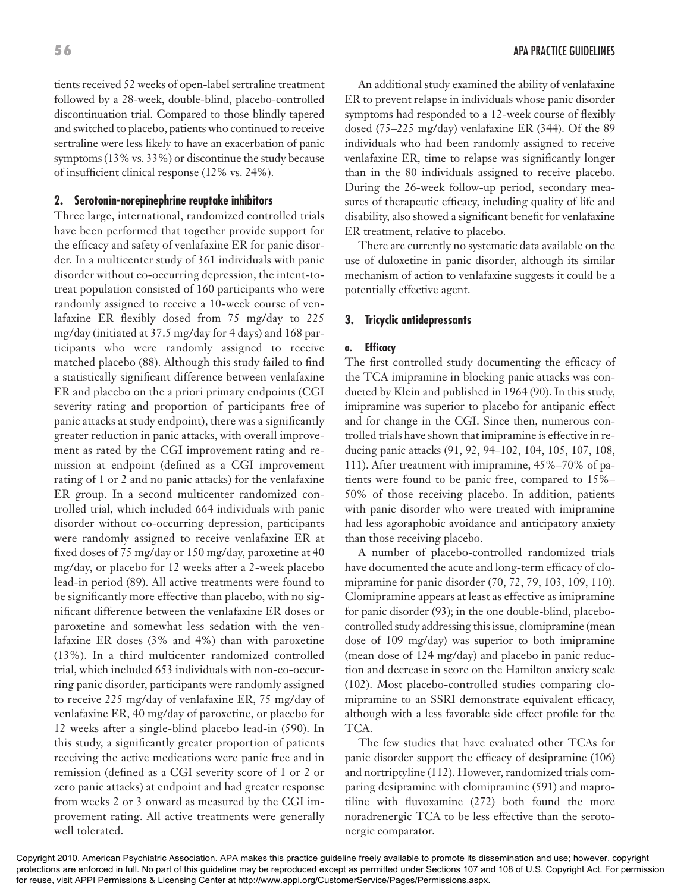tients received 52 weeks of open-label sertraline treatment followed by a 28-week, double-blind, placebo-controlled discontinuation trial. Compared to those blindly tapered and switched to placebo, patients who continued to receive sertraline were less likely to have an exacerbation of panic symptoms (13% vs. 33%) or discontinue the study because of insufficient clinical response (12% vs. 24%).

#### **2. Serotonin-norepinephrine reuptake inhibitors**

Three large, international, randomized controlled trials have been performed that together provide support for the efficacy and safety of venlafaxine ER for panic disorder. In a multicenter study of 361 individuals with panic disorder without co-occurring depression, the intent-totreat population consisted of 160 participants who were randomly assigned to receive a 10-week course of venlafaxine ER flexibly dosed from 75 mg/day to 225 mg/day (initiated at 37.5 mg/day for 4 days) and 168 participants who were randomly assigned to receive matched placebo (88). Although this study failed to find a statistically significant difference between venlafaxine ER and placebo on the a priori primary endpoints (CGI severity rating and proportion of participants free of panic attacks at study endpoint), there was a significantly greater reduction in panic attacks, with overall improvement as rated by the CGI improvement rating and remission at endpoint (defined as a CGI improvement rating of 1 or 2 and no panic attacks) for the venlafaxine ER group. In a second multicenter randomized controlled trial, which included 664 individuals with panic disorder without co-occurring depression, participants were randomly assigned to receive venlafaxine ER at fixed doses of 75 mg/day or 150 mg/day, paroxetine at 40 mg/day, or placebo for 12 weeks after a 2-week placebo lead-in period (89). All active treatments were found to be significantly more effective than placebo, with no significant difference between the venlafaxine ER doses or paroxetine and somewhat less sedation with the venlafaxine ER doses (3% and 4%) than with paroxetine (13%). In a third multicenter randomized controlled trial, which included 653 individuals with non-co-occurring panic disorder, participants were randomly assigned to receive 225 mg/day of venlafaxine ER, 75 mg/day of venlafaxine ER, 40 mg/day of paroxetine, or placebo for 12 weeks after a single-blind placebo lead-in (590). In this study, a significantly greater proportion of patients receiving the active medications were panic free and in remission (defined as a CGI severity score of 1 or 2 or zero panic attacks) at endpoint and had greater response from weeks 2 or 3 onward as measured by the CGI improvement rating. All active treatments were generally well tolerated.

An additional study examined the ability of venlafaxine ER to prevent relapse in individuals whose panic disorder symptoms had responded to a 12-week course of flexibly dosed (75–225 mg/day) venlafaxine ER (344). Of the 89 individuals who had been randomly assigned to receive venlafaxine ER, time to relapse was significantly longer than in the 80 individuals assigned to receive placebo. During the 26-week follow-up period, secondary measures of therapeutic efficacy, including quality of life and disability, also showed a significant benefit for venlafaxine ER treatment, relative to placebo.

There are currently no systematic data available on the use of duloxetine in panic disorder, although its similar mechanism of action to venlafaxine suggests it could be a potentially effective agent.

#### **3. Tricyclic antidepressants**

#### **a. Efficacy**

The first controlled study documenting the efficacy of the TCA imipramine in blocking panic attacks was conducted by Klein and published in 1964 (90). In this study, imipramine was superior to placebo for antipanic effect and for change in the CGI. Since then, numerous controlled trials have shown that imipramine is effective in reducing panic attacks (91, 92, 94–102, 104, 105, 107, 108, 111). After treatment with imipramine, 45%–70% of patients were found to be panic free, compared to 15%– 50% of those receiving placebo. In addition, patients with panic disorder who were treated with imipramine had less agoraphobic avoidance and anticipatory anxiety than those receiving placebo.

A number of placebo-controlled randomized trials have documented the acute and long-term efficacy of clomipramine for panic disorder (70, 72, 79, 103, 109, 110). Clomipramine appears at least as effective as imipramine for panic disorder (93); in the one double-blind, placebocontrolled study addressing this issue, clomipramine (mean dose of 109 mg/day) was superior to both imipramine (mean dose of 124 mg/day) and placebo in panic reduction and decrease in score on the Hamilton anxiety scale (102). Most placebo-controlled studies comparing clomipramine to an SSRI demonstrate equivalent efficacy, although with a less favorable side effect profile for the TCA.

The few studies that have evaluated other TCAs for panic disorder support the efficacy of desipramine (106) and nortriptyline (112). However, randomized trials comparing desipramine with clomipramine (591) and maprotiline with fluvoxamine (272) both found the more noradrenergic TCA to be less effective than the serotonergic comparator.

Copyright 2010, American Psychiatric Association. APA makes this practice guideline freely available to promote its dissemination and use; however, copyright protections are enforced in full. No part of this guideline may be reproduced except as permitted under Sections 107 and 108 of U.S. Copyright Act. For permission for reuse, visit APPI Permissions & Licensing Center at http://www.appi.org/CustomerService/Pages/Permissions.aspx.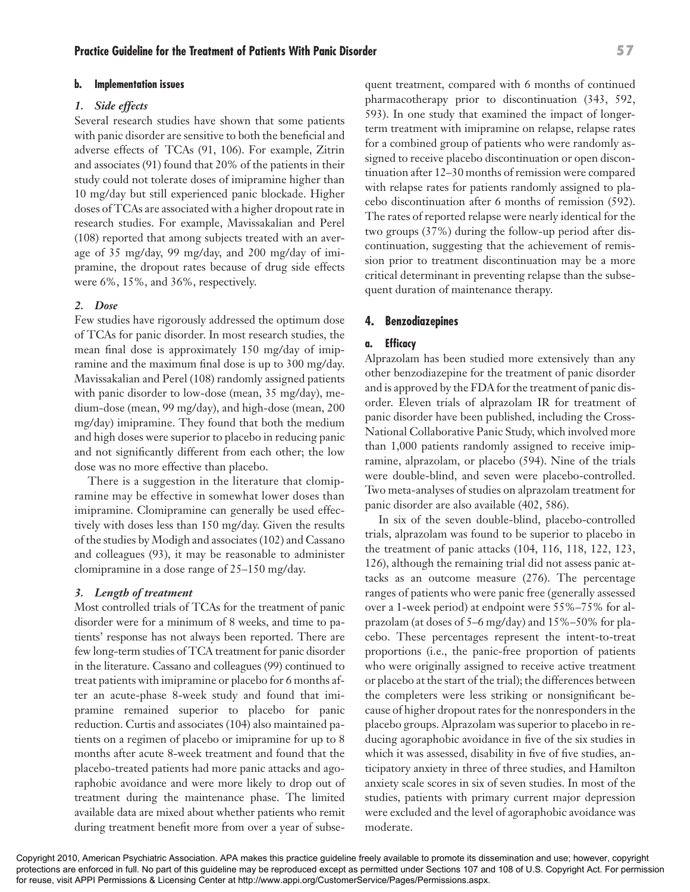#### **b. Implementation issues**

#### *1. Side effects*

Several research studies have shown that some patients with panic disorder are sensitive to both the beneficial and adverse effects of TCAs (91, 106). For example, Zitrin and associates (91) found that 20% of the patients in their study could not tolerate doses of imipramine higher than 10 mg/day but still experienced panic blockade. Higher doses of TCAs are associated with a higher dropout rate in research studies. For example, Mavissakalian and Perel (108) reported that among subjects treated with an average of 35 mg/day, 99 mg/day, and 200 mg/day of imipramine, the dropout rates because of drug side effects were 6%, 15%, and 36%, respectively.

#### *2. Dose*

Few studies have rigorously addressed the optimum dose of TCAs for panic disorder. In most research studies, the mean final dose is approximately 150 mg/day of imipramine and the maximum final dose is up to 300 mg/day. Mavissakalian and Perel (108) randomly assigned patients with panic disorder to low-dose (mean, 35 mg/day), medium-dose (mean, 99 mg/day), and high-dose (mean, 200 mg/day) imipramine. They found that both the medium and high doses were superior to placebo in reducing panic and not significantly different from each other; the low dose was no more effective than placebo.

There is a suggestion in the literature that clomipramine may be effective in somewhat lower doses than imipramine. Clomipramine can generally be used effectively with doses less than 150 mg/day. Given the results of the studies by Modigh and associates (102) and Cassano and colleagues (93), it may be reasonable to administer clomipramine in a dose range of 25–150 mg/day.

#### *3. Length of treatment*

Most controlled trials of TCAs for the treatment of panic disorder were for a minimum of 8 weeks, and time to patients' response has not always been reported. There are few long-term studies of TCA treatment for panic disorder in the literature. Cassano and colleagues (99) continued to treat patients with imipramine or placebo for 6 months after an acute-phase 8-week study and found that imipramine remained superior to placebo for panic reduction. Curtis and associates (104) also maintained patients on a regimen of placebo or imipramine for up to 8 months after acute 8-week treatment and found that the placebo-treated patients had more panic attacks and agoraphobic avoidance and were more likely to drop out of treatment during the maintenance phase. The limited available data are mixed about whether patients who remit during treatment benefit more from over a year of subsequent treatment, compared with 6 months of continued pharmacotherapy prior to discontinuation (343, 592, 593). In one study that examined the impact of longerterm treatment with imipramine on relapse, relapse rates for a combined group of patients who were randomly assigned to receive placebo discontinuation or open discontinuation after 12–30 months of remission were compared with relapse rates for patients randomly assigned to placebo discontinuation after 6 months of remission (592). The rates of reported relapse were nearly identical for the two groups (37%) during the follow-up period after discontinuation, suggesting that the achievement of remission prior to treatment discontinuation may be a more critical determinant in preventing relapse than the subsequent duration of maintenance therapy.

#### **4. Benzodiazepines**

#### **a. Efficacy**

Alprazolam has been studied more extensively than any other benzodiazepine for the treatment of panic disorder and is approved by the FDA for the treatment of panic disorder. Eleven trials of alprazolam IR for treatment of panic disorder have been published, including the Cross-National Collaborative Panic Study, which involved more than 1,000 patients randomly assigned to receive imipramine, alprazolam, or placebo (594). Nine of the trials were double-blind, and seven were placebo-controlled. Two meta-analyses of studies on alprazolam treatment for panic disorder are also available (402, 586).

In six of the seven double-blind, placebo-controlled trials, alprazolam was found to be superior to placebo in the treatment of panic attacks (104, 116, 118, 122, 123, 126), although the remaining trial did not assess panic attacks as an outcome measure (276). The percentage ranges of patients who were panic free (generally assessed over a 1-week period) at endpoint were 55%–75% for alprazolam (at doses of 5–6 mg/day) and 15%–50% for placebo. These percentages represent the intent-to-treat proportions (i.e., the panic-free proportion of patients who were originally assigned to receive active treatment or placebo at the start of the trial); the differences between the completers were less striking or nonsignificant because of higher dropout rates for the nonresponders in the placebo groups. Alprazolam was superior to placebo in reducing agoraphobic avoidance in five of the six studies in which it was assessed, disability in five of five studies, anticipatory anxiety in three of three studies, and Hamilton anxiety scale scores in six of seven studies. In most of the studies, patients with primary current major depression were excluded and the level of agoraphobic avoidance was moderate.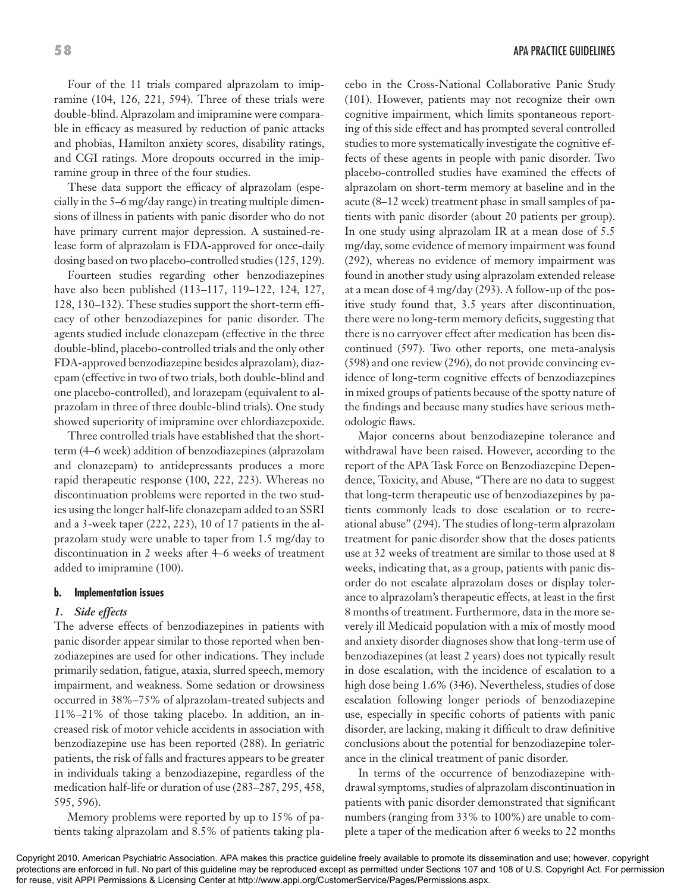Four of the 11 trials compared alprazolam to imipramine (104, 126, 221, 594). Three of these trials were double-blind. Alprazolam and imipramine were comparable in efficacy as measured by reduction of panic attacks and phobias, Hamilton anxiety scores, disability ratings, and CGI ratings. More dropouts occurred in the imipramine group in three of the four studies.

These data support the efficacy of alprazolam (especially in the 5–6 mg/day range) in treating multiple dimensions of illness in patients with panic disorder who do not have primary current major depression. A sustained-release form of alprazolam is FDA-approved for once-daily dosing based on two placebo-controlled studies (125, 129).

Fourteen studies regarding other benzodiazepines have also been published (113–117, 119–122, 124, 127, 128, 130–132). These studies support the short-term efficacy of other benzodiazepines for panic disorder. The agents studied include clonazepam (effective in the three double-blind, placebo-controlled trials and the only other FDA-approved benzodiazepine besides alprazolam), diazepam (effective in two of two trials, both double-blind and one placebo-controlled), and lorazepam (equivalent to alprazolam in three of three double-blind trials). One study showed superiority of imipramine over chlordiazepoxide.

Three controlled trials have established that the shortterm (4–6 week) addition of benzodiazepines (alprazolam and clonazepam) to antidepressants produces a more rapid therapeutic response (100, 222, 223). Whereas no discontinuation problems were reported in the two studies using the longer half-life clonazepam added to an SSRI and a 3-week taper (222, 223), 10 of 17 patients in the alprazolam study were unable to taper from 1.5 mg/day to discontinuation in 2 weeks after 4–6 weeks of treatment added to imipramine (100).

#### **b. Implementation issues**

#### *1. Side effects*

The adverse effects of benzodiazepines in patients with panic disorder appear similar to those reported when benzodiazepines are used for other indications. They include primarily sedation, fatigue, ataxia, slurred speech, memory impairment, and weakness. Some sedation or drowsiness occurred in 38%–75% of alprazolam-treated subjects and 11%–21% of those taking placebo. In addition, an increased risk of motor vehicle accidents in association with benzodiazepine use has been reported (288). In geriatric patients, the risk of falls and fractures appears to be greater in individuals taking a benzodiazepine, regardless of the medication half-life or duration of use (283–287, 295, 458, 595, 596).

Memory problems were reported by up to 15% of patients taking alprazolam and 8.5% of patients taking placebo in the Cross-National Collaborative Panic Study (101). However, patients may not recognize their own cognitive impairment, which limits spontaneous reporting of this side effect and has prompted several controlled studies to more systematically investigate the cognitive effects of these agents in people with panic disorder. Two placebo-controlled studies have examined the effects of alprazolam on short-term memory at baseline and in the acute (8–12 week) treatment phase in small samples of patients with panic disorder (about 20 patients per group). In one study using alprazolam IR at a mean dose of 5.5 mg/day, some evidence of memory impairment was found (292), whereas no evidence of memory impairment was found in another study using alprazolam extended release at a mean dose of 4 mg/day (293). A follow-up of the positive study found that, 3.5 years after discontinuation, there were no long-term memory deficits, suggesting that there is no carryover effect after medication has been discontinued (597). Two other reports, one meta-analysis (598) and one review (296), do not provide convincing evidence of long-term cognitive effects of benzodiazepines in mixed groups of patients because of the spotty nature of the findings and because many studies have serious methodologic flaws.

Major concerns about benzodiazepine tolerance and withdrawal have been raised. However, according to the report of the APA Task Force on Benzodiazepine Dependence, Toxicity, and Abuse, "There are no data to suggest that long-term therapeutic use of benzodiazepines by patients commonly leads to dose escalation or to recreational abuse" (294). The studies of long-term alprazolam treatment for panic disorder show that the doses patients use at 32 weeks of treatment are similar to those used at 8 weeks, indicating that, as a group, patients with panic disorder do not escalate alprazolam doses or display tolerance to alprazolam's therapeutic effects, at least in the first 8 months of treatment. Furthermore, data in the more severely ill Medicaid population with a mix of mostly mood and anxiety disorder diagnoses show that long-term use of benzodiazepines (at least 2 years) does not typically result in dose escalation, with the incidence of escalation to a high dose being 1.6% (346). Nevertheless, studies of dose escalation following longer periods of benzodiazepine use, especially in specific cohorts of patients with panic disorder, are lacking, making it difficult to draw definitive conclusions about the potential for benzodiazepine tolerance in the clinical treatment of panic disorder.

In terms of the occurrence of benzodiazepine withdrawal symptoms, studies of alprazolam discontinuation in patients with panic disorder demonstrated that significant numbers (ranging from 33% to 100%) are unable to complete a taper of the medication after 6 weeks to 22 months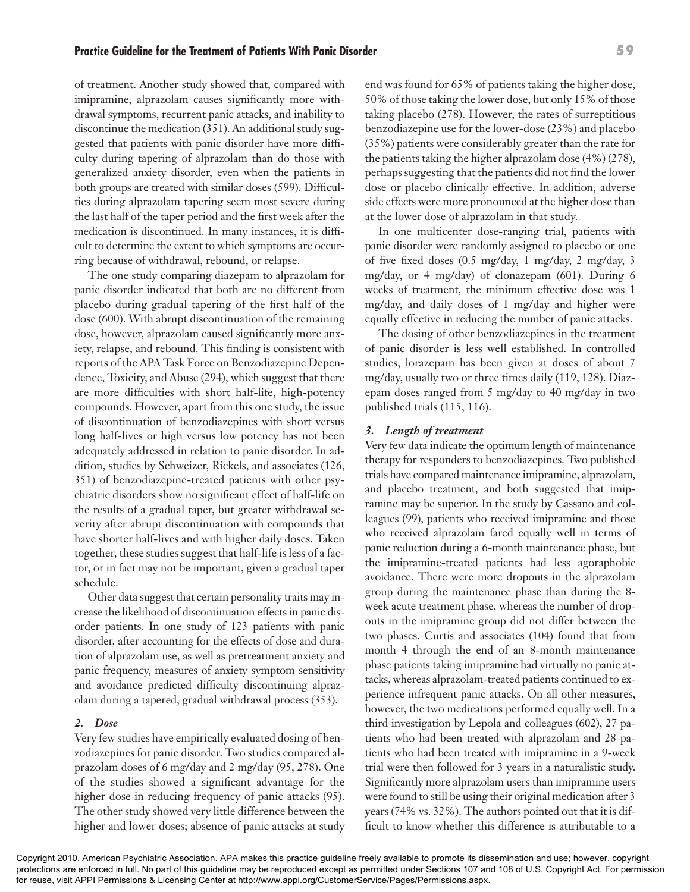of treatment. Another study showed that, compared with imipramine, alprazolam causes significantly more withdrawal symptoms, recurrent panic attacks, and inability to discontinue the medication (351). An additional study suggested that patients with panic disorder have more difficulty during tapering of alprazolam than do those with generalized anxiety disorder, even when the patients in both groups are treated with similar doses (599). Difficulties during alprazolam tapering seem most severe during the last half of the taper period and the first week after the medication is discontinued. In many instances, it is difficult to determine the extent to which symptoms are occurring because of withdrawal, rebound, or relapse.

The one study comparing diazepam to alprazolam for panic disorder indicated that both are no different from placebo during gradual tapering of the first half of the dose (600). With abrupt discontinuation of the remaining dose, however, alprazolam caused significantly more anxiety, relapse, and rebound. This finding is consistent with reports of the APA Task Force on Benzodiazepine Dependence, Toxicity, and Abuse (294), which suggest that there are more difficulties with short half-life, high-potency compounds. However, apart from this one study, the issue of discontinuation of benzodiazepines with short versus long half-lives or high versus low potency has not been adequately addressed in relation to panic disorder. In addition, studies by Schweizer, Rickels, and associates (126, 351) of benzodiazepine-treated patients with other psychiatric disorders show no significant effect of half-life on the results of a gradual taper, but greater withdrawal severity after abrupt discontinuation with compounds that have shorter half-lives and with higher daily doses. Taken together, these studies suggest that half-life is less of a factor, or in fact may not be important, given a gradual taper schedule.

Other data suggest that certain personality traits may increase the likelihood of discontinuation effects in panic disorder patients. In one study of 123 patients with panic disorder, after accounting for the effects of dose and duration of alprazolam use, as well as pretreatment anxiety and panic frequency, measures of anxiety symptom sensitivity and avoidance predicted difficulty discontinuing alprazolam during a tapered, gradual withdrawal process (353).

#### *2. Dose*

Very few studies have empirically evaluated dosing of benzodiazepines for panic disorder. Two studies compared alprazolam doses of 6 mg/day and 2 mg/day (95, 278). One of the studies showed a significant advantage for the higher dose in reducing frequency of panic attacks (95). The other study showed very little difference between the higher and lower doses; absence of panic attacks at study end was found for 65% of patients taking the higher dose, 50% of those taking the lower dose, but only 15% of those taking placebo (278). However, the rates of surreptitious benzodiazepine use for the lower-dose (23%) and placebo (35%) patients were considerably greater than the rate for the patients taking the higher alprazolam dose (4%) (278), perhaps suggesting that the patients did not find the lower dose or placebo clinically effective. In addition, adverse side effects were more pronounced at the higher dose than at the lower dose of alprazolam in that study.

In one multicenter dose-ranging trial, patients with panic disorder were randomly assigned to placebo or one of five fixed doses (0.5 mg/day, 1 mg/day, 2 mg/day, 3 mg/day, or 4 mg/day) of clonazepam (601). During 6 weeks of treatment, the minimum effective dose was 1 mg/day, and daily doses of 1 mg/day and higher were equally effective in reducing the number of panic attacks.

The dosing of other benzodiazepines in the treatment of panic disorder is less well established. In controlled studies, lorazepam has been given at doses of about 7 mg/day, usually two or three times daily (119, 128). Diazepam doses ranged from 5 mg/day to 40 mg/day in two published trials (115, 116).

#### *3. Length of treatment*

Very few data indicate the optimum length of maintenance therapy for responders to benzodiazepines. Two published trials have compared maintenance imipramine, alprazolam, and placebo treatment, and both suggested that imipramine may be superior. In the study by Cassano and colleagues (99), patients who received imipramine and those who received alprazolam fared equally well in terms of panic reduction during a 6-month maintenance phase, but the imipramine-treated patients had less agoraphobic avoidance. There were more dropouts in the alprazolam group during the maintenance phase than during the 8 week acute treatment phase, whereas the number of dropouts in the imipramine group did not differ between the two phases. Curtis and associates (104) found that from month 4 through the end of an 8-month maintenance phase patients taking imipramine had virtually no panic attacks, whereas alprazolam-treated patients continued to experience infrequent panic attacks. On all other measures, however, the two medications performed equally well. In a third investigation by Lepola and colleagues (602), 27 patients who had been treated with alprazolam and 28 patients who had been treated with imipramine in a 9-week trial were then followed for 3 years in a naturalistic study. Significantly more alprazolam users than imipramine users were found to still be using their original medication after 3 years (74% vs. 32%). The authors pointed out that it is difficult to know whether this difference is attributable to a

#### **Practice Guideline for the Treatment of Patients With Panic Disorder 59**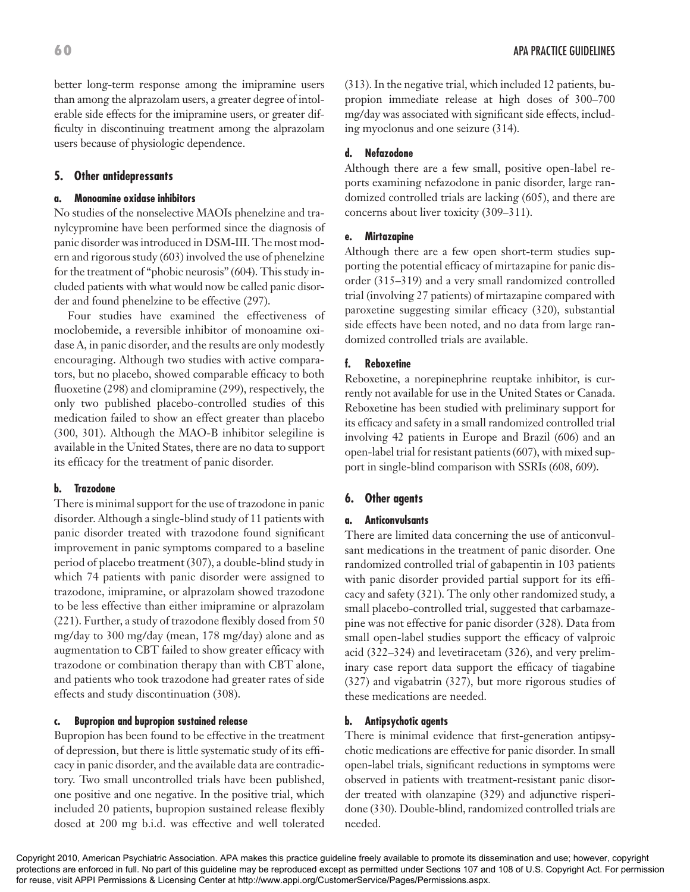better long-term response among the imipramine users than among the alprazolam users, a greater degree of intolerable side effects for the imipramine users, or greater difficulty in discontinuing treatment among the alprazolam users because of physiologic dependence.

#### **5. Other antidepressants**

#### **a. Monoamine oxidase inhibitors**

No studies of the nonselective MAOIs phenelzine and tranylcypromine have been performed since the diagnosis of panic disorder was introduced in DSM-III. The most modern and rigorous study (603) involved the use of phenelzine for the treatment of "phobic neurosis" (604). This study included patients with what would now be called panic disorder and found phenelzine to be effective (297).

Four studies have examined the effectiveness of moclobemide, a reversible inhibitor of monoamine oxidase A, in panic disorder, and the results are only modestly encouraging. Although two studies with active comparators, but no placebo, showed comparable efficacy to both fluoxetine (298) and clomipramine (299), respectively, the only two published placebo-controlled studies of this medication failed to show an effect greater than placebo (300, 301). Although the MAO-B inhibitor selegiline is available in the United States, there are no data to support its efficacy for the treatment of panic disorder.

#### **b. Trazodone**

There is minimal support for the use of trazodone in panic disorder. Although a single-blind study of 11 patients with panic disorder treated with trazodone found significant improvement in panic symptoms compared to a baseline period of placebo treatment (307), a double-blind study in which 74 patients with panic disorder were assigned to trazodone, imipramine, or alprazolam showed trazodone to be less effective than either imipramine or alprazolam (221). Further, a study of trazodone flexibly dosed from 50 mg/day to 300 mg/day (mean, 178 mg/day) alone and as augmentation to CBT failed to show greater efficacy with trazodone or combination therapy than with CBT alone, and patients who took trazodone had greater rates of side effects and study discontinuation (308).

#### **c. Bupropion and bupropion sustained release**

Bupropion has been found to be effective in the treatment of depression, but there is little systematic study of its efficacy in panic disorder, and the available data are contradictory. Two small uncontrolled trials have been published, one positive and one negative. In the positive trial, which included 20 patients, bupropion sustained release flexibly dosed at 200 mg b.i.d. was effective and well tolerated

(313). In the negative trial, which included 12 patients, bupropion immediate release at high doses of 300–700 mg/day was associated with significant side effects, including myoclonus and one seizure (314).

#### **d. Nefazodone**

Although there are a few small, positive open-label reports examining nefazodone in panic disorder, large randomized controlled trials are lacking (605), and there are concerns about liver toxicity (309–311).

#### **e. Mirtazapine**

Although there are a few open short-term studies supporting the potential efficacy of mirtazapine for panic disorder (315–319) and a very small randomized controlled trial (involving 27 patients) of mirtazapine compared with paroxetine suggesting similar efficacy (320), substantial side effects have been noted, and no data from large randomized controlled trials are available.

#### **f. Reboxetine**

Reboxetine, a norepinephrine reuptake inhibitor, is currently not available for use in the United States or Canada. Reboxetine has been studied with preliminary support for its efficacy and safety in a small randomized controlled trial involving 42 patients in Europe and Brazil (606) and an open-label trial for resistant patients (607), with mixed support in single-blind comparison with SSRIs (608, 609).

#### **6. Other agents**

#### **a. Anticonvulsants**

There are limited data concerning the use of anticonvulsant medications in the treatment of panic disorder. One randomized controlled trial of gabapentin in 103 patients with panic disorder provided partial support for its efficacy and safety (321). The only other randomized study, a small placebo-controlled trial, suggested that carbamazepine was not effective for panic disorder (328). Data from small open-label studies support the efficacy of valproic acid (322–324) and levetiracetam (326), and very preliminary case report data support the efficacy of tiagabine (327) and vigabatrin (327), but more rigorous studies of these medications are needed.

#### **b. Antipsychotic agents**

There is minimal evidence that first-generation antipsychotic medications are effective for panic disorder. In small open-label trials, significant reductions in symptoms were observed in patients with treatment-resistant panic disorder treated with olanzapine (329) and adjunctive risperidone (330). Double-blind, randomized controlled trials are needed.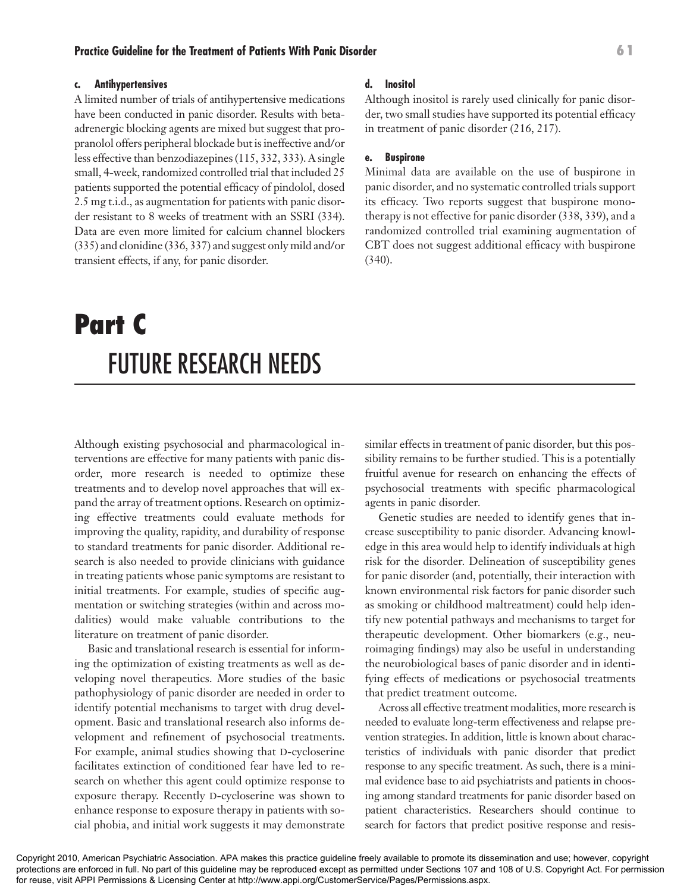#### **c. Antihypertensives**

A limited number of trials of antihypertensive medications have been conducted in panic disorder. Results with betaadrenergic blocking agents are mixed but suggest that propranolol offers peripheral blockade but is ineffective and/or less effective than benzodiazepines (115, 332, 333). A single small, 4-week, randomized controlled trial that included 25 patients supported the potential efficacy of pindolol, dosed 2.5 mg t.i.d., as augmentation for patients with panic disorder resistant to 8 weeks of treatment with an SSRI (334). Data are even more limited for calcium channel blockers (335) and clonidine (336, 337) and suggest only mild and/or transient effects, if any, for panic disorder.

# **Part C**  FUTURE RESEARCH NEEDS

Although existing psychosocial and pharmacological interventions are effective for many patients with panic disorder, more research is needed to optimize these treatments and to develop novel approaches that will expand the array of treatment options. Research on optimizing effective treatments could evaluate methods for improving the quality, rapidity, and durability of response to standard treatments for panic disorder. Additional research is also needed to provide clinicians with guidance in treating patients whose panic symptoms are resistant to initial treatments. For example, studies of specific augmentation or switching strategies (within and across modalities) would make valuable contributions to the literature on treatment of panic disorder.

Basic and translational research is essential for informing the optimization of existing treatments as well as developing novel therapeutics. More studies of the basic pathophysiology of panic disorder are needed in order to identify potential mechanisms to target with drug development. Basic and translational research also informs development and refinement of psychosocial treatments. For example, animal studies showing that D-cycloserine facilitates extinction of conditioned fear have led to research on whether this agent could optimize response to exposure therapy. Recently D-cycloserine was shown to enhance response to exposure therapy in patients with social phobia, and initial work suggests it may demonstrate

#### **d. Inositol**

Although inositol is rarely used clinically for panic disorder, two small studies have supported its potential efficacy in treatment of panic disorder (216, 217).

#### **e. Buspirone**

Minimal data are available on the use of buspirone in panic disorder, and no systematic controlled trials support its efficacy. Two reports suggest that buspirone monotherapy is not effective for panic disorder (338, 339), and a randomized controlled trial examining augmentation of CBT does not suggest additional efficacy with buspirone (340).

similar effects in treatment of panic disorder, but this possibility remains to be further studied. This is a potentially fruitful avenue for research on enhancing the effects of psychosocial treatments with specific pharmacological agents in panic disorder.

Genetic studies are needed to identify genes that increase susceptibility to panic disorder. Advancing knowledge in this area would help to identify individuals at high risk for the disorder. Delineation of susceptibility genes for panic disorder (and, potentially, their interaction with known environmental risk factors for panic disorder such as smoking or childhood maltreatment) could help identify new potential pathways and mechanisms to target for therapeutic development. Other biomarkers (e.g., neuroimaging findings) may also be useful in understanding the neurobiological bases of panic disorder and in identifying effects of medications or psychosocial treatments that predict treatment outcome.

Across all effective treatment modalities, more research is needed to evaluate long-term effectiveness and relapse prevention strategies. In addition, little is known about characteristics of individuals with panic disorder that predict response to any specific treatment. As such, there is a minimal evidence base to aid psychiatrists and patients in choosing among standard treatments for panic disorder based on patient characteristics. Researchers should continue to search for factors that predict positive response and resis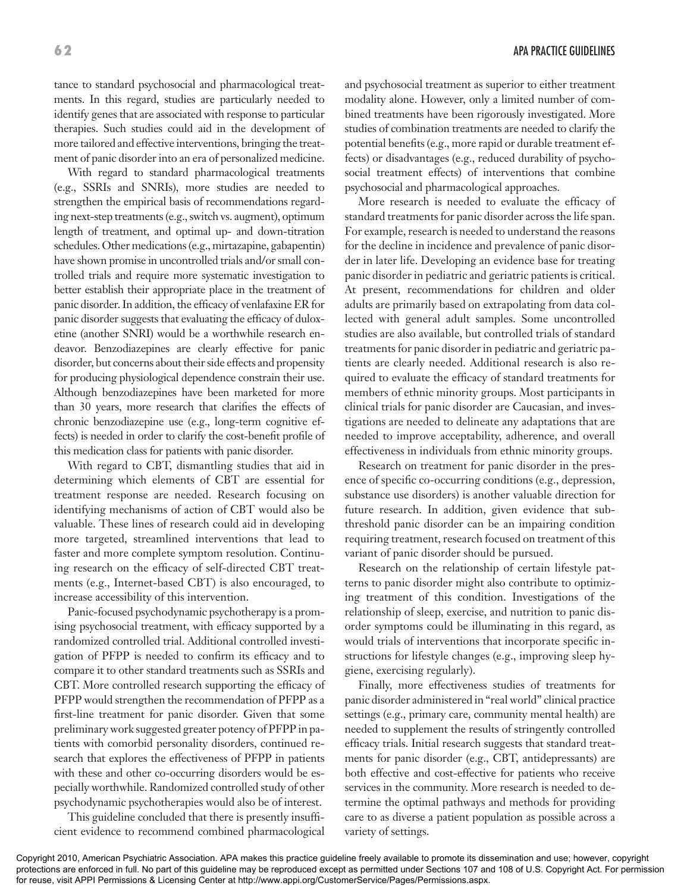tance to standard psychosocial and pharmacological treatments. In this regard, studies are particularly needed to identify genes that are associated with response to particular therapies. Such studies could aid in the development of more tailored and effective interventions, bringing the treatment of panic disorder into an era of personalized medicine.

With regard to standard pharmacological treatments (e.g., SSRIs and SNRIs), more studies are needed to strengthen the empirical basis of recommendations regarding next-step treatments (e.g., switch vs. augment), optimum length of treatment, and optimal up- and down-titration schedules. Other medications (e.g., mirtazapine, gabapentin) have shown promise in uncontrolled trials and/or small controlled trials and require more systematic investigation to better establish their appropriate place in the treatment of panic disorder. In addition, the efficacy of venlafaxine ER for panic disorder suggests that evaluating the efficacy of duloxetine (another SNRI) would be a worthwhile research endeavor. Benzodiazepines are clearly effective for panic disorder, but concerns about their side effects and propensity for producing physiological dependence constrain their use. Although benzodiazepines have been marketed for more than 30 years, more research that clarifies the effects of chronic benzodiazepine use (e.g., long-term cognitive effects) is needed in order to clarify the cost-benefit profile of this medication class for patients with panic disorder.

With regard to CBT, dismantling studies that aid in determining which elements of CBT are essential for treatment response are needed. Research focusing on identifying mechanisms of action of CBT would also be valuable. These lines of research could aid in developing more targeted, streamlined interventions that lead to faster and more complete symptom resolution. Continuing research on the efficacy of self-directed CBT treatments (e.g., Internet-based CBT) is also encouraged, to increase accessibility of this intervention.

Panic-focused psychodynamic psychotherapy is a promising psychosocial treatment, with efficacy supported by a randomized controlled trial. Additional controlled investigation of PFPP is needed to confirm its efficacy and to compare it to other standard treatments such as SSRIs and CBT. More controlled research supporting the efficacy of PFPP would strengthen the recommendation of PFPP as a first-line treatment for panic disorder. Given that some preliminary work suggested greater potency of PFPP in patients with comorbid personality disorders, continued research that explores the effectiveness of PFPP in patients with these and other co-occurring disorders would be especially worthwhile. Randomized controlled study of other psychodynamic psychotherapies would also be of interest.

This guideline concluded that there is presently insufficient evidence to recommend combined pharmacological and psychosocial treatment as superior to either treatment modality alone. However, only a limited number of combined treatments have been rigorously investigated. More studies of combination treatments are needed to clarify the potential benefits (e.g., more rapid or durable treatment effects) or disadvantages (e.g., reduced durability of psychosocial treatment effects) of interventions that combine psychosocial and pharmacological approaches.

More research is needed to evaluate the efficacy of standard treatments for panic disorder across the life span. For example, research is needed to understand the reasons for the decline in incidence and prevalence of panic disorder in later life. Developing an evidence base for treating panic disorder in pediatric and geriatric patients is critical. At present, recommendations for children and older adults are primarily based on extrapolating from data collected with general adult samples. Some uncontrolled studies are also available, but controlled trials of standard treatments for panic disorder in pediatric and geriatric patients are clearly needed. Additional research is also required to evaluate the efficacy of standard treatments for members of ethnic minority groups. Most participants in clinical trials for panic disorder are Caucasian, and investigations are needed to delineate any adaptations that are needed to improve acceptability, adherence, and overall effectiveness in individuals from ethnic minority groups.

Research on treatment for panic disorder in the presence of specific co-occurring conditions (e.g., depression, substance use disorders) is another valuable direction for future research. In addition, given evidence that subthreshold panic disorder can be an impairing condition requiring treatment, research focused on treatment of this variant of panic disorder should be pursued.

Research on the relationship of certain lifestyle patterns to panic disorder might also contribute to optimizing treatment of this condition. Investigations of the relationship of sleep, exercise, and nutrition to panic disorder symptoms could be illuminating in this regard, as would trials of interventions that incorporate specific instructions for lifestyle changes (e.g., improving sleep hygiene, exercising regularly).

Finally, more effectiveness studies of treatments for panic disorder administered in "real world" clinical practice settings (e.g., primary care, community mental health) are needed to supplement the results of stringently controlled efficacy trials. Initial research suggests that standard treatments for panic disorder (e.g., CBT, antidepressants) are both effective and cost-effective for patients who receive services in the community. More research is needed to determine the optimal pathways and methods for providing care to as diverse a patient population as possible across a variety of settings.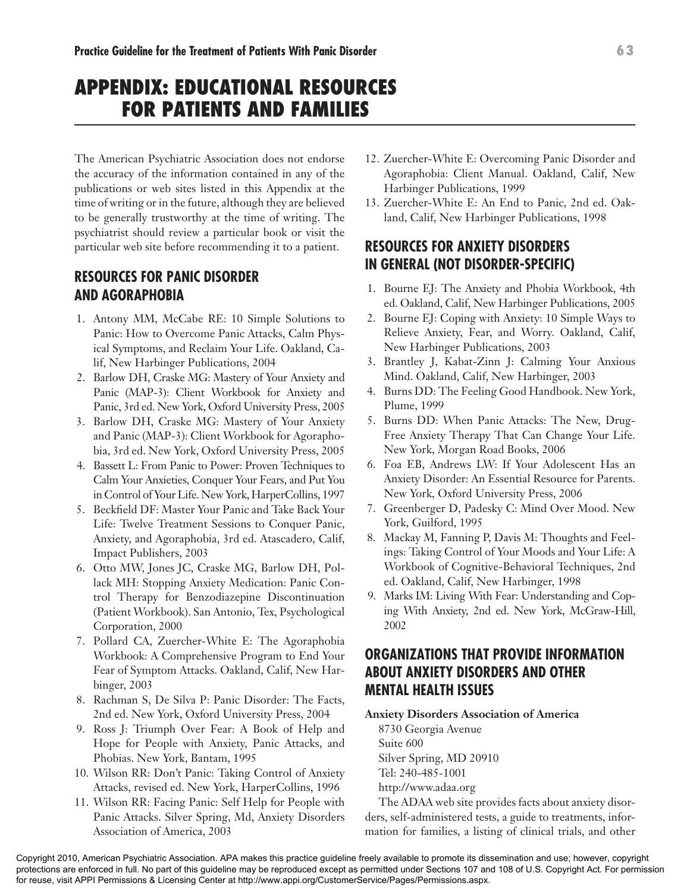# **APPENDIX: EDUCATIONAL RESOURCES FOR PATIENTS AND FAMILIES**

The American Psychiatric Association does not endorse the accuracy of the information contained in any of the publications or web sites listed in this Appendix at the time of writing or in the future, although they are believed to be generally trustworthy at the time of writing. The psychiatrist should review a particular book or visit the particular web site before recommending it to a patient.

# **RESOURCES FOR PANIC DISORDER AND AGORAPHOBIA**

- 1. Antony MM, McCabe RE: 10 Simple Solutions to Panic: How to Overcome Panic Attacks, Calm Physical Symptoms, and Reclaim Your Life. Oakland, Calif, New Harbinger Publications, 2004
- 2. Barlow DH, Craske MG: Mastery of Your Anxiety and Panic (MAP-3): Client Workbook for Anxiety and Panic, 3rd ed. New York, Oxford University Press, 2005
- 3. Barlow DH, Craske MG: Mastery of Your Anxiety and Panic (MAP-3): Client Workbook for Agoraphobia, 3rd ed. New York, Oxford University Press, 2005
- 4. Bassett L: From Panic to Power: Proven Techniques to Calm Your Anxieties, Conquer Your Fears, and Put You in Control of Your Life. New York, HarperCollins, 1997
- 5. Beckfield DF: Master Your Panic and Take Back Your Life: Twelve Treatment Sessions to Conquer Panic, Anxiety, and Agoraphobia, 3rd ed. Atascadero, Calif, Impact Publishers, 2003
- 6. Otto MW, Jones JC, Craske MG, Barlow DH, Pollack MH: Stopping Anxiety Medication: Panic Control Therapy for Benzodiazepine Discontinuation (Patient Workbook). San Antonio, Tex, Psychological Corporation, 2000
- 7. Pollard CA, Zuercher-White E: The Agoraphobia Workbook: A Comprehensive Program to End Your Fear of Symptom Attacks. Oakland, Calif, New Harbinger, 2003
- 8. Rachman S, De Silva P: Panic Disorder: The Facts, 2nd ed. New York, Oxford University Press, 2004
- 9. Ross J: Triumph Over Fear: A Book of Help and Hope for People with Anxiety, Panic Attacks, and Phobias. New York, Bantam, 1995
- 10. Wilson RR: Don't Panic: Taking Control of Anxiety Attacks, revised ed. New York, HarperCollins, 1996
- 11. Wilson RR: Facing Panic: Self Help for People with Panic Attacks. Silver Spring, Md, Anxiety Disorders Association of America, 2003
- 12. Zuercher-White E: Overcoming Panic Disorder and Agoraphobia: Client Manual. Oakland, Calif, New Harbinger Publications, 1999
- 13. Zuercher-White E: An End to Panic, 2nd ed. Oakland, Calif, New Harbinger Publications, 1998

# **RESOURCES FOR ANXIETY DISORDERS IN GENERAL (NOT DISORDER-SPECIFIC)**

- 1. Bourne EJ: The Anxiety and Phobia Workbook, 4th ed. Oakland, Calif, New Harbinger Publications, 2005
- 2. Bourne EJ: Coping with Anxiety: 10 Simple Ways to Relieve Anxiety, Fear, and Worry. Oakland, Calif, New Harbinger Publications, 2003
- 3. Brantley J, Kabat-Zinn J: Calming Your Anxious Mind. Oakland, Calif, New Harbinger, 2003
- 4. Burns DD: The Feeling Good Handbook. New York, Plume, 1999
- 5. Burns DD: When Panic Attacks: The New, Drug-Free Anxiety Therapy That Can Change Your Life. New York, Morgan Road Books, 2006
- 6. Foa EB, Andrews LW: If Your Adolescent Has an Anxiety Disorder: An Essential Resource for Parents. New York, Oxford University Press, 2006
- 7. Greenberger D, Padesky C: Mind Over Mood. New York, Guilford, 1995
- 8. Mackay M, Fanning P, Davis M: Thoughts and Feelings: Taking Control of Your Moods and Your Life: A Workbook of Cognitive-Behavioral Techniques, 2nd ed. Oakland, Calif, New Harbinger, 1998
- 9. Marks IM: Living With Fear: Understanding and Coping With Anxiety, 2nd ed. New York, McGraw-Hill, 2002

# **ORGANIZATIONS THAT PROVIDE INFORMATION ABOUT ANXIETY DISORDERS AND OTHER MENTAL HEALTH ISSUES**

#### **Anxiety Disorders Association of America**

8730 Georgia Avenue Suite 600 Silver Spring, MD 20910 Tel: 240-485-1001 http://www.adaa.org

The ADAA web site provides facts about anxiety disorders, self-administered tests, a guide to treatments, information for families, a listing of clinical trials, and other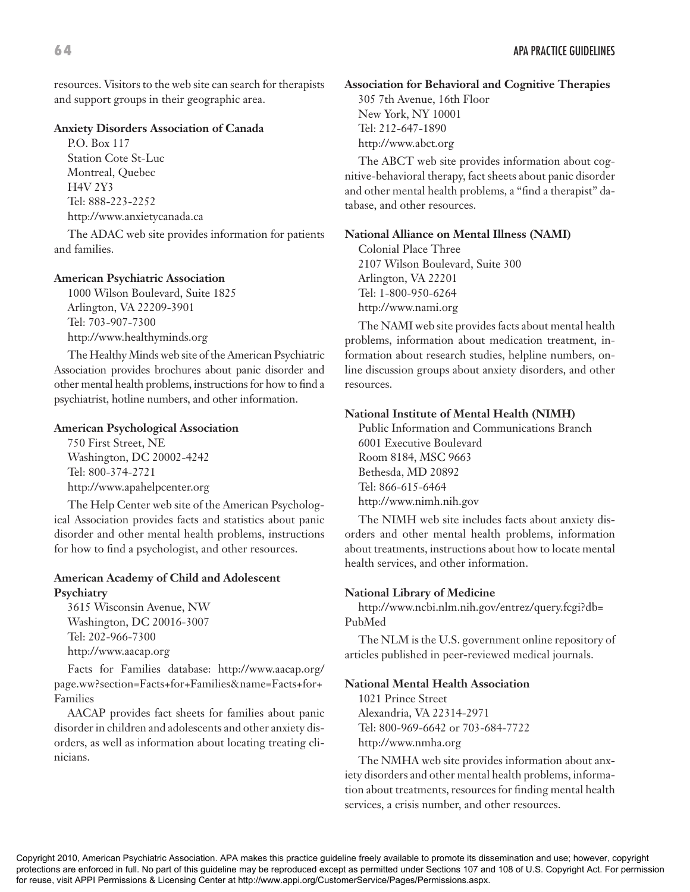resources. Visitors to the web site can search for therapists and support groups in their geographic area.

#### **Anxiety Disorders Association of Canada**

P.O. Box 117 Station Cote St-Luc Montreal, Quebec H4V 2Y3 Tel: 888-223-2252 http://www.anxietycanada.ca

The ADAC web site provides information for patients and families.

#### **American Psychiatric Association**

1000 Wilson Boulevard, Suite 1825 Arlington, VA 22209-3901 Tel: 703-907-7300 http://www.healthyminds.org

The Healthy Minds web site of the American Psychiatric Association provides brochures about panic disorder and other mental health problems, instructions for how to find a psychiatrist, hotline numbers, and other information.

#### **American Psychological Association**

750 First Street, NE Washington, DC 20002-4242 Tel: 800-374-2721 http://www.apahelpcenter.org

The Help Center web site of the American Psychological Association provides facts and statistics about panic disorder and other mental health problems, instructions for how to find a psychologist, and other resources.

#### **American Academy of Child and Adolescent Psychiatry**

3615 Wisconsin Avenue, NW Washington, DC 20016-3007 Tel: 202-966-7300 http://www.aacap.org

Facts for Families database: http://www.aacap.org/ page.ww?section=Facts+for+Families&name=Facts+for+ Families

AACAP provides fact sheets for families about panic disorder in children and adolescents and other anxiety disorders, as well as information about locating treating clinicians.

**Association for Behavioral and Cognitive Therapies** 305 7th Avenue, 16th Floor New York, NY 10001 Tel: 212-647-1890 http://www.abct.org

The ABCT web site provides information about cognitive-behavioral therapy, fact sheets about panic disorder and other mental health problems, a "find a therapist" database, and other resources.

#### **National Alliance on Mental Illness (NAMI)**

Colonial Place Three 2107 Wilson Boulevard, Suite 300 Arlington, VA 22201 Tel: 1-800-950-6264 http://www.nami.org

The NAMI web site provides facts about mental health problems, information about medication treatment, information about research studies, helpline numbers, online discussion groups about anxiety disorders, and other resources.

#### **National Institute of Mental Health (NIMH)**

Public Information and Communications Branch 6001 Executive Boulevard Room 8184, MSC 9663 Bethesda, MD 20892 Tel: 866-615-6464 http://www.nimh.nih.gov

The NIMH web site includes facts about anxiety disorders and other mental health problems, information about treatments, instructions about how to locate mental health services, and other information.

#### **National Library of Medicine**

http://www.ncbi.nlm.nih.gov/entrez/query.fcgi?db= PubMed

The NLM is the U.S. government online repository of articles published in peer-reviewed medical journals.

#### **National Mental Health Association**

1021 Prince Street Alexandria, VA 22314-2971 Tel: 800-969-6642 or 703-684-7722 http://www.nmha.org

The NMHA web site provides information about anxiety disorders and other mental health problems, information about treatments, resources for finding mental health services, a crisis number, and other resources.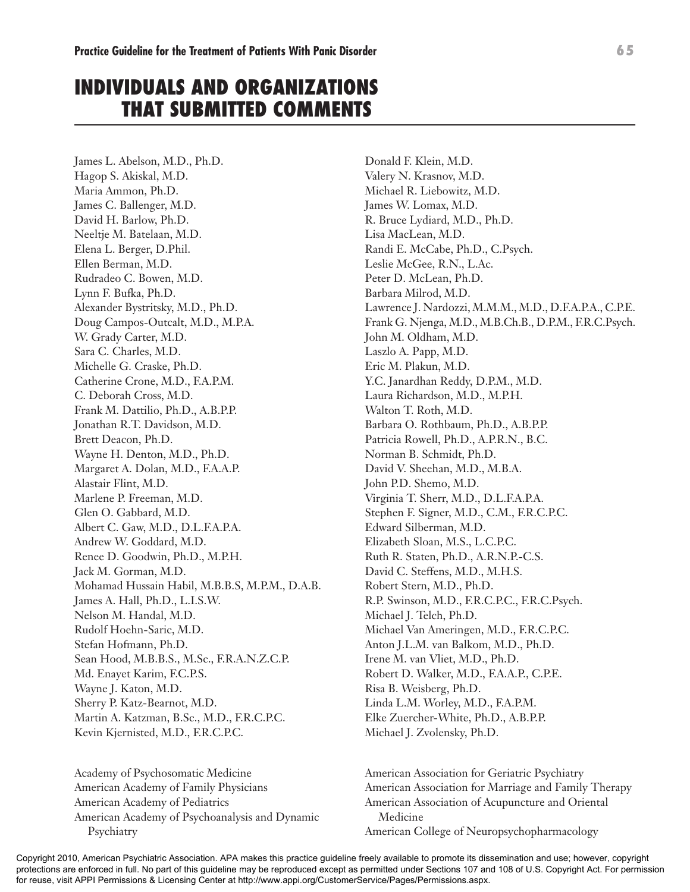# **INDIVIDUALS AND ORGANIZATIONS THAT SUBMITTED COMMENTS**

James L. Abelson, M.D., Ph.D. Hagop S. Akiskal, M.D. Maria Ammon, Ph.D. James C. Ballenger, M.D. David H. Barlow, Ph.D. Neeltje M. Batelaan, M.D. Elena L. Berger, D.Phil. Ellen Berman, M.D. Rudradeo C. Bowen, M.D. Lynn F. Bufka, Ph.D. Alexander Bystritsky, M.D., Ph.D. Doug Campos-Outcalt, M.D., M.P.A. W. Grady Carter, M.D. Sara C. Charles, M.D. Michelle G. Craske, Ph.D. Catherine Crone, M.D., F.A.P.M. C. Deborah Cross, M.D. Frank M. Dattilio, Ph.D., A.B.P.P. Jonathan R.T. Davidson, M.D. Brett Deacon, Ph.D. Wayne H. Denton, M.D., Ph.D. Margaret A. Dolan, M.D., F.A.A.P. Alastair Flint, M.D. Marlene P. Freeman, M.D. Glen O. Gabbard, M.D. Albert C. Gaw, M.D., D.L.F.A.P.A. Andrew W. Goddard, M.D. Renee D. Goodwin, Ph.D., M.P.H. Jack M. Gorman, M.D. Mohamad Hussain Habil, M.B.B.S, M.P.M., D.A.B. James A. Hall, Ph.D., L.I.S.W. Nelson M. Handal, M.D. Rudolf Hoehn-Saric, M.D. Stefan Hofmann, Ph.D. Sean Hood, M.B.B.S., M.Sc., F.R.A.N.Z.C.P. Md. Enayet Karim, F.C.P.S. Wayne J. Katon, M.D. Sherry P. Katz-Bearnot, M.D. Martin A. Katzman, B.Sc., M.D., F.R.C.P.C. Kevin Kjernisted, M.D., F.R.C.P.C.

Academy of Psychosomatic Medicine American Academy of Family Physicians American Academy of Pediatrics American Academy of Psychoanalysis and Dynamic Psychiatry

Donald F. Klein, M.D. Valery N. Krasnov, M.D. Michael R. Liebowitz, M.D. James W. Lomax, M.D. R. Bruce Lydiard, M.D., Ph.D. Lisa MacLean, M.D. Randi E. McCabe, Ph.D., C.Psych. Leslie McGee, R.N., L.Ac. Peter D. McLean, Ph.D. Barbara Milrod, M.D. Lawrence J. Nardozzi, M.M.M., M.D., D.F.A.P.A., C.P.E. Frank G. Njenga, M.D., M.B.Ch.B., D.P.M., F.R.C.Psych. John M. Oldham, M.D. Laszlo A. Papp, M.D. Eric M. Plakun, M.D. Y.C. Janardhan Reddy, D.P.M., M.D. Laura Richardson, M.D., M.P.H. Walton T. Roth, M.D. Barbara O. Rothbaum, Ph.D., A.B.P.P. Patricia Rowell, Ph.D., A.P.R.N., B.C. Norman B. Schmidt, Ph.D. David V. Sheehan, M.D., M.B.A. John P.D. Shemo, M.D. Virginia T. Sherr, M.D., D.L.F.A.P.A. Stephen F. Signer, M.D., C.M., F.R.C.P.C. Edward Silberman, M.D. Elizabeth Sloan, M.S., L.C.P.C. Ruth R. Staten, Ph.D., A.R.N.P.-C.S. David C. Steffens, M.D., M.H.S. Robert Stern, M.D., Ph.D. R.P. Swinson, M.D., F.R.C.P.C., F.R.C.Psych. Michael J. Telch, Ph.D. Michael Van Ameringen, M.D., F.R.C.P.C. Anton J.L.M. van Balkom, M.D., Ph.D. Irene M. van Vliet, M.D., Ph.D. Robert D. Walker, M.D., F.A.A.P., C.P.E. Risa B. Weisberg, Ph.D. Linda L.M. Worley, M.D., F.A.P.M. Elke Zuercher-White, Ph.D., A.B.P.P. Michael J. Zvolensky, Ph.D.

American Association for Geriatric Psychiatry American Association for Marriage and Family Therapy American Association of Acupuncture and Oriental Medicine American College of Neuropsychopharmacology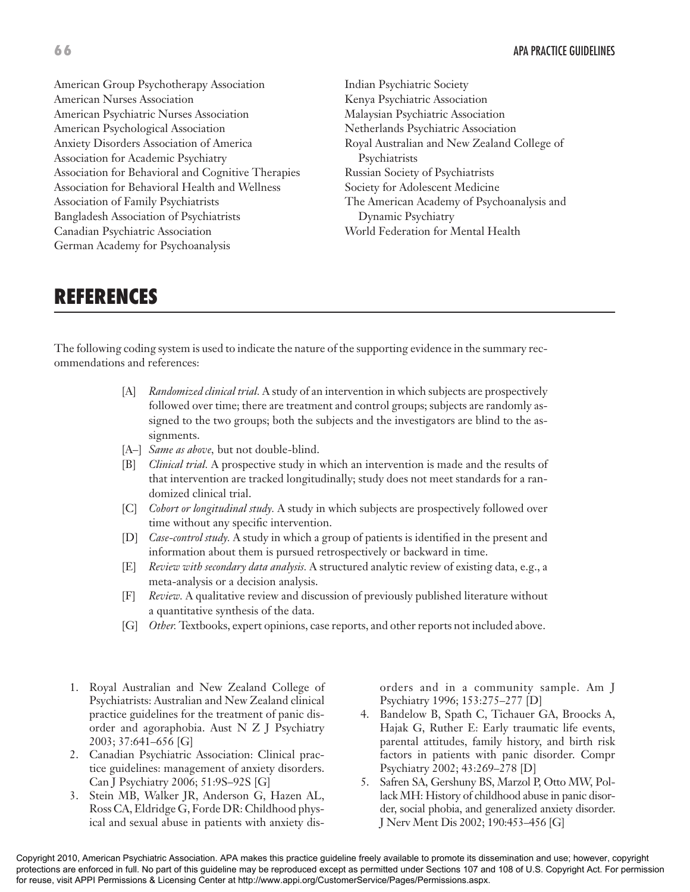American Group Psychotherapy Association American Nurses Association American Psychiatric Nurses Association American Psychological Association Anxiety Disorders Association of America Association for Academic Psychiatry Association for Behavioral and Cognitive Therapies Association for Behavioral Health and Wellness Association of Family Psychiatrists Bangladesh Association of Psychiatrists Canadian Psychiatric Association German Academy for Psychoanalysis

Indian Psychiatric Society Kenya Psychiatric Association Malaysian Psychiatric Association Netherlands Psychiatric Association Royal Australian and New Zealand College of Psychiatrists Russian Society of Psychiatrists Society for Adolescent Medicine The American Academy of Psychoanalysis and Dynamic Psychiatry World Federation for Mental Health

# **REFERENCES**

The following coding system is used to indicate the nature of the supporting evidence in the summary recommendations and references:

- [A] *Randomized clinical trial.* A study of an intervention in which subjects are prospectively followed over time; there are treatment and control groups; subjects are randomly assigned to the two groups; both the subjects and the investigators are blind to the assignments.
- [A–] *Same as above,* but not double-blind.
- [B] *Clinical trial.* A prospective study in which an intervention is made and the results of that intervention are tracked longitudinally; study does not meet standards for a randomized clinical trial.
- [C] *Cohort or longitudinal study.* A study in which subjects are prospectively followed over time without any specific intervention.
- [D] *Case-control study.* A study in which a group of patients is identified in the present and information about them is pursued retrospectively or backward in time.
- [E] *Review with secondary data analysis.* A structured analytic review of existing data, e.g., a meta-analysis or a decision analysis.
- [F] *Review.* A qualitative review and discussion of previously published literature without a quantitative synthesis of the data.
- [G] *Other*: Textbooks, expert opinions, case reports, and other reports not included above.
- 1. Royal Australian and New Zealand College of Psychiatrists: Australian and New Zealand clinical practice guidelines for the treatment of panic disorder and agoraphobia. Aust N Z J Psychiatry 2003; 37:641–656 [G]
- 2. Canadian Psychiatric Association: Clinical practice guidelines: management of anxiety disorders. Can J Psychiatry 2006; 51:9S–92S [G]
- 3. Stein MB, Walker JR, Anderson G, Hazen AL, Ross CA, Eldridge G, Forde DR: Childhood physical and sexual abuse in patients with anxiety dis-

orders and in a community sample. Am J Psychiatry 1996; 153:275–277 [D]

- 4. Bandelow B, Spath C, Tichauer GA, Broocks A, Hajak G, Ruther E: Early traumatic life events, parental attitudes, family history, and birth risk factors in patients with panic disorder. Compr Psychiatry 2002; 43:269–278 [D]
- 5. Safren SA, Gershuny BS, Marzol P, Otto MW, Pollack MH: History of childhood abuse in panic disorder, social phobia, and generalized anxiety disorder. J Nerv Ment Dis 2002; 190:453–456 [G]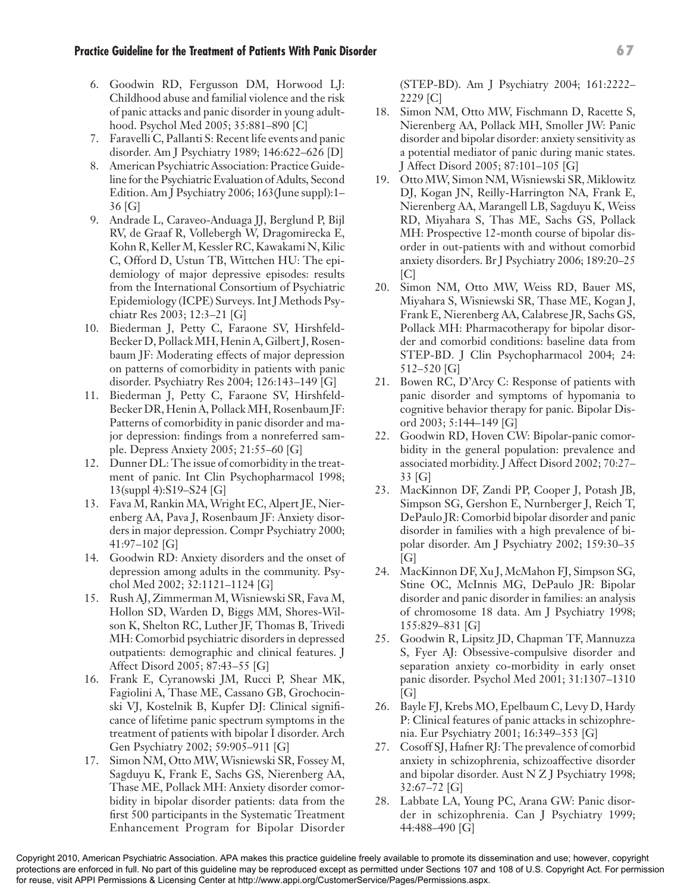6. Goodwin RD, Fergusson DM, Horwood LJ: Childhood abuse and familial violence and the risk of panic attacks and panic disorder in young adulthood. Psychol Med 2005; 35:881–890 [C]

- 7. Faravelli C, Pallanti S: Recent life events and panic disorder. Am J Psychiatry 1989; 146:622–626 [D]
- 8. American Psychiatric Association: Practice Guideline for the Psychiatric Evaluation of Adults, Second Edition. Am J Psychiatry 2006; 163(June suppl):1– 36 [G]
- 9. Andrade L, Caraveo-Anduaga JJ, Berglund P, Bijl RV, de Graaf R, Vollebergh W, Dragomirecka E, Kohn R, Keller M, Kessler RC, Kawakami N, Kilic C, Offord D, Ustun TB, Wittchen HU: The epidemiology of major depressive episodes: results from the International Consortium of Psychiatric Epidemiology (ICPE) Surveys. Int J Methods Psychiatr Res 2003; 12:3–21 [G]
- 10. Biederman J, Petty C, Faraone SV, Hirshfeld-Becker D, Pollack MH, Henin A, Gilbert J, Rosenbaum JF: Moderating effects of major depression on patterns of comorbidity in patients with panic disorder. Psychiatry Res 2004; 126:143–149 [G]
- 11. Biederman J, Petty C, Faraone SV, Hirshfeld-Becker DR, Henin A, Pollack MH, Rosenbaum JF: Patterns of comorbidity in panic disorder and major depression: findings from a nonreferred sample. Depress Anxiety 2005; 21:55–60 [G]
- 12. Dunner DL: The issue of comorbidity in the treatment of panic. Int Clin Psychopharmacol 1998; 13(suppl 4):S19–S24 [G]
- 13. Fava M, Rankin MA, Wright EC, Alpert JE, Nierenberg AA, Pava J, Rosenbaum JF: Anxiety disorders in major depression. Compr Psychiatry 2000; 41:97–102 [G]
- 14. Goodwin RD: Anxiety disorders and the onset of depression among adults in the community. Psychol Med 2002; 32:1121–1124 [G]
- 15. Rush AJ, Zimmerman M, Wisniewski SR, Fava M, Hollon SD, Warden D, Biggs MM, Shores-Wilson K, Shelton RC, Luther JF, Thomas B, Trivedi MH: Comorbid psychiatric disorders in depressed outpatients: demographic and clinical features. J Affect Disord 2005; 87:43–55 [G]
- 16. Frank E, Cyranowski JM, Rucci P, Shear MK, Fagiolini A, Thase ME, Cassano GB, Grochocinski VJ, Kostelnik B, Kupfer DJ: Clinical significance of lifetime panic spectrum symptoms in the treatment of patients with bipolar I disorder. Arch Gen Psychiatry 2002; 59:905–911 [G]
- 17. Simon NM, Otto MW, Wisniewski SR, Fossey M, Sagduyu K, Frank E, Sachs GS, Nierenberg AA, Thase ME, Pollack MH: Anxiety disorder comorbidity in bipolar disorder patients: data from the first 500 participants in the Systematic Treatment Enhancement Program for Bipolar Disorder

(STEP-BD). Am J Psychiatry 2004; 161:2222– 2229 [C]

- 18. Simon NM, Otto MW, Fischmann D, Racette S, Nierenberg AA, Pollack MH, Smoller JW: Panic disorder and bipolar disorder: anxiety sensitivity as a potential mediator of panic during manic states. J Affect Disord 2005; 87:101–105 [G]
- 19. Otto MW, Simon NM, Wisniewski SR, Miklowitz DJ, Kogan JN, Reilly-Harrington NA, Frank E, Nierenberg AA, Marangell LB, Sagduyu K, Weiss RD, Miyahara S, Thas ME, Sachs GS, Pollack MH: Prospective 12-month course of bipolar disorder in out-patients with and without comorbid anxiety disorders. Br J Psychiatry 2006; 189:20–25  $\lceil C \rceil$
- 20. Simon NM, Otto MW, Weiss RD, Bauer MS, Miyahara S, Wisniewski SR, Thase ME, Kogan J, Frank E, Nierenberg AA, Calabrese JR, Sachs GS, Pollack MH: Pharmacotherapy for bipolar disorder and comorbid conditions: baseline data from STEP-BD. J Clin Psychopharmacol 2004; 24: 512–520 [G]
- 21. Bowen RC, D'Arcy C: Response of patients with panic disorder and symptoms of hypomania to cognitive behavior therapy for panic. Bipolar Disord 2003; 5:144–149 [G]
- 22. Goodwin RD, Hoven CW: Bipolar-panic comorbidity in the general population: prevalence and associated morbidity. J Affect Disord 2002; 70:27– 33 [G]
- 23. MacKinnon DF, Zandi PP, Cooper J, Potash JB, Simpson SG, Gershon E, Nurnberger J, Reich T, DePaulo JR: Comorbid bipolar disorder and panic disorder in families with a high prevalence of bipolar disorder. Am J Psychiatry 2002; 159:30–35  $[G]$
- 24. MacKinnon DF, Xu J, McMahon FJ, Simpson SG, Stine OC, McInnis MG, DePaulo JR: Bipolar disorder and panic disorder in families: an analysis of chromosome 18 data. Am J Psychiatry 1998; 155:829–831 [G]
- 25. Goodwin R, Lipsitz JD, Chapman TF, Mannuzza S, Fyer AJ: Obsessive-compulsive disorder and separation anxiety co-morbidity in early onset panic disorder. Psychol Med 2001; 31:1307–1310 [G]
- 26. Bayle FJ, Krebs MO, Epelbaum C, Levy D, Hardy P: Clinical features of panic attacks in schizophrenia. Eur Psychiatry 2001; 16:349–353 [G]
- 27. Cosoff SJ, Hafner RJ: The prevalence of comorbid anxiety in schizophrenia, schizoaffective disorder and bipolar disorder. Aust N Z J Psychiatry 1998; 32:67–72 [G]
- 28. Labbate LA, Young PC, Arana GW: Panic disorder in schizophrenia. Can J Psychiatry 1999; 44:488–490 [G]

#### **Practice Guideline for the Treatment of Patients With Panic Disorder 67**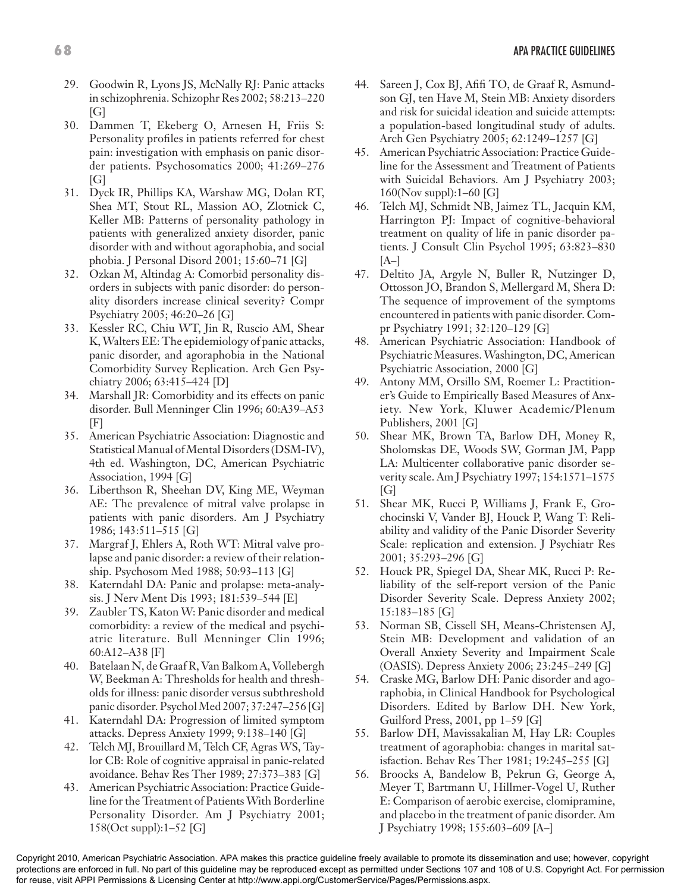- 29. Goodwin R, Lyons JS, McNally RJ: Panic attacks in schizophrenia. Schizophr Res 2002; 58:213–220 [G]
- 30. Dammen T, Ekeberg O, Arnesen H, Friis S: Personality profiles in patients referred for chest pain: investigation with emphasis on panic disorder patients. Psychosomatics 2000; 41:269–276  $[G]$
- 31. Dyck IR, Phillips KA, Warshaw MG, Dolan RT, Shea MT, Stout RL, Massion AO, Zlotnick C, Keller MB: Patterns of personality pathology in patients with generalized anxiety disorder, panic disorder with and without agoraphobia, and social phobia. J Personal Disord 2001; 15:60–71 [G]
- 32. Ozkan M, Altindag A: Comorbid personality disorders in subjects with panic disorder: do personality disorders increase clinical severity? Compr Psychiatry 2005; 46:20–26 [G]
- 33. Kessler RC, Chiu WT, Jin R, Ruscio AM, Shear K, Walters EE: The epidemiology of panic attacks, panic disorder, and agoraphobia in the National Comorbidity Survey Replication. Arch Gen Psychiatry 2006; 63:415–424 [D]
- 34. Marshall JR: Comorbidity and its effects on panic disorder. Bull Menninger Clin 1996; 60:A39–A53 [F]
- 35. American Psychiatric Association: Diagnostic and Statistical Manual of Mental Disorders (DSM-IV), 4th ed. Washington, DC, American Psychiatric Association, 1994 [G]
- 36. Liberthson R, Sheehan DV, King ME, Weyman AE: The prevalence of mitral valve prolapse in patients with panic disorders. Am J Psychiatry 1986; 143:511–515 [G]
- 37. Margraf J, Ehlers A, Roth WT: Mitral valve prolapse and panic disorder: a review of their relationship. Psychosom Med 1988; 50:93–113 [G]
- 38. Katerndahl DA: Panic and prolapse: meta-analysis. J Nerv Ment Dis 1993; 181:539–544 [E]
- 39. Zaubler TS, Katon W: Panic disorder and medical comorbidity: a review of the medical and psychiatric literature. Bull Menninger Clin 1996; 60:A12–A38 [F]
- 40. Batelaan N, de Graaf R, Van Balkom A, Vollebergh W, Beekman A: Thresholds for health and thresholds for illness: panic disorder versus subthreshold panic disorder. Psychol Med 2007; 37:247–256 [G]
- 41. Katerndahl DA: Progression of limited symptom attacks. Depress Anxiety 1999; 9:138–140 [G]
- 42. Telch MJ, Brouillard M, Telch CF, Agras WS, Taylor CB: Role of cognitive appraisal in panic-related avoidance. Behav Res Ther 1989; 27:373–383 [G]
- 43. American Psychiatric Association: Practice Guideline for the Treatment of Patients With Borderline Personality Disorder. Am J Psychiatry 2001; 158(Oct suppl):1–52 [G]
- 44. Sareen J, Cox BJ, Afifi TO, de Graaf R, Asmundson GJ, ten Have M, Stein MB: Anxiety disorders and risk for suicidal ideation and suicide attempts: a population-based longitudinal study of adults. Arch Gen Psychiatry 2005; 62:1249–1257 [G]
- 45. American Psychiatric Association: Practice Guideline for the Assessment and Treatment of Patients with Suicidal Behaviors. Am J Psychiatry 2003; 160(Nov suppl):1–60 [G]
- 46. Telch MJ, Schmidt NB, Jaimez TL, Jacquin KM, Harrington PJ: Impact of cognitive-behavioral treatment on quality of life in panic disorder patients. J Consult Clin Psychol 1995; 63:823–830  $[A-]$
- 47. Deltito JA, Argyle N, Buller R, Nutzinger D, Ottosson JO, Brandon S, Mellergard M, Shera D: The sequence of improvement of the symptoms encountered in patients with panic disorder. Compr Psychiatry 1991; 32:120–129 [G]
- 48. American Psychiatric Association: Handbook of Psychiatric Measures. Washington, DC, American Psychiatric Association, 2000 [G]
- 49. Antony MM, Orsillo SM, Roemer L: Practitioner's Guide to Empirically Based Measures of Anxiety. New York, Kluwer Academic/Plenum Publishers, 2001 [G]
- 50. Shear MK, Brown TA, Barlow DH, Money R, Sholomskas DE, Woods SW, Gorman JM, Papp LA: Multicenter collaborative panic disorder severity scale. Am J Psychiatry 1997; 154:1571–1575  $[G]$
- 51. Shear MK, Rucci P, Williams J, Frank E, Grochocinski V, Vander BJ, Houck P, Wang T: Reliability and validity of the Panic Disorder Severity Scale: replication and extension. J Psychiatr Res 2001; 35:293–296 [G]
- 52. Houck PR, Spiegel DA, Shear MK, Rucci P: Reliability of the self-report version of the Panic Disorder Severity Scale. Depress Anxiety 2002; 15:183–185 [G]
- 53. Norman SB, Cissell SH, Means-Christensen AJ, Stein MB: Development and validation of an Overall Anxiety Severity and Impairment Scale (OASIS). Depress Anxiety 2006; 23:245–249 [G]
- 54. Craske MG, Barlow DH: Panic disorder and agoraphobia, in Clinical Handbook for Psychological Disorders. Edited by Barlow DH. New York, Guilford Press, 2001, pp 1–59 [G]
- 55. Barlow DH, Mavissakalian M, Hay LR: Couples treatment of agoraphobia: changes in marital satisfaction. Behav Res Ther 1981; 19:245–255 [G]
- 56. Broocks A, Bandelow B, Pekrun G, George A, Meyer T, Bartmann U, Hillmer-Vogel U, Ruther E: Comparison of aerobic exercise, clomipramine, and placebo in the treatment of panic disorder. Am J Psychiatry 1998; 155:603–609 [A–]

Copyright 2010, American Psychiatric Association. APA makes this practice guideline freely available to promote its dissemination and use; however, copyright protections are enforced in full. No part of this guideline may be reproduced except as permitted under Sections 107 and 108 of U.S. Copyright Act. For permission for reuse, visit APPI Permissions & Licensing Center at http://www.appi.org/CustomerService/Pages/Permissions.aspx.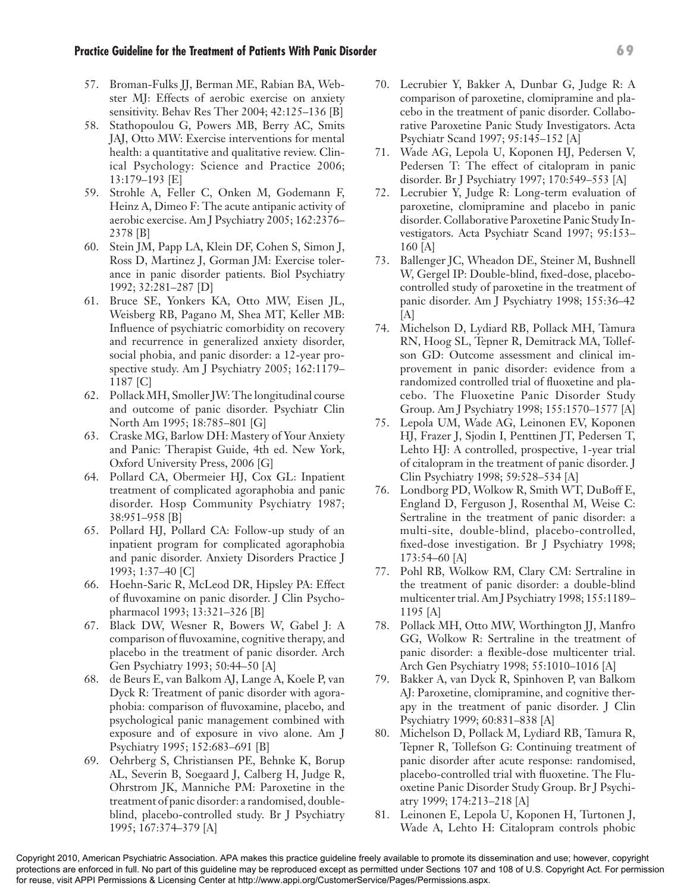#### **Practice Guideline for the Treatment of Patients With Panic Disorder 69**

- 57. Broman-Fulks JJ, Berman ME, Rabian BA, Webster MJ: Effects of aerobic exercise on anxiety sensitivity. Behav Res Ther 2004; 42:125–136 [B]
- 58. Stathopoulou G, Powers MB, Berry AC, Smits JAJ, Otto MW: Exercise interventions for mental health: a quantitative and qualitative review. Clinical Psychology: Science and Practice 2006; 13:179–193 [E]
- 59. Strohle A, Feller C, Onken M, Godemann F, Heinz A, Dimeo F: The acute antipanic activity of aerobic exercise. Am J Psychiatry 2005; 162:2376– 2378 [B]
- 60. Stein JM, Papp LA, Klein DF, Cohen S, Simon J, Ross D, Martinez J, Gorman JM: Exercise tolerance in panic disorder patients. Biol Psychiatry 1992; 32:281–287 [D]
- 61. Bruce SE, Yonkers KA, Otto MW, Eisen JL, Weisberg RB, Pagano M, Shea MT, Keller MB: Influence of psychiatric comorbidity on recovery and recurrence in generalized anxiety disorder, social phobia, and panic disorder: a 12-year prospective study. Am J Psychiatry 2005; 162:1179– 1187 [C]
- 62. Pollack MH, Smoller JW: The longitudinal course and outcome of panic disorder. Psychiatr Clin North Am 1995; 18:785–801 [G]
- 63. Craske MG, Barlow DH: Mastery of Your Anxiety and Panic: Therapist Guide, 4th ed. New York, Oxford University Press, 2006 [G]
- 64. Pollard CA, Obermeier HJ, Cox GL: Inpatient treatment of complicated agoraphobia and panic disorder. Hosp Community Psychiatry 1987; 38:951–958 [B]
- 65. Pollard HJ, Pollard CA: Follow-up study of an inpatient program for complicated agoraphobia and panic disorder. Anxiety Disorders Practice J 1993; 1:37–40 [C]
- 66. Hoehn-Saric R, McLeod DR, Hipsley PA: Effect of fluvoxamine on panic disorder. J Clin Psychopharmacol 1993; 13:321–326 [B]
- 67. Black DW, Wesner R, Bowers W, Gabel J: A comparison of fluvoxamine, cognitive therapy, and placebo in the treatment of panic disorder. Arch Gen Psychiatry 1993; 50:44–50 [A]
- 68. de Beurs E, van Balkom AJ, Lange A, Koele P, van Dyck R: Treatment of panic disorder with agoraphobia: comparison of fluvoxamine, placebo, and psychological panic management combined with exposure and of exposure in vivo alone. Am J Psychiatry 1995; 152:683–691 [B]
- 69. Oehrberg S, Christiansen PE, Behnke K, Borup AL, Severin B, Soegaard J, Calberg H, Judge R, Ohrstrom JK, Manniche PM: Paroxetine in the treatment of panic disorder: a randomised, doubleblind, placebo-controlled study. Br J Psychiatry 1995; 167:374–379 [A]
- 70. Lecrubier Y, Bakker A, Dunbar G, Judge R: A comparison of paroxetine, clomipramine and placebo in the treatment of panic disorder. Collaborative Paroxetine Panic Study Investigators. Acta Psychiatr Scand 1997; 95:145–152 [A]
- 71. Wade AG, Lepola U, Koponen HJ, Pedersen V, Pedersen T: The effect of citalopram in panic disorder. Br J Psychiatry 1997; 170:549–553 [A]
- 72. Lecrubier Y, Judge R: Long-term evaluation of paroxetine, clomipramine and placebo in panic disorder. Collaborative Paroxetine Panic Study Investigators. Acta Psychiatr Scand 1997; 95:153– 160 [A]
- 73. Ballenger JC, Wheadon DE, Steiner M, Bushnell W, Gergel IP: Double-blind, fixed-dose, placebocontrolled study of paroxetine in the treatment of panic disorder. Am J Psychiatry 1998; 155:36–42  $[A]$
- 74. Michelson D, Lydiard RB, Pollack MH, Tamura RN, Hoog SL, Tepner R, Demitrack MA, Tollefson GD: Outcome assessment and clinical improvement in panic disorder: evidence from a randomized controlled trial of fluoxetine and placebo. The Fluoxetine Panic Disorder Study Group. Am J Psychiatry 1998; 155:1570–1577 [A]
- 75. Lepola UM, Wade AG, Leinonen EV, Koponen HJ, Frazer J, Sjodin I, Penttinen JT, Pedersen T, Lehto HJ: A controlled, prospective, 1-year trial of citalopram in the treatment of panic disorder. J Clin Psychiatry 1998; 59:528–534 [A]
- 76. Londborg PD, Wolkow R, Smith WT, DuBoff E, England D, Ferguson J, Rosenthal M, Weise C: Sertraline in the treatment of panic disorder: a multi-site, double-blind, placebo-controlled, fixed-dose investigation. Br J Psychiatry 1998; 173:54–60 [A]
- 77. Pohl RB, Wolkow RM, Clary CM: Sertraline in the treatment of panic disorder: a double-blind multicenter trial. Am J Psychiatry 1998; 155:1189– 1195 [A]
- 78. Pollack MH, Otto MW, Worthington JJ, Manfro GG, Wolkow R: Sertraline in the treatment of panic disorder: a flexible-dose multicenter trial. Arch Gen Psychiatry 1998; 55:1010–1016 [A]
- 79. Bakker A, van Dyck R, Spinhoven P, van Balkom AJ: Paroxetine, clomipramine, and cognitive therapy in the treatment of panic disorder. J Clin Psychiatry 1999; 60:831–838 [A]
- 80. Michelson D, Pollack M, Lydiard RB, Tamura R, Tepner R, Tollefson G: Continuing treatment of panic disorder after acute response: randomised, placebo-controlled trial with fluoxetine. The Fluoxetine Panic Disorder Study Group. Br J Psychiatry 1999; 174:213–218 [A]
- 81. Leinonen E, Lepola U, Koponen H, Turtonen J, Wade A, Lehto H: Citalopram controls phobic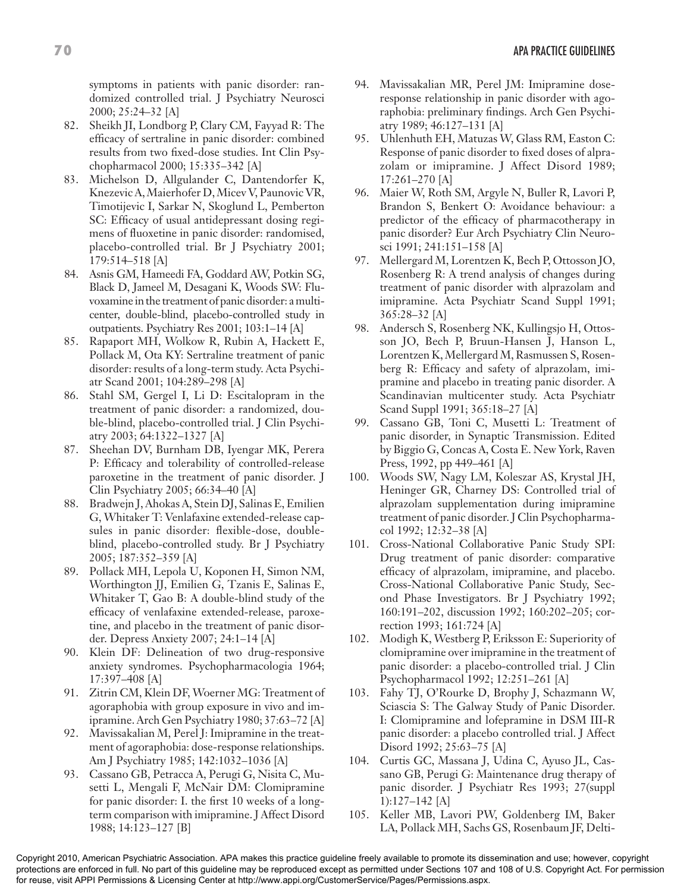symptoms in patients with panic disorder: randomized controlled trial. J Psychiatry Neurosci 2000; 25:24–32 [A]

- 82. Sheikh JI, Londborg P, Clary CM, Fayyad R: The efficacy of sertraline in panic disorder: combined results from two fixed-dose studies. Int Clin Psychopharmacol 2000; 15:335–342 [A]
- 83. Michelson D, Allgulander C, Dantendorfer K, Knezevic A, Maierhofer D, Micev V, Paunovic VR, Timotijevic I, Sarkar N, Skoglund L, Pemberton SC: Efficacy of usual antidepressant dosing regimens of fluoxetine in panic disorder: randomised, placebo-controlled trial. Br J Psychiatry 2001; 179:514–518 [A]
- 84. Asnis GM, Hameedi FA, Goddard AW, Potkin SG, Black D, Jameel M, Desagani K, Woods SW: Fluvoxamine in the treatment of panic disorder: a multicenter, double-blind, placebo-controlled study in outpatients. Psychiatry Res 2001; 103:1–14 [A]
- 85. Rapaport MH, Wolkow R, Rubin A, Hackett E, Pollack M, Ota KY: Sertraline treatment of panic disorder: results of a long-term study. Acta Psychiatr Scand 2001; 104:289–298 [A]
- 86. Stahl SM, Gergel I, Li D: Escitalopram in the treatment of panic disorder: a randomized, double-blind, placebo-controlled trial. J Clin Psychiatry 2003; 64:1322–1327 [A]
- 87. Sheehan DV, Burnham DB, Iyengar MK, Perera P: Efficacy and tolerability of controlled-release paroxetine in the treatment of panic disorder. J Clin Psychiatry 2005; 66:34–40 [A]
- 88. Bradwejn J, Ahokas A, Stein DJ, Salinas E, Emilien G, Whitaker T: Venlafaxine extended-release capsules in panic disorder: flexible-dose, doubleblind, placebo-controlled study. Br J Psychiatry 2005; 187:352–359 [A]
- 89. Pollack MH, Lepola U, Koponen H, Simon NM, Worthington JJ, Emilien G, Tzanis E, Salinas E, Whitaker T, Gao B: A double-blind study of the efficacy of venlafaxine extended-release, paroxetine, and placebo in the treatment of panic disorder. Depress Anxiety 2007; 24:1–14 [A]
- 90. Klein DF: Delineation of two drug-responsive anxiety syndromes. Psychopharmacologia 1964; 17:397–408 [A]
- 91. Zitrin CM, Klein DF, Woerner MG: Treatment of agoraphobia with group exposure in vivo and imipramine. Arch Gen Psychiatry 1980; 37:63–72 [A]
- 92. Mavissakalian M, Perel J: Imipramine in the treatment of agoraphobia: dose-response relationships. Am J Psychiatry 1985; 142:1032–1036 [A]
- 93. Cassano GB, Petracca A, Perugi G, Nisita C, Musetti L, Mengali F, McNair DM: Clomipramine for panic disorder: I. the first 10 weeks of a longterm comparison with imipramine. J Affect Disord 1988; 14:123–127 [B]
- 94. Mavissakalian MR, Perel JM: Imipramine doseresponse relationship in panic disorder with agoraphobia: preliminary findings. Arch Gen Psychiatry 1989; 46:127–131 [A]
- 95. Uhlenhuth EH, Matuzas W, Glass RM, Easton C: Response of panic disorder to fixed doses of alprazolam or imipramine. J Affect Disord 1989; 17:261–270 [A]
- 96. Maier W, Roth SM, Argyle N, Buller R, Lavori P, Brandon S, Benkert O: Avoidance behaviour: a predictor of the efficacy of pharmacotherapy in panic disorder? Eur Arch Psychiatry Clin Neurosci 1991; 241:151–158 [A]
- 97. Mellergard M, Lorentzen K, Bech P, Ottosson JO, Rosenberg R: A trend analysis of changes during treatment of panic disorder with alprazolam and imipramine. Acta Psychiatr Scand Suppl 1991; 365:28–32 [A]
- 98. Andersch S, Rosenberg NK, Kullingsjo H, Ottosson JO, Bech P, Bruun-Hansen J, Hanson L, Lorentzen K, Mellergard M, Rasmussen S, Rosenberg R: Efficacy and safety of alprazolam, imipramine and placebo in treating panic disorder. A Scandinavian multicenter study. Acta Psychiatr Scand Suppl 1991; 365:18–27 [A]
- 99. Cassano GB, Toni C, Musetti L: Treatment of panic disorder, in Synaptic Transmission. Edited by Biggio G, Concas A, Costa E. New York, Raven Press, 1992, pp 449–461 [A]
- 100. Woods SW, Nagy LM, Koleszar AS, Krystal JH, Heninger GR, Charney DS: Controlled trial of alprazolam supplementation during imipramine treatment of panic disorder. J Clin Psychopharmacol 1992; 12:32–38 [A]
- 101. Cross-National Collaborative Panic Study SPI: Drug treatment of panic disorder: comparative efficacy of alprazolam, imipramine, and placebo. Cross-National Collaborative Panic Study, Second Phase Investigators. Br J Psychiatry 1992; 160:191–202, discussion 1992; 160:202–205; correction 1993; 161:724 [A]
- 102. Modigh K, Westberg P, Eriksson E: Superiority of clomipramine over imipramine in the treatment of panic disorder: a placebo-controlled trial. J Clin Psychopharmacol 1992; 12:251–261 [A]
- 103. Fahy TJ, O'Rourke D, Brophy J, Schazmann W, Sciascia S: The Galway Study of Panic Disorder. I: Clomipramine and lofepramine in DSM III-R panic disorder: a placebo controlled trial. J Affect Disord 1992; 25:63–75 [A]
- 104. Curtis GC, Massana J, Udina C, Ayuso JL, Cassano GB, Perugi G: Maintenance drug therapy of panic disorder. J Psychiatr Res 1993; 27(suppl 1):127–142 [A]
- 105. Keller MB, Lavori PW, Goldenberg IM, Baker LA, Pollack MH, Sachs GS, Rosenbaum JF, Delti-

Copyright 2010, American Psychiatric Association. APA makes this practice guideline freely available to promote its dissemination and use; however, copyright protections are enforced in full. No part of this guideline may be reproduced except as permitted under Sections 107 and 108 of U.S. Copyright Act. For permission for reuse, visit APPI Permissions & Licensing Center at http://www.appi.org/CustomerService/Pages/Permissions.aspx.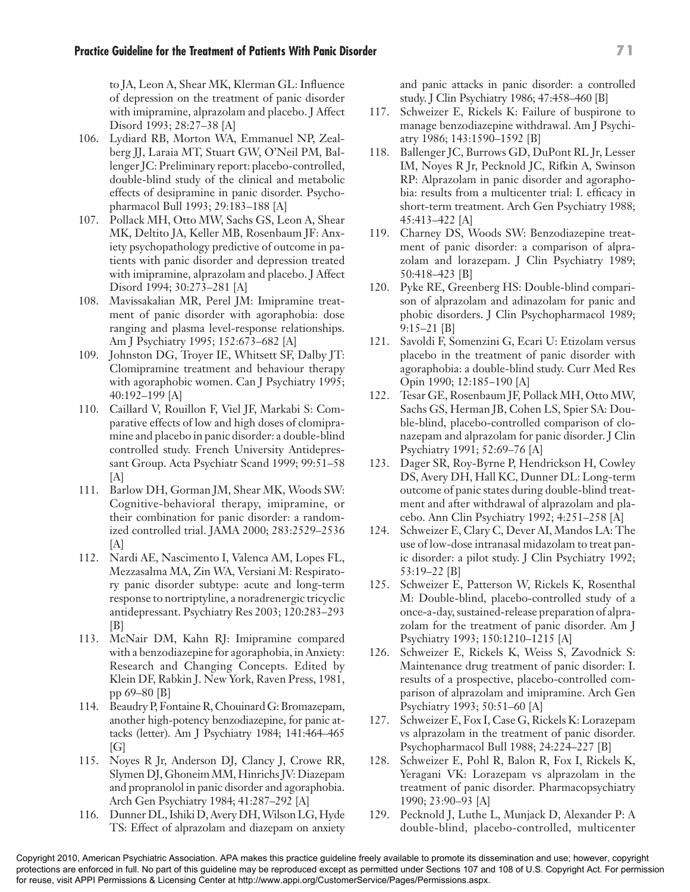- 106. Lydiard RB, Morton WA, Emmanuel NP, Zealberg JJ, Laraia MT, Stuart GW, O'Neil PM, Ballenger JC: Preliminary report: placebo-controlled, double-blind study of the clinical and metabolic effects of desipramine in panic disorder. Psychopharmacol Bull 1993; 29:183–188 [A]
- 107. Pollack MH, Otto MW, Sachs GS, Leon A, Shear MK, Deltito JA, Keller MB, Rosenbaum JF: Anxiety psychopathology predictive of outcome in patients with panic disorder and depression treated with imipramine, alprazolam and placebo. J Affect Disord 1994; 30:273–281 [A]
- 108. Mavissakalian MR, Perel JM: Imipramine treatment of panic disorder with agoraphobia: dose ranging and plasma level-response relationships. Am J Psychiatry 1995; 152:673–682 [A]
- 109. Johnston DG, Troyer IE, Whitsett SF, Dalby JT: Clomipramine treatment and behaviour therapy with agoraphobic women. Can J Psychiatry 1995; 40:192–199 [A]
- 110. Caillard V, Rouillon F, Viel JF, Markabi S: Comparative effects of low and high doses of clomipramine and placebo in panic disorder: a double-blind controlled study. French University Antidepressant Group. Acta Psychiatr Scand 1999; 99:51–58  $[A]$
- 111. Barlow DH, Gorman JM, Shear MK, Woods SW: Cognitive-behavioral therapy, imipramine, or their combination for panic disorder: a randomized controlled trial. JAMA 2000; 283:2529–2536 [A]
- 112. Nardi AE, Nascimento I, Valenca AM, Lopes FL, Mezzasalma MA, Zin WA, Versiani M: Respiratory panic disorder subtype: acute and long-term response to nortriptyline, a noradrenergic tricyclic antidepressant. Psychiatry Res 2003; 120:283–293  $[B]$
- 113. McNair DM, Kahn RJ: Imipramine compared with a benzodiazepine for agoraphobia, in Anxiety: Research and Changing Concepts. Edited by Klein DF, Rabkin J. New York, Raven Press, 1981, pp 69–80 [B]
- 114. Beaudry P, Fontaine R, Chouinard G: Bromazepam, another high-potency benzodiazepine, for panic attacks (letter). Am J Psychiatry 1984; 141:464–465  $[G]$
- 115. Noyes R Jr, Anderson DJ, Clancy J, Crowe RR, Slymen DJ, Ghoneim MM, Hinrichs JV: Diazepam and propranolol in panic disorder and agoraphobia. Arch Gen Psychiatry 1984; 41:287–292 [A]
- 116. Dunner DL, Ishiki D, Avery DH, Wilson LG, Hyde TS: Effect of alprazolam and diazepam on anxiety

and panic attacks in panic disorder: a controlled study. J Clin Psychiatry 1986; 47:458–460 [B]

- 117. Schweizer E, Rickels K: Failure of buspirone to manage benzodiazepine withdrawal. Am J Psychiatry 1986; 143:1590–1592 [B]
- 118. Ballenger JC, Burrows GD, DuPont RL Jr, Lesser IM, Noyes R Jr, Pecknold JC, Rifkin A, Swinson RP: Alprazolam in panic disorder and agoraphobia: results from a multicenter trial: I. efficacy in short-term treatment. Arch Gen Psychiatry 1988; 45:413–422 [A]
- 119. Charney DS, Woods SW: Benzodiazepine treatment of panic disorder: a comparison of alprazolam and lorazepam. J Clin Psychiatry 1989; 50:418–423 [B]
- 120. Pyke RE, Greenberg HS: Double-blind comparison of alprazolam and adinazolam for panic and phobic disorders. J Clin Psychopharmacol 1989; 9:15–21 [B]
- 121. Savoldi F, Somenzini G, Ecari U: Etizolam versus placebo in the treatment of panic disorder with agoraphobia: a double-blind study. Curr Med Res Opin 1990; 12:185–190 [A]
- 122. Tesar GE, Rosenbaum JF, Pollack MH, Otto MW, Sachs GS, Herman JB, Cohen LS, Spier SA: Double-blind, placebo-controlled comparison of clonazepam and alprazolam for panic disorder. J Clin Psychiatry 1991; 52:69–76 [A]
- 123. Dager SR, Roy-Byrne P, Hendrickson H, Cowley DS, Avery DH, Hall KC, Dunner DL: Long-term outcome of panic states during double-blind treatment and after withdrawal of alprazolam and placebo. Ann Clin Psychiatry 1992; 4:251–258 [A]
- 124. Schweizer E, Clary C, Dever AI, Mandos LA: The use of low-dose intranasal midazolam to treat panic disorder: a pilot study. J Clin Psychiatry 1992; 53:19–22 [B]
- 125. Schweizer E, Patterson W, Rickels K, Rosenthal M: Double-blind, placebo-controlled study of a once-a-day, sustained-release preparation of alprazolam for the treatment of panic disorder. Am J Psychiatry 1993; 150:1210–1215 [A]
- 126. Schweizer E, Rickels K, Weiss S, Zavodnick S: Maintenance drug treatment of panic disorder: I. results of a prospective, placebo-controlled comparison of alprazolam and imipramine. Arch Gen Psychiatry 1993; 50:51–60 [A]
- 127. Schweizer E, Fox I, Case G, Rickels K: Lorazepam vs alprazolam in the treatment of panic disorder. Psychopharmacol Bull 1988; 24:224–227 [B]
- 128. Schweizer E, Pohl R, Balon R, Fox I, Rickels K, Yeragani VK: Lorazepam vs alprazolam in the treatment of panic disorder. Pharmacopsychiatry 1990; 23:90–93 [A]
- 129. Pecknold J, Luthe L, Munjack D, Alexander P: A double-blind, placebo-controlled, multicenter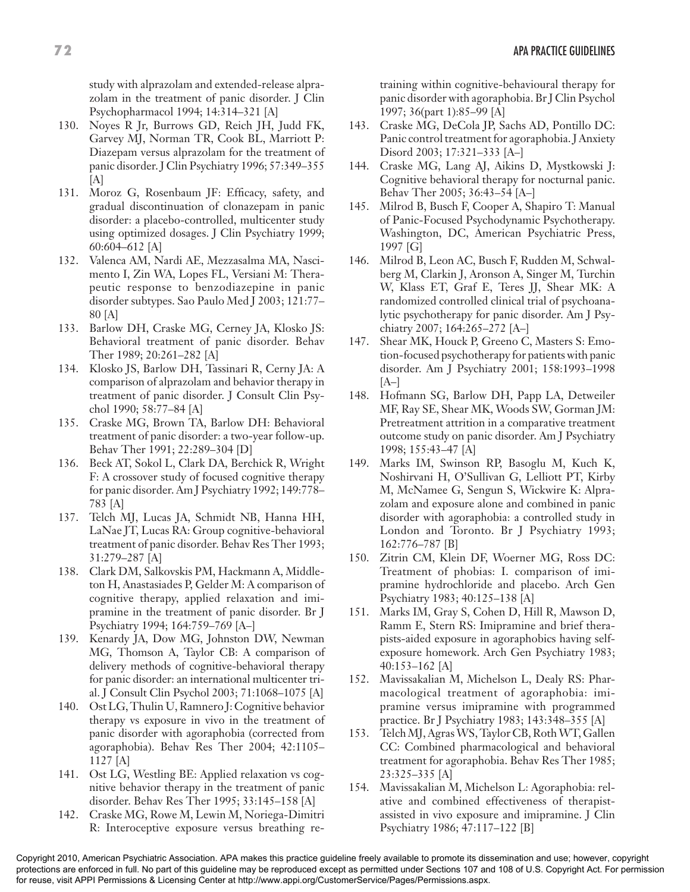study with alprazolam and extended-release alprazolam in the treatment of panic disorder. J Clin Psychopharmacol 1994; 14:314–321 [A]

- 130. Noyes R Jr, Burrows GD, Reich JH, Judd FK, Garvey MJ, Norman TR, Cook BL, Marriott P: Diazepam versus alprazolam for the treatment of panic disorder. J Clin Psychiatry 1996; 57:349–355 [A]
- 131. Moroz G, Rosenbaum JF: Efficacy, safety, and gradual discontinuation of clonazepam in panic disorder: a placebo-controlled, multicenter study using optimized dosages. J Clin Psychiatry 1999; 60:604–612 [A]
- 132. Valenca AM, Nardi AE, Mezzasalma MA, Nascimento I, Zin WA, Lopes FL, Versiani M: Therapeutic response to benzodiazepine in panic disorder subtypes. Sao Paulo Med J 2003; 121:77– 80 [A]
- 133. Barlow DH, Craske MG, Cerney JA, Klosko JS: Behavioral treatment of panic disorder. Behav Ther 1989; 20:261–282 [A]
- 134. Klosko JS, Barlow DH, Tassinari R, Cerny JA: A comparison of alprazolam and behavior therapy in treatment of panic disorder. J Consult Clin Psychol 1990; 58:77–84 [A]
- 135. Craske MG, Brown TA, Barlow DH: Behavioral treatment of panic disorder: a two-year follow-up. Behav Ther 1991; 22:289–304 [D]
- 136. Beck AT, Sokol L, Clark DA, Berchick R, Wright F: A crossover study of focused cognitive therapy for panic disorder. Am J Psychiatry 1992; 149:778– 783 [A]
- 137. Telch MJ, Lucas JA, Schmidt NB, Hanna HH, LaNae JT, Lucas RA: Group cognitive-behavioral treatment of panic disorder. Behav Res Ther 1993; 31:279–287 [A]
- 138. Clark DM, Salkovskis PM, Hackmann A, Middleton H, Anastasiades P, Gelder M: A comparison of cognitive therapy, applied relaxation and imipramine in the treatment of panic disorder. Br J Psychiatry 1994; 164:759–769 [A–]
- 139. Kenardy JA, Dow MG, Johnston DW, Newman MG, Thomson A, Taylor CB: A comparison of delivery methods of cognitive-behavioral therapy for panic disorder: an international multicenter trial. J Consult Clin Psychol 2003; 71:1068–1075 [A]
- 140. Ost LG, Thulin U, Ramnero J: Cognitive behavior therapy vs exposure in vivo in the treatment of panic disorder with agoraphobia (corrected from agoraphobia). Behav Res Ther 2004; 42:1105– 1127 [A]
- 141. Ost LG, Westling BE: Applied relaxation vs cognitive behavior therapy in the treatment of panic disorder. Behav Res Ther 1995; 33:145–158 [A]
- 142. Craske MG, Rowe M, Lewin M, Noriega-Dimitri R: Interoceptive exposure versus breathing re-

training within cognitive-behavioural therapy for panic disorder with agoraphobia. Br J Clin Psychol 1997; 36(part 1):85–99 [A]

- 143. Craske MG, DeCola JP, Sachs AD, Pontillo DC: Panic control treatment for agoraphobia. J Anxiety Disord 2003; 17:321–333 [A–]
- 144. Craske MG, Lang AJ, Aikins D, Mystkowski J: Cognitive behavioral therapy for nocturnal panic. Behav Ther 2005; 36:43–54 [A–]
- 145. Milrod B, Busch F, Cooper A, Shapiro T: Manual of Panic-Focused Psychodynamic Psychotherapy. Washington, DC, American Psychiatric Press, 1997 [G]
- 146. Milrod B, Leon AC, Busch F, Rudden M, Schwalberg M, Clarkin J, Aronson A, Singer M, Turchin W, Klass ET, Graf E, Teres JJ, Shear MK: A randomized controlled clinical trial of psychoanalytic psychotherapy for panic disorder. Am J Psychiatry 2007; 164:265–272 [A–]
- 147. Shear MK, Houck P, Greeno C, Masters S: Emotion-focused psychotherapy for patients with panic disorder. Am J Psychiatry 2001; 158:1993–1998  $[A-]$
- 148. Hofmann SG, Barlow DH, Papp LA, Detweiler MF, Ray SE, Shear MK, Woods SW, Gorman JM: Pretreatment attrition in a comparative treatment outcome study on panic disorder. Am J Psychiatry 1998; 155:43–47 [A]
- 149. Marks IM, Swinson RP, Basoglu M, Kuch K, Noshirvani H, O'Sullivan G, Lelliott PT, Kirby M, McNamee G, Sengun S, Wickwire K: Alprazolam and exposure alone and combined in panic disorder with agoraphobia: a controlled study in London and Toronto. Br J Psychiatry 1993; 162:776–787 [B]
- 150. Zitrin CM, Klein DF, Woerner MG, Ross DC: Treatment of phobias: I. comparison of imipramine hydrochloride and placebo. Arch Gen Psychiatry 1983; 40:125–138 [A]
- 151. Marks IM, Gray S, Cohen D, Hill R, Mawson D, Ramm E, Stern RS: Imipramine and brief therapists-aided exposure in agoraphobics having selfexposure homework. Arch Gen Psychiatry 1983; 40:153–162 [A]
- 152. Mavissakalian M, Michelson L, Dealy RS: Pharmacological treatment of agoraphobia: imipramine versus imipramine with programmed practice. Br J Psychiatry 1983; 143:348–355 [A]
- 153. Telch MJ, Agras WS, Taylor CB, Roth WT, Gallen CC: Combined pharmacological and behavioral treatment for agoraphobia. Behav Res Ther 1985; 23:325–335 [A]
- 154. Mavissakalian M, Michelson L: Agoraphobia: relative and combined effectiveness of therapistassisted in vivo exposure and imipramine. J Clin Psychiatry 1986; 47:117–122 [B]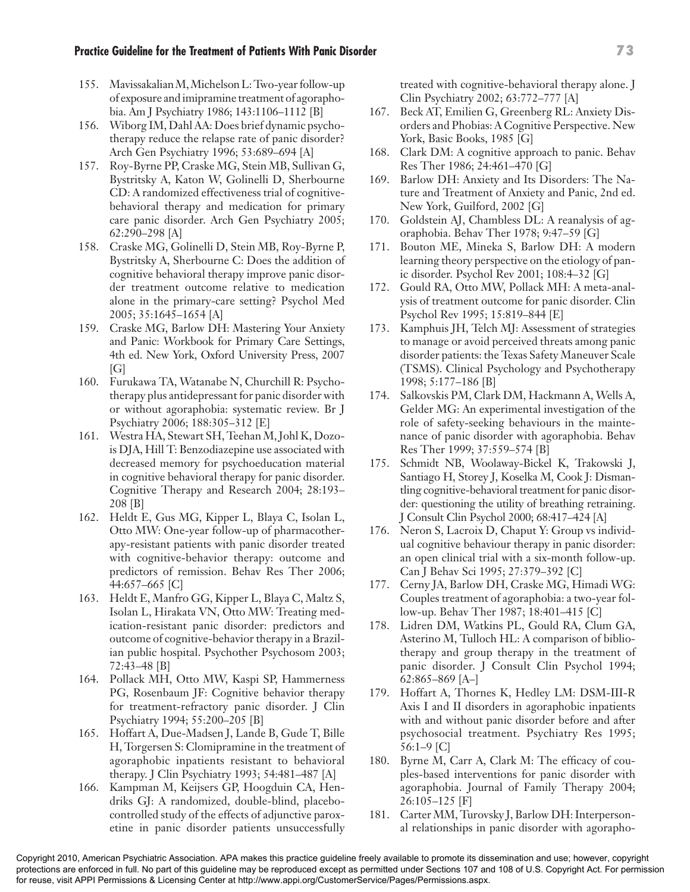- 155. Mavissakalian M, Michelson L: Two-year follow-up of exposure and imipramine treatment of agoraphobia. Am J Psychiatry 1986; 143:1106–1112 [B]
- 156. Wiborg IM, Dahl AA: Does brief dynamic psychotherapy reduce the relapse rate of panic disorder? Arch Gen Psychiatry 1996; 53:689–694 [A]
- 157. Roy-Byrne PP, Craske MG, Stein MB, Sullivan G, Bystritsky A, Katon W, Golinelli D, Sherbourne CD: A randomized effectiveness trial of cognitivebehavioral therapy and medication for primary care panic disorder. Arch Gen Psychiatry 2005; 62:290–298 [A]
- 158. Craske MG, Golinelli D, Stein MB, Roy-Byrne P, Bystritsky A, Sherbourne C: Does the addition of cognitive behavioral therapy improve panic disorder treatment outcome relative to medication alone in the primary-care setting? Psychol Med 2005; 35:1645–1654 [A]
- 159. Craske MG, Barlow DH: Mastering Your Anxiety and Panic: Workbook for Primary Care Settings, 4th ed. New York, Oxford University Press, 2007  $[G]$
- 160. Furukawa TA, Watanabe N, Churchill R: Psychotherapy plus antidepressant for panic disorder with or without agoraphobia: systematic review. Br J Psychiatry 2006; 188:305–312 [E]
- 161. Westra HA, Stewart SH, Teehan M, Johl K, Dozois DJA, Hill T: Benzodiazepine use associated with decreased memory for psychoeducation material in cognitive behavioral therapy for panic disorder. Cognitive Therapy and Research 2004; 28:193– 208 [B]
- 162. Heldt E, Gus MG, Kipper L, Blaya C, Isolan L, Otto MW: One-year follow-up of pharmacotherapy-resistant patients with panic disorder treated with cognitive-behavior therapy: outcome and predictors of remission. Behav Res Ther 2006; 44:657–665 [C]
- 163. Heldt E, Manfro GG, Kipper L, Blaya C, Maltz S, Isolan L, Hirakata VN, Otto MW: Treating medication-resistant panic disorder: predictors and outcome of cognitive-behavior therapy in a Brazilian public hospital. Psychother Psychosom 2003; 72:43–48 [B]
- 164. Pollack MH, Otto MW, Kaspi SP, Hammerness PG, Rosenbaum JF: Cognitive behavior therapy for treatment-refractory panic disorder. J Clin Psychiatry 1994; 55:200–205 [B]
- 165. Hoffart A, Due-Madsen J, Lande B, Gude T, Bille H, Torgersen S: Clomipramine in the treatment of agoraphobic inpatients resistant to behavioral therapy. J Clin Psychiatry 1993; 54:481–487 [A]
- 166. Kampman M, Keijsers GP, Hoogduin CA, Hendriks GJ: A randomized, double-blind, placebocontrolled study of the effects of adjunctive paroxetine in panic disorder patients unsuccessfully

treated with cognitive-behavioral therapy alone. J Clin Psychiatry 2002; 63:772–777 [A]

- 167. Beck AT, Emilien G, Greenberg RL: Anxiety Disorders and Phobias: A Cognitive Perspective. New York, Basic Books, 1985 [G]
- 168. Clark DM: A cognitive approach to panic. Behav Res Ther 1986; 24:461–470 [G]
- 169. Barlow DH: Anxiety and Its Disorders: The Nature and Treatment of Anxiety and Panic, 2nd ed. New York, Guilford, 2002 [G]
- 170. Goldstein AJ, Chambless DL: A reanalysis of agoraphobia. Behav Ther 1978; 9:47–59 [G]
- 171. Bouton ME, Mineka S, Barlow DH: A modern learning theory perspective on the etiology of panic disorder. Psychol Rev 2001; 108:4–32 [G]
- 172. Gould RA, Otto MW, Pollack MH: A meta-analysis of treatment outcome for panic disorder. Clin Psychol Rev 1995; 15:819–844 [E]
- 173. Kamphuis JH, Telch MJ: Assessment of strategies to manage or avoid perceived threats among panic disorder patients: the Texas Safety Maneuver Scale (TSMS). Clinical Psychology and Psychotherapy 1998; 5:177–186 [B]
- 174. Salkovskis PM, Clark DM, Hackmann A, Wells A, Gelder MG: An experimental investigation of the role of safety-seeking behaviours in the maintenance of panic disorder with agoraphobia. Behav Res Ther 1999; 37:559–574 [B]
- 175. Schmidt NB, Woolaway-Bickel K, Trakowski J, Santiago H, Storey J, Koselka M, Cook J: Dismantling cognitive-behavioral treatment for panic disorder: questioning the utility of breathing retraining. J Consult Clin Psychol 2000; 68:417–424 [A]
- 176. Neron S, Lacroix D, Chaput Y: Group vs individual cognitive behaviour therapy in panic disorder: an open clinical trial with a six-month follow-up. Can J Behav Sci 1995; 27:379–392 [C]
- 177. Cerny JA, Barlow DH, Craske MG, Himadi WG: Couples treatment of agoraphobia: a two-year follow-up. Behav Ther 1987; 18:401–415 [C]
- 178. Lidren DM, Watkins PL, Gould RA, Clum GA, Asterino M, Tulloch HL: A comparison of bibliotherapy and group therapy in the treatment of panic disorder. J Consult Clin Psychol 1994; 62:865–869 [A–]
- 179. Hoffart A, Thornes K, Hedley LM: DSM-III-R Axis I and II disorders in agoraphobic inpatients with and without panic disorder before and after psychosocial treatment. Psychiatry Res 1995; 56:1–9 [C]
- 180. Byrne M, Carr A, Clark M: The efficacy of couples-based interventions for panic disorder with agoraphobia. Journal of Family Therapy 2004; 26:105–125 [F]
- 181. Carter MM, Turovsky J, Barlow DH: Interpersonal relationships in panic disorder with agorapho-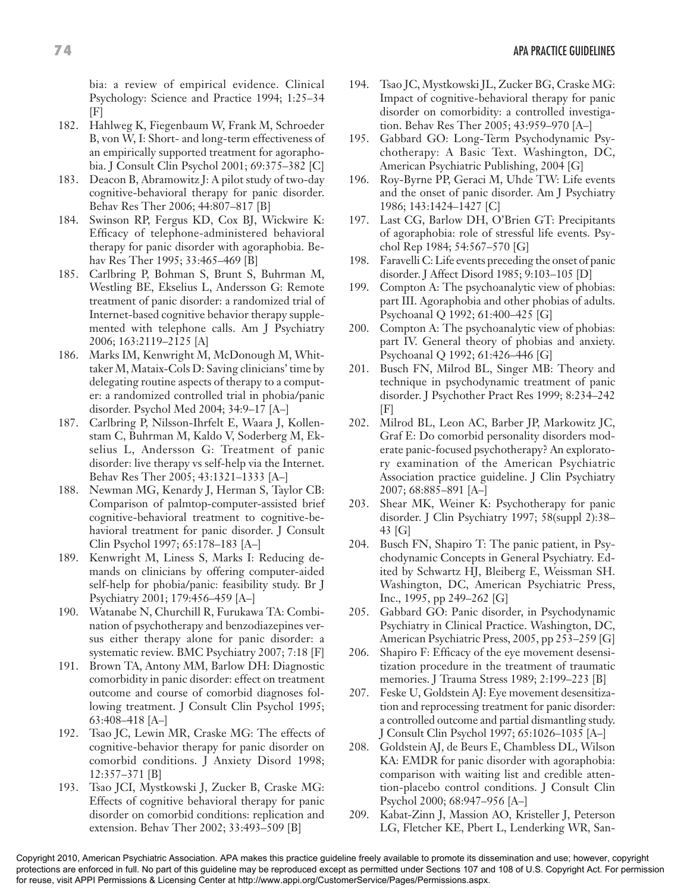bia: a review of empirical evidence. Clinical Psychology: Science and Practice 1994; 1:25–34 [F]

- 182. Hahlweg K, Fiegenbaum W, Frank M, Schroeder B, von W, I: Short- and long-term effectiveness of an empirically supported treatment for agoraphobia. J Consult Clin Psychol 2001; 69:375–382 [C]
- 183. Deacon B, Abramowitz J: A pilot study of two-day cognitive-behavioral therapy for panic disorder. Behav Res Ther 2006; 44:807–817 [B]
- 184. Swinson RP, Fergus KD, Cox BJ, Wickwire K: Efficacy of telephone-administered behavioral therapy for panic disorder with agoraphobia. Behav Res Ther 1995; 33:465–469 [B]
- 185. Carlbring P, Bohman S, Brunt S, Buhrman M, Westling BE, Ekselius L, Andersson G: Remote treatment of panic disorder: a randomized trial of Internet-based cognitive behavior therapy supplemented with telephone calls. Am J Psychiatry 2006; 163:2119–2125 [A]
- 186. Marks IM, Kenwright M, McDonough M, Whittaker M, Mataix-Cols D: Saving clinicians' time by delegating routine aspects of therapy to a computer: a randomized controlled trial in phobia/panic disorder. Psychol Med 2004; 34:9–17 [A–]
- 187. Carlbring P, Nilsson-Ihrfelt E, Waara J, Kollenstam C, Buhrman M, Kaldo V, Soderberg M, Ekselius L, Andersson G: Treatment of panic disorder: live therapy vs self-help via the Internet. Behav Res Ther 2005; 43:1321–1333 [A–]
- 188. Newman MG, Kenardy J, Herman S, Taylor CB: Comparison of palmtop-computer-assisted brief cognitive-behavioral treatment to cognitive-behavioral treatment for panic disorder. J Consult Clin Psychol 1997; 65:178–183 [A–]
- 189. Kenwright M, Liness S, Marks I: Reducing demands on clinicians by offering computer-aided self-help for phobia/panic: feasibility study. Br J Psychiatry 2001; 179:456–459 [A–]
- 190. Watanabe N, Churchill R, Furukawa TA: Combination of psychotherapy and benzodiazepines versus either therapy alone for panic disorder: a systematic review. BMC Psychiatry 2007; 7:18 [F]
- 191. Brown TA, Antony MM, Barlow DH: Diagnostic comorbidity in panic disorder: effect on treatment outcome and course of comorbid diagnoses following treatment. J Consult Clin Psychol 1995; 63:408–418 [A–]
- 192. Tsao JC, Lewin MR, Craske MG: The effects of cognitive-behavior therapy for panic disorder on comorbid conditions. J Anxiety Disord 1998; 12:357–371 [B]
- 193. Tsao JCI, Mystkowski J, Zucker B, Craske MG: Effects of cognitive behavioral therapy for panic disorder on comorbid conditions: replication and extension. Behav Ther 2002; 33:493–509 [B]
- 194. Tsao JC, Mystkowski JL, Zucker BG, Craske MG: Impact of cognitive-behavioral therapy for panic disorder on comorbidity: a controlled investigation. Behav Res Ther 2005; 43:959–970 [A–]
- 195. Gabbard GO: Long-Term Psychodynamic Psychotherapy: A Basic Text. Washington, DC, American Psychiatric Publishing, 2004 [G]
- 196. Roy-Byrne PP, Geraci M, Uhde TW: Life events and the onset of panic disorder. Am J Psychiatry 1986; 143:1424–1427 [C]
- 197. Last CG, Barlow DH, O'Brien GT: Precipitants of agoraphobia: role of stressful life events. Psychol Rep 1984; 54:567–570 [G]
- 198. Faravelli C: Life events preceding the onset of panic disorder. J Affect Disord 1985; 9:103–105 [D]
- 199. Compton A: The psychoanalytic view of phobias: part III. Agoraphobia and other phobias of adults. Psychoanal Q 1992; 61:400–425 [G]
- 200. Compton A: The psychoanalytic view of phobias: part IV. General theory of phobias and anxiety. Psychoanal Q 1992; 61:426–446 [G]
- 201. Busch FN, Milrod BL, Singer MB: Theory and technique in psychodynamic treatment of panic disorder. J Psychother Pract Res 1999; 8:234–242 [F]
- 202. Milrod BL, Leon AC, Barber JP, Markowitz JC, Graf E: Do comorbid personality disorders moderate panic-focused psychotherapy? An exploratory examination of the American Psychiatric Association practice guideline. J Clin Psychiatry 2007; 68:885–891 [A–]
- 203. Shear MK, Weiner K: Psychotherapy for panic disorder. J Clin Psychiatry 1997; 58(suppl 2):38– 43 [G]
- 204. Busch FN, Shapiro T: The panic patient, in Psychodynamic Concepts in General Psychiatry. Edited by Schwartz HJ, Bleiberg E, Weissman SH. Washington, DC, American Psychiatric Press, Inc., 1995, pp 249–262 [G]
- 205. Gabbard GO: Panic disorder, in Psychodynamic Psychiatry in Clinical Practice. Washington, DC, American Psychiatric Press, 2005, pp 253–259 [G]
- 206. Shapiro F: Efficacy of the eye movement desensitization procedure in the treatment of traumatic memories. J Trauma Stress 1989; 2:199–223 [B]
- 207. Feske U, Goldstein AJ: Eye movement desensitization and reprocessing treatment for panic disorder: a controlled outcome and partial dismantling study. J Consult Clin Psychol 1997; 65:1026–1035 [A–]
- 208. Goldstein AJ, de Beurs E, Chambless DL, Wilson KA: EMDR for panic disorder with agoraphobia: comparison with waiting list and credible attention-placebo control conditions. J Consult Clin Psychol 2000; 68:947–956 [A–]
- 209. Kabat-Zinn J, Massion AO, Kristeller J, Peterson LG, Fletcher KE, Pbert L, Lenderking WR, San-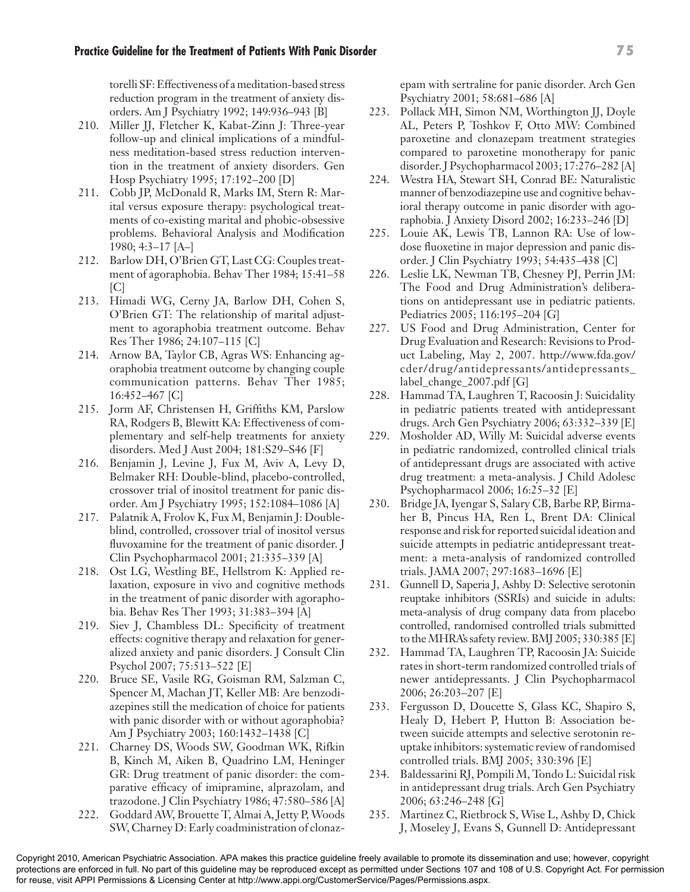torelli SF: Effectiveness of a meditation-based stress reduction program in the treatment of anxiety disorders. Am J Psychiatry 1992; 149:936–943 [B]

- 210. Miller JJ, Fletcher K, Kabat-Zinn J: Three-year follow-up and clinical implications of a mindfulness meditation-based stress reduction intervention in the treatment of anxiety disorders. Gen Hosp Psychiatry 1995; 17:192–200 [D]
- 211. Cobb JP, McDonald R, Marks IM, Stern R: Marital versus exposure therapy: psychological treatments of co-existing marital and phobic-obsessive problems. Behavioral Analysis and Modification 1980; 4:3–17 [A–]
- 212. Barlow DH, O'Brien GT, Last CG: Couples treatment of agoraphobia. Behav Ther 1984; 15:41–58  $|C|$
- 213. Himadi WG, Cerny JA, Barlow DH, Cohen S, O'Brien GT: The relationship of marital adjustment to agoraphobia treatment outcome. Behav Res Ther 1986; 24:107–115 [C]
- 214. Arnow BA, Taylor CB, Agras WS: Enhancing agoraphobia treatment outcome by changing couple communication patterns. Behav Ther 1985; 16:452–467 [C]
- 215. Jorm AF, Christensen H, Griffiths KM, Parslow RA, Rodgers B, Blewitt KA: Effectiveness of complementary and self-help treatments for anxiety disorders. Med J Aust 2004; 181:S29–S46 [F]
- 216. Benjamin J, Levine J, Fux M, Aviv A, Levy D, Belmaker RH: Double-blind, placebo-controlled, crossover trial of inositol treatment for panic disorder. Am J Psychiatry 1995; 152:1084–1086 [A]
- 217. Palatnik A, Frolov K, Fux M, Benjamin J: Doubleblind, controlled, crossover trial of inositol versus fluvoxamine for the treatment of panic disorder. J Clin Psychopharmacol 2001; 21:335–339 [A]
- 218. Ost LG, Westling BE, Hellstrom K: Applied relaxation, exposure in vivo and cognitive methods in the treatment of panic disorder with agoraphobia. Behav Res Ther 1993; 31:383–394 [A]
- 219. Siev J, Chambless DL: Specificity of treatment effects: cognitive therapy and relaxation for generalized anxiety and panic disorders. J Consult Clin Psychol 2007; 75:513–522 [E]
- 220. Bruce SE, Vasile RG, Goisman RM, Salzman C, Spencer M, Machan JT, Keller MB: Are benzodiazepines still the medication of choice for patients with panic disorder with or without agoraphobia? Am J Psychiatry 2003; 160:1432–1438 [C]
- 221. Charney DS, Woods SW, Goodman WK, Rifkin B, Kinch M, Aiken B, Quadrino LM, Heninger GR: Drug treatment of panic disorder: the comparative efficacy of imipramine, alprazolam, and trazodone. J Clin Psychiatry 1986; 47:580–586 [A]
- 222. Goddard AW, Brouette T, Almai A, Jetty P, Woods SW, Charney D: Early coadministration of clonaz-

epam with sertraline for panic disorder. Arch Gen Psychiatry 2001; 58:681–686 [A]

- 223. Pollack MH, Simon NM, Worthington JJ, Doyle AL, Peters P, Toshkov F, Otto MW: Combined paroxetine and clonazepam treatment strategies compared to paroxetine monotherapy for panic disorder. J Psychopharmacol 2003; 17:276–282 [A]
- 224. Westra HA, Stewart SH, Conrad BE: Naturalistic manner of benzodiazepine use and cognitive behavioral therapy outcome in panic disorder with agoraphobia. J Anxiety Disord 2002; 16:233–246 [D]
- 225. Louie AK, Lewis TB, Lannon RA: Use of lowdose fluoxetine in major depression and panic disorder. J Clin Psychiatry 1993; 54:435–438 [C]
- 226. Leslie LK, Newman TB, Chesney PJ, Perrin JM: The Food and Drug Administration's deliberations on antidepressant use in pediatric patients. Pediatrics 2005; 116:195–204 [G]
- 227. US Food and Drug Administration, Center for Drug Evaluation and Research: Revisions to Product Labeling, May 2, 2007. http://www.fda.gov/ cder/drug/antidepressants/antidepressants\_ label\_change\_2007.pdf [G]
- 228. Hammad TA, Laughren T, Racoosin J: Suicidality in pediatric patients treated with antidepressant drugs. Arch Gen Psychiatry 2006; 63:332–339 [E]
- 229. Mosholder AD, Willy M: Suicidal adverse events in pediatric randomized, controlled clinical trials of antidepressant drugs are associated with active drug treatment: a meta-analysis. J Child Adolesc Psychopharmacol 2006; 16:25–32 [E]
- 230. Bridge JA, Iyengar S, Salary CB, Barbe RP, Birmaher B, Pincus HA, Ren L, Brent DA: Clinical response and risk for reported suicidal ideation and suicide attempts in pediatric antidepressant treatment: a meta-analysis of randomized controlled trials. JAMA 2007; 297:1683–1696 [E]
- 231. Gunnell D, Saperia J, Ashby D: Selective serotonin reuptake inhibitors (SSRIs) and suicide in adults: meta-analysis of drug company data from placebo controlled, randomised controlled trials submitted to the MHRA's safety review. BMJ 2005; 330:385 [E]
- 232. Hammad TA, Laughren TP, Racoosin JA: Suicide rates in short-term randomized controlled trials of newer antidepressants. J Clin Psychopharmacol 2006; 26:203–207 [E]
- 233. Fergusson D, Doucette S, Glass KC, Shapiro S, Healy D, Hebert P, Hutton B: Association between suicide attempts and selective serotonin reuptake inhibitors: systematic review of randomised controlled trials. BMJ 2005; 330:396 [E]
- 234. Baldessarini RJ, Pompili M, Tondo L: Suicidal risk in antidepressant drug trials. Arch Gen Psychiatry 2006; 63:246–248 [G]
- 235. Martinez C, Rietbrock S, Wise L, Ashby D, Chick J, Moseley J, Evans S, Gunnell D: Antidepressant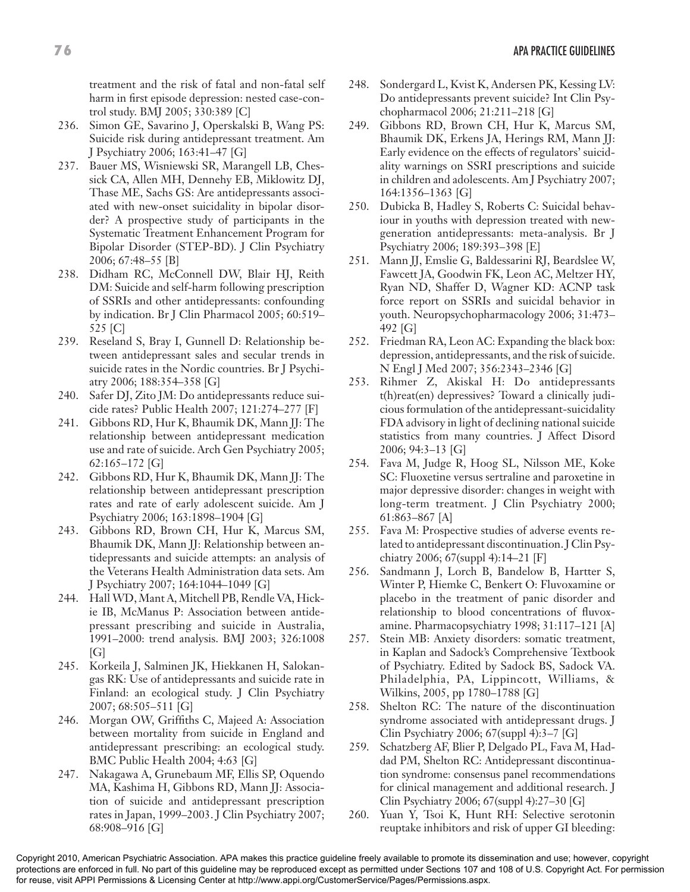treatment and the risk of fatal and non-fatal self harm in first episode depression: nested case-control study. BMJ 2005; 330:389 [C]

- 236. Simon GE, Savarino J, Operskalski B, Wang PS: Suicide risk during antidepressant treatment. Am J Psychiatry 2006; 163:41–47 [G]
- 237. Bauer MS, Wisniewski SR, Marangell LB, Chessick CA, Allen MH, Dennehy EB, Miklowitz DJ, Thase ME, Sachs GS: Are antidepressants associated with new-onset suicidality in bipolar disorder? A prospective study of participants in the Systematic Treatment Enhancement Program for Bipolar Disorder (STEP-BD). J Clin Psychiatry 2006; 67:48–55 [B]
- 238. Didham RC, McConnell DW, Blair HJ, Reith DM: Suicide and self-harm following prescription of SSRIs and other antidepressants: confounding by indication. Br J Clin Pharmacol 2005; 60:519– 525 [C]
- 239. Reseland S, Bray I, Gunnell D: Relationship between antidepressant sales and secular trends in suicide rates in the Nordic countries. Br J Psychiatry 2006; 188:354–358 [G]
- 240. Safer DJ, Zito JM: Do antidepressants reduce suicide rates? Public Health 2007; 121:274–277 [F]
- 241. Gibbons RD, Hur K, Bhaumik DK, Mann JJ: The relationship between antidepressant medication use and rate of suicide. Arch Gen Psychiatry 2005; 62:165–172 [G]
- 242. Gibbons RD, Hur K, Bhaumik DK, Mann JJ: The relationship between antidepressant prescription rates and rate of early adolescent suicide. Am J Psychiatry 2006; 163:1898–1904 [G]
- 243. Gibbons RD, Brown CH, Hur K, Marcus SM, Bhaumik DK, Mann JJ: Relationship between antidepressants and suicide attempts: an analysis of the Veterans Health Administration data sets. Am J Psychiatry 2007; 164:1044–1049 [G]
- 244. Hall WD, Mant A, Mitchell PB, Rendle VA, Hickie IB, McManus P: Association between antidepressant prescribing and suicide in Australia, 1991–2000: trend analysis. BMJ 2003; 326:1008  $[G]$
- 245. Korkeila J, Salminen JK, Hiekkanen H, Salokangas RK: Use of antidepressants and suicide rate in Finland: an ecological study. J Clin Psychiatry 2007; 68:505–511 [G]
- 246. Morgan OW, Griffiths C, Majeed A: Association between mortality from suicide in England and antidepressant prescribing: an ecological study. BMC Public Health 2004; 4:63 [G]
- 247. Nakagawa A, Grunebaum MF, Ellis SP, Oquendo MA, Kashima H, Gibbons RD, Mann JJ: Association of suicide and antidepressant prescription rates in Japan, 1999–2003. J Clin Psychiatry 2007; 68:908–916 [G]
- 248. Sondergard L, Kvist K, Andersen PK, Kessing LV: Do antidepressants prevent suicide? Int Clin Psychopharmacol 2006; 21:211–218 [G]
- 249. Gibbons RD, Brown CH, Hur K, Marcus SM, Bhaumik DK, Erkens JA, Herings RM, Mann JJ: Early evidence on the effects of regulators' suicidality warnings on SSRI prescriptions and suicide in children and adolescents. Am J Psychiatry 2007; 164:1356–1363 [G]
- 250. Dubicka B, Hadley S, Roberts C: Suicidal behaviour in youths with depression treated with newgeneration antidepressants: meta-analysis. Br J Psychiatry 2006; 189:393–398 [E]
- 251. Mann JJ, Emslie G, Baldessarini RJ, Beardslee W, Fawcett JA, Goodwin FK, Leon AC, Meltzer HY, Ryan ND, Shaffer D, Wagner KD: ACNP task force report on SSRIs and suicidal behavior in youth. Neuropsychopharmacology 2006; 31:473– 492 [G]
- 252. Friedman RA, Leon AC: Expanding the black box: depression, antidepressants, and the risk of suicide. N Engl J Med 2007; 356:2343–2346 [G]
- 253. Rihmer Z, Akiskal H: Do antidepressants t(h)reat(en) depressives? Toward a clinically judicious formulation of the antidepressant-suicidality FDA advisory in light of declining national suicide statistics from many countries. J Affect Disord 2006; 94:3–13 [G]
- 254. Fava M, Judge R, Hoog SL, Nilsson ME, Koke SC: Fluoxetine versus sertraline and paroxetine in major depressive disorder: changes in weight with long-term treatment. J Clin Psychiatry 2000; 61:863–867 [A]
- 255. Fava M: Prospective studies of adverse events related to antidepressant discontinuation. J Clin Psychiatry 2006; 67(suppl 4):14–21 [F]
- 256. Sandmann J, Lorch B, Bandelow B, Hartter S, Winter P, Hiemke C, Benkert O: Fluvoxamine or placebo in the treatment of panic disorder and relationship to blood concentrations of fluvoxamine. Pharmacopsychiatry 1998; 31:117–121 [A]
- 257. Stein MB: Anxiety disorders: somatic treatment, in Kaplan and Sadock's Comprehensive Textbook of Psychiatry. Edited by Sadock BS, Sadock VA. Philadelphia, PA, Lippincott, Williams, & Wilkins, 2005, pp 1780–1788 [G]
- 258. Shelton RC: The nature of the discontinuation syndrome associated with antidepressant drugs. J Clin Psychiatry 2006; 67(suppl 4):3–7 [G]
- 259. Schatzberg AF, Blier P, Delgado PL, Fava M, Haddad PM, Shelton RC: Antidepressant discontinuation syndrome: consensus panel recommendations for clinical management and additional research. J Clin Psychiatry 2006; 67(suppl 4):27–30 [G]
- 260. Yuan Y, Tsoi K, Hunt RH: Selective serotonin reuptake inhibitors and risk of upper GI bleeding: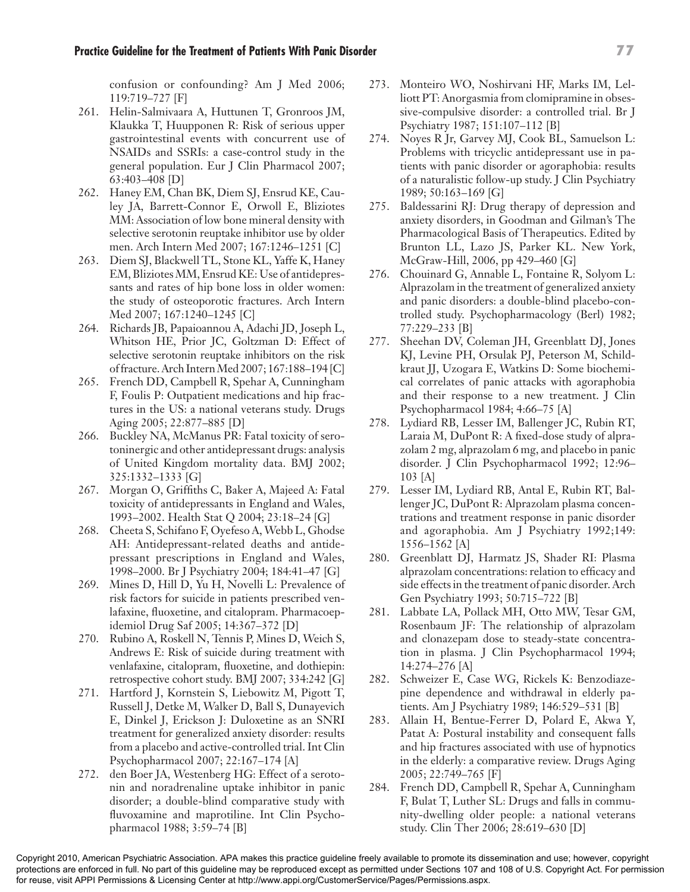confusion or confounding? Am J Med 2006; 119:719–727 [F]

- 261. Helin-Salmivaara A, Huttunen T, Gronroos JM, Klaukka T, Huupponen R: Risk of serious upper gastrointestinal events with concurrent use of NSAIDs and SSRIs: a case-control study in the general population. Eur J Clin Pharmacol 2007; 63:403–408 [D]
- 262. Haney EM, Chan BK, Diem SJ, Ensrud KE, Cauley JA, Barrett-Connor E, Orwoll E, Bliziotes MM: Association of low bone mineral density with selective serotonin reuptake inhibitor use by older men. Arch Intern Med 2007; 167:1246–1251 [C]
- 263. Diem SJ, Blackwell TL, Stone KL, Yaffe K, Haney EM, Bliziotes MM, Ensrud KE: Use of antidepressants and rates of hip bone loss in older women: the study of osteoporotic fractures. Arch Intern Med 2007; 167:1240–1245 [C]
- 264. Richards JB, Papaioannou A, Adachi JD, Joseph L, Whitson HE, Prior JC, Goltzman D: Effect of selective serotonin reuptake inhibitors on the risk of fracture. Arch Intern Med 2007; 167:188–194 [C]
- 265. French DD, Campbell R, Spehar A, Cunningham F, Foulis P: Outpatient medications and hip fractures in the US: a national veterans study. Drugs Aging 2005; 22:877–885 [D]
- 266. Buckley NA, McManus PR: Fatal toxicity of serotoninergic and other antidepressant drugs: analysis of United Kingdom mortality data. BMJ 2002; 325:1332–1333 [G]
- 267. Morgan O, Griffiths C, Baker A, Majeed A: Fatal toxicity of antidepressants in England and Wales, 1993–2002. Health Stat Q 2004; 23:18–24 [G]
- 268. Cheeta S, Schifano F, Oyefeso A, Webb L, Ghodse AH: Antidepressant-related deaths and antidepressant prescriptions in England and Wales, 1998–2000. Br J Psychiatry 2004; 184:41–47 [G]
- 269. Mines D, Hill D, Yu H, Novelli L: Prevalence of risk factors for suicide in patients prescribed venlafaxine, fluoxetine, and citalopram. Pharmacoepidemiol Drug Saf 2005; 14:367–372 [D]
- 270. Rubino A, Roskell N, Tennis P, Mines D, Weich S, Andrews E: Risk of suicide during treatment with venlafaxine, citalopram, fluoxetine, and dothiepin: retrospective cohort study. BMJ 2007; 334:242 [G]
- 271. Hartford J, Kornstein S, Liebowitz M, Pigott T, Russell J, Detke M, Walker D, Ball S, Dunayevich E, Dinkel J, Erickson J: Duloxetine as an SNRI treatment for generalized anxiety disorder: results from a placebo and active-controlled trial. Int Clin Psychopharmacol 2007; 22:167–174 [A]
- 272. den Boer JA, Westenberg HG: Effect of a serotonin and noradrenaline uptake inhibitor in panic disorder; a double-blind comparative study with fluvoxamine and maprotiline. Int Clin Psychopharmacol 1988; 3:59–74 [B]
- 273. Monteiro WO, Noshirvani HF, Marks IM, Lelliott PT: Anorgasmia from clomipramine in obsessive-compulsive disorder: a controlled trial. Br J Psychiatry 1987; 151:107–112 [B]
- 274. Noyes R Jr, Garvey MJ, Cook BL, Samuelson L: Problems with tricyclic antidepressant use in patients with panic disorder or agoraphobia: results of a naturalistic follow-up study. J Clin Psychiatry 1989; 50:163–169 [G]
- 275. Baldessarini RJ: Drug therapy of depression and anxiety disorders, in Goodman and Gilman's The Pharmacological Basis of Therapeutics. Edited by Brunton LL, Lazo JS, Parker KL. New York, McGraw-Hill, 2006, pp 429–460 [G]
- 276. Chouinard G, Annable L, Fontaine R, Solyom L: Alprazolam in the treatment of generalized anxiety and panic disorders: a double-blind placebo-controlled study. Psychopharmacology (Berl) 1982; 77:229–233 [B]
- 277. Sheehan DV, Coleman JH, Greenblatt DJ, Jones KJ, Levine PH, Orsulak PJ, Peterson M, Schildkraut JJ, Uzogara E, Watkins D: Some biochemical correlates of panic attacks with agoraphobia and their response to a new treatment. J Clin Psychopharmacol 1984; 4:66–75 [A]
- 278. Lydiard RB, Lesser IM, Ballenger JC, Rubin RT, Laraia M, DuPont R: A fixed-dose study of alprazolam 2 mg, alprazolam 6 mg, and placebo in panic disorder. J Clin Psychopharmacol 1992; 12:96– 103 [A]
- 279. Lesser IM, Lydiard RB, Antal E, Rubin RT, Ballenger JC, DuPont R: Alprazolam plasma concentrations and treatment response in panic disorder and agoraphobia. Am J Psychiatry 1992;149: 1556–1562 [A]
- 280. Greenblatt DJ, Harmatz JS, Shader RI: Plasma alprazolam concentrations: relation to efficacy and side effects in the treatment of panic disorder. Arch Gen Psychiatry 1993; 50:715–722 [B]
- 281. Labbate LA, Pollack MH, Otto MW, Tesar GM, Rosenbaum JF: The relationship of alprazolam and clonazepam dose to steady-state concentration in plasma. J Clin Psychopharmacol 1994; 14:274–276 [A]
- 282. Schweizer E, Case WG, Rickels K: Benzodiazepine dependence and withdrawal in elderly patients. Am J Psychiatry 1989; 146:529–531 [B]
- 283. Allain H, Bentue-Ferrer D, Polard E, Akwa Y, Patat A: Postural instability and consequent falls and hip fractures associated with use of hypnotics in the elderly: a comparative review. Drugs Aging 2005; 22:749–765 [F]
- 284. French DD, Campbell R, Spehar A, Cunningham F, Bulat T, Luther SL: Drugs and falls in community-dwelling older people: a national veterans study. Clin Ther 2006; 28:619–630 [D]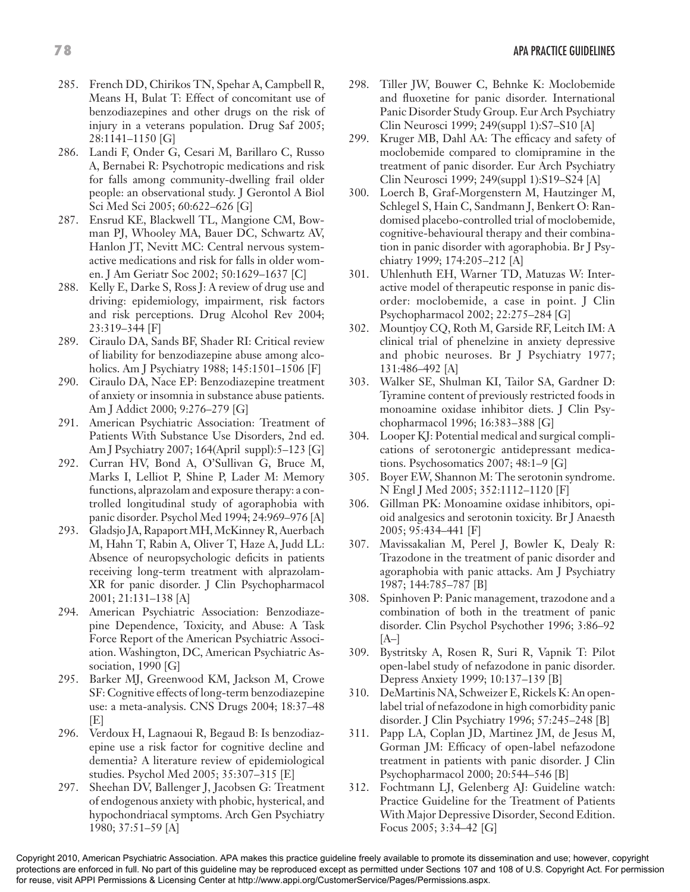- 285. French DD, Chirikos TN, Spehar A, Campbell R, Means H, Bulat T: Effect of concomitant use of benzodiazepines and other drugs on the risk of injury in a veterans population. Drug Saf 2005; 28:1141–1150 [G]
- 286. Landi F, Onder G, Cesari M, Barillaro C, Russo A, Bernabei R: Psychotropic medications and risk for falls among community-dwelling frail older people: an observational study. J Gerontol A Biol Sci Med Sci 2005; 60:622–626 [G]
- 287. Ensrud KE, Blackwell TL, Mangione CM, Bowman PJ, Whooley MA, Bauer DC, Schwartz AV, Hanlon JT, Nevitt MC: Central nervous systemactive medications and risk for falls in older women. J Am Geriatr Soc 2002; 50:1629–1637 [C]
- 288. Kelly E, Darke S, Ross J: A review of drug use and driving: epidemiology, impairment, risk factors and risk perceptions. Drug Alcohol Rev 2004; 23:319–344 [F]
- 289. Ciraulo DA, Sands BF, Shader RI: Critical review of liability for benzodiazepine abuse among alcoholics. Am J Psychiatry 1988; 145:1501–1506 [F]
- 290. Ciraulo DA, Nace EP: Benzodiazepine treatment of anxiety or insomnia in substance abuse patients. Am J Addict 2000; 9:276–279 [G]
- 291. American Psychiatric Association: Treatment of Patients With Substance Use Disorders, 2nd ed. Am J Psychiatry 2007; 164(April suppl):5–123 [G]
- 292. Curran HV, Bond A, O'Sullivan G, Bruce M, Marks I, Lelliot P, Shine P, Lader M: Memory functions, alprazolam and exposure therapy: a controlled longitudinal study of agoraphobia with panic disorder. Psychol Med 1994; 24:969–976 [A]
- 293. Gladsjo JA, Rapaport MH, McKinney R, Auerbach M, Hahn T, Rabin A, Oliver T, Haze A, Judd LL: Absence of neuropsychologic deficits in patients receiving long-term treatment with alprazolam-XR for panic disorder. J Clin Psychopharmacol 2001; 21:131–138 [A]
- 294. American Psychiatric Association: Benzodiazepine Dependence, Toxicity, and Abuse: A Task Force Report of the American Psychiatric Association. Washington, DC, American Psychiatric Association, 1990 [G]
- 295. Barker MJ, Greenwood KM, Jackson M, Crowe SF: Cognitive effects of long-term benzodiazepine use: a meta-analysis. CNS Drugs 2004; 18:37–48 [E]
- 296. Verdoux H, Lagnaoui R, Begaud B: Is benzodiazepine use a risk factor for cognitive decline and dementia? A literature review of epidemiological studies. Psychol Med 2005; 35:307–315 [E]
- 297. Sheehan DV, Ballenger J, Jacobsen G: Treatment of endogenous anxiety with phobic, hysterical, and hypochondriacal symptoms. Arch Gen Psychiatry 1980; 37:51–59 [A]
- 298. Tiller JW, Bouwer C, Behnke K: Moclobemide and fluoxetine for panic disorder. International Panic Disorder Study Group. Eur Arch Psychiatry Clin Neurosci 1999; 249(suppl 1):S7–S10 [A]
- 299. Kruger MB, Dahl AA: The efficacy and safety of moclobemide compared to clomipramine in the treatment of panic disorder. Eur Arch Psychiatry Clin Neurosci 1999; 249(suppl 1):S19–S24 [A]
- 300. Loerch B, Graf-Morgenstern M, Hautzinger M, Schlegel S, Hain C, Sandmann J, Benkert O: Randomised placebo-controlled trial of moclobemide, cognitive-behavioural therapy and their combination in panic disorder with agoraphobia. Br J Psychiatry 1999; 174:205–212 [A]
- 301. Uhlenhuth EH, Warner TD, Matuzas W: Interactive model of therapeutic response in panic disorder: moclobemide, a case in point. J Clin Psychopharmacol 2002; 22:275–284 [G]
- 302. Mountjoy CQ, Roth M, Garside RF, Leitch IM: A clinical trial of phenelzine in anxiety depressive and phobic neuroses. Br J Psychiatry 1977; 131:486–492 [A]
- 303. Walker SE, Shulman KI, Tailor SA, Gardner D: Tyramine content of previously restricted foods in monoamine oxidase inhibitor diets. J Clin Psychopharmacol 1996; 16:383–388 [G]
- 304. Looper KJ: Potential medical and surgical complications of serotonergic antidepressant medications. Psychosomatics 2007; 48:1–9 [G]
- 305. Boyer EW, Shannon M: The serotonin syndrome. N Engl J Med 2005; 352:1112–1120 [F]
- 306. Gillman PK: Monoamine oxidase inhibitors, opioid analgesics and serotonin toxicity. Br J Anaesth 2005; 95:434–441 [F]
- 307. Mavissakalian M, Perel J, Bowler K, Dealy R: Trazodone in the treatment of panic disorder and agoraphobia with panic attacks. Am J Psychiatry 1987; 144:785–787 [B]
- 308. Spinhoven P: Panic management, trazodone and a combination of both in the treatment of panic disorder. Clin Psychol Psychother 1996; 3:86–92  $[A-]$
- 309. Bystritsky A, Rosen R, Suri R, Vapnik T: Pilot open-label study of nefazodone in panic disorder. Depress Anxiety 1999; 10:137–139 [B]
- 310. DeMartinis NA, Schweizer E, Rickels K: An openlabel trial of nefazodone in high comorbidity panic disorder. J Clin Psychiatry 1996; 57:245–248 [B]
- 311. Papp LA, Coplan JD, Martinez JM, de Jesus M, Gorman JM: Efficacy of open-label nefazodone treatment in patients with panic disorder. J Clin Psychopharmacol 2000; 20:544–546 [B]
- 312. Fochtmann LJ, Gelenberg AJ: Guideline watch: Practice Guideline for the Treatment of Patients With Major Depressive Disorder, Second Edition. Focus 2005; 3:34–42 [G]

protections are enforced in full. No part of this guideline may be reproduced except as permitted under Sections 107 and 108 of U.S. Copyright Act. For permission for reuse, visit APPI Permissions & Licensing Center at http://www.appi.org/CustomerService/Pages/Permissions.aspx.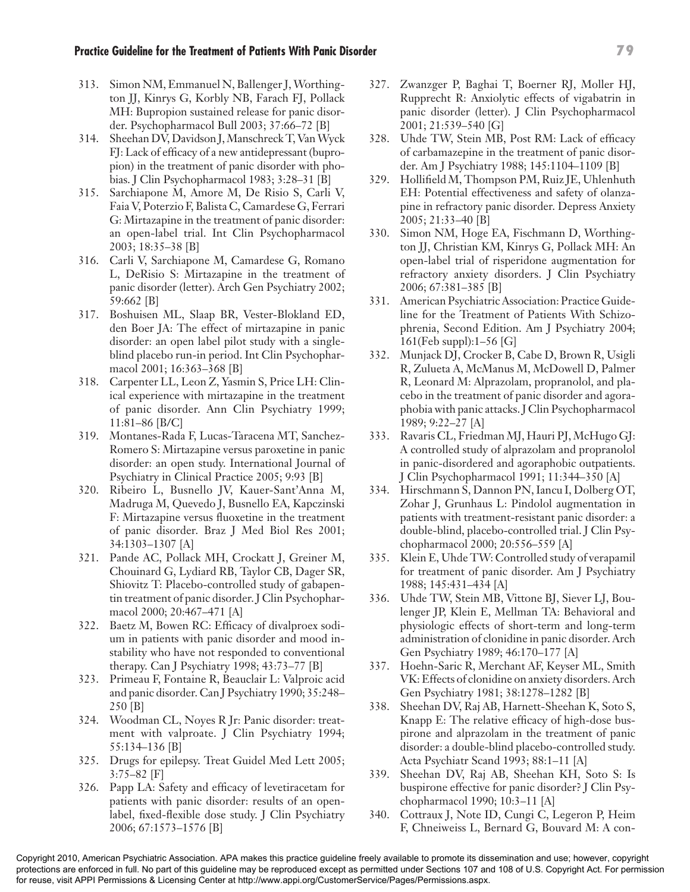- 313. Simon NM, Emmanuel N, Ballenger J, Worthington JJ, Kinrys G, Korbly NB, Farach FJ, Pollack MH: Bupropion sustained release for panic disorder. Psychopharmacol Bull 2003; 37:66–72 [B]
- 314. Sheehan DV, Davidson J, Manschreck T, Van Wyck FJ: Lack of efficacy of a new antidepressant (bupropion) in the treatment of panic disorder with phobias. J Clin Psychopharmacol 1983; 3:28–31 [B]
- 315. Sarchiapone M, Amore M, De Risio S, Carli V, Faia V, Poterzio F, Balista C, Camardese G, Ferrari G: Mirtazapine in the treatment of panic disorder: an open-label trial. Int Clin Psychopharmacol 2003; 18:35–38 [B]
- 316. Carli V, Sarchiapone M, Camardese G, Romano L, DeRisio S: Mirtazapine in the treatment of panic disorder (letter). Arch Gen Psychiatry 2002; 59:662 [B]
- 317. Boshuisen ML, Slaap BR, Vester-Blokland ED, den Boer JA: The effect of mirtazapine in panic disorder: an open label pilot study with a singleblind placebo run-in period. Int Clin Psychopharmacol 2001; 16:363–368 [B]
- 318. Carpenter LL, Leon Z, Yasmin S, Price LH: Clinical experience with mirtazapine in the treatment of panic disorder. Ann Clin Psychiatry 1999; 11:81–86 [B/C]
- 319. Montanes-Rada F, Lucas-Taracena MT, Sanchez-Romero S: Mirtazapine versus paroxetine in panic disorder: an open study. International Journal of Psychiatry in Clinical Practice 2005; 9:93 [B]
- 320. Ribeiro L, Busnello JV, Kauer-Sant'Anna M, Madruga M, Quevedo J, Busnello EA, Kapczinski F: Mirtazapine versus fluoxetine in the treatment of panic disorder. Braz J Med Biol Res 2001; 34:1303–1307 [A]
- 321. Pande AC, Pollack MH, Crockatt J, Greiner M, Chouinard G, Lydiard RB, Taylor CB, Dager SR, Shiovitz T: Placebo-controlled study of gabapentin treatment of panic disorder. J Clin Psychopharmacol 2000; 20:467–471 [A]
- 322. Baetz M, Bowen RC: Efficacy of divalproex sodium in patients with panic disorder and mood instability who have not responded to conventional therapy. Can J Psychiatry 1998; 43:73–77 [B]
- 323. Primeau F, Fontaine R, Beauclair L: Valproic acid and panic disorder. Can J Psychiatry 1990; 35:248– 250 [B]
- 324. Woodman CL, Noyes R Jr: Panic disorder: treatment with valproate. J Clin Psychiatry 1994; 55:134–136 [B]
- 325. Drugs for epilepsy. Treat Guidel Med Lett 2005; 3:75–82 [F]
- 326. Papp LA: Safety and efficacy of levetiracetam for patients with panic disorder: results of an openlabel, fixed-flexible dose study. J Clin Psychiatry 2006; 67:1573–1576 [B]
- 327. Zwanzger P, Baghai T, Boerner RJ, Moller HJ, Rupprecht R: Anxiolytic effects of vigabatrin in panic disorder (letter). J Clin Psychopharmacol 2001; 21:539–540 [G]
- 328. Uhde TW, Stein MB, Post RM: Lack of efficacy of carbamazepine in the treatment of panic disorder. Am J Psychiatry 1988; 145:1104–1109 [B]
- 329. Hollifield M, Thompson PM, Ruiz JE, Uhlenhuth EH: Potential effectiveness and safety of olanzapine in refractory panic disorder. Depress Anxiety 2005; 21:33–40 [B]
- 330. Simon NM, Hoge EA, Fischmann D, Worthington JJ, Christian KM, Kinrys G, Pollack MH: An open-label trial of risperidone augmentation for refractory anxiety disorders. J Clin Psychiatry 2006; 67:381–385 [B]
- 331. American Psychiatric Association: Practice Guideline for the Treatment of Patients With Schizophrenia, Second Edition. Am J Psychiatry 2004; 161(Feb suppl):1–56 [G]
- 332. Munjack DJ, Crocker B, Cabe D, Brown R, Usigli R, Zulueta A, McManus M, McDowell D, Palmer R, Leonard M: Alprazolam, propranolol, and placebo in the treatment of panic disorder and agoraphobia with panic attacks. J Clin Psychopharmacol 1989; 9:22–27 [A]
- 333. Ravaris CL, Friedman MJ, Hauri PJ, McHugo GJ: A controlled study of alprazolam and propranolol in panic-disordered and agoraphobic outpatients. J Clin Psychopharmacol 1991; 11:344–350 [A]
- 334. Hirschmann S, Dannon PN, Iancu I, Dolberg OT, Zohar J, Grunhaus L: Pindolol augmentation in patients with treatment-resistant panic disorder: a double-blind, placebo-controlled trial. J Clin Psychopharmacol 2000; 20:556–559 [A]
- 335. Klein E, Uhde TW: Controlled study of verapamil for treatment of panic disorder. Am J Psychiatry 1988; 145:431–434 [A]
- 336. Uhde TW, Stein MB, Vittone BJ, Siever LJ, Boulenger JP, Klein E, Mellman TA: Behavioral and physiologic effects of short-term and long-term administration of clonidine in panic disorder. Arch Gen Psychiatry 1989; 46:170–177 [A]
- 337. Hoehn-Saric R, Merchant AF, Keyser ML, Smith VK: Effects of clonidine on anxiety disorders. Arch Gen Psychiatry 1981; 38:1278–1282 [B]
- 338. Sheehan DV, Raj AB, Harnett-Sheehan K, Soto S, Knapp E: The relative efficacy of high-dose buspirone and alprazolam in the treatment of panic disorder: a double-blind placebo-controlled study. Acta Psychiatr Scand 1993; 88:1–11 [A]
- 339. Sheehan DV, Raj AB, Sheehan KH, Soto S: Is buspirone effective for panic disorder? J Clin Psychopharmacol 1990; 10:3–11 [A]
- 340. Cottraux J, Note ID, Cungi C, Legeron P, Heim F, Chneiweiss L, Bernard G, Bouvard M: A con-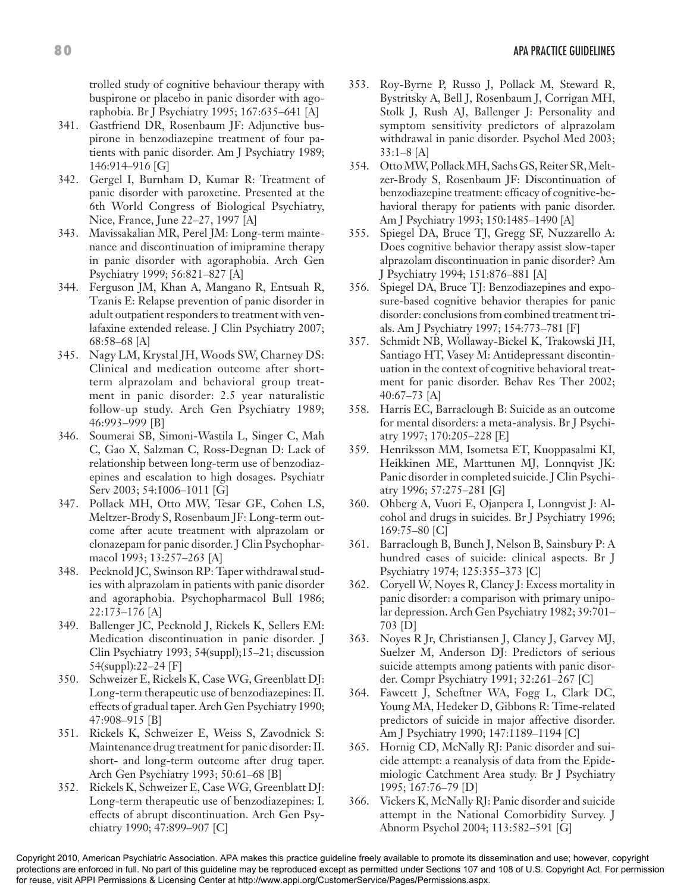trolled study of cognitive behaviour therapy with buspirone or placebo in panic disorder with agoraphobia. Br J Psychiatry 1995; 167:635–641 [A]

- 341. Gastfriend DR, Rosenbaum JF: Adjunctive buspirone in benzodiazepine treatment of four patients with panic disorder. Am J Psychiatry 1989; 146:914–916 [G]
- 342. Gergel I, Burnham D, Kumar R: Treatment of panic disorder with paroxetine. Presented at the 6th World Congress of Biological Psychiatry, Nice, France, June 22–27, 1997 [A]
- 343. Mavissakalian MR, Perel JM: Long-term maintenance and discontinuation of imipramine therapy in panic disorder with agoraphobia. Arch Gen Psychiatry 1999; 56:821–827 [A]
- 344. Ferguson JM, Khan A, Mangano R, Entsuah R, Tzanis E: Relapse prevention of panic disorder in adult outpatient responders to treatment with venlafaxine extended release. J Clin Psychiatry 2007; 68:58–68 [A]
- 345. Nagy LM, Krystal JH, Woods SW, Charney DS: Clinical and medication outcome after shortterm alprazolam and behavioral group treatment in panic disorder: 2.5 year naturalistic follow-up study. Arch Gen Psychiatry 1989; 46:993–999 [B]
- 346. Soumerai SB, Simoni-Wastila L, Singer C, Mah C, Gao X, Salzman C, Ross-Degnan D: Lack of relationship between long-term use of benzodiazepines and escalation to high dosages. Psychiatr Serv 2003; 54:1006–1011 [G]
- 347. Pollack MH, Otto MW, Tesar GE, Cohen LS, Meltzer-Brody S, Rosenbaum JF: Long-term outcome after acute treatment with alprazolam or clonazepam for panic disorder. J Clin Psychopharmacol 1993; 13:257–263 [A]
- 348. Pecknold JC, Swinson RP: Taper withdrawal studies with alprazolam in patients with panic disorder and agoraphobia. Psychopharmacol Bull 1986; 22:173–176 [A]
- 349. Ballenger JC, Pecknold J, Rickels K, Sellers EM: Medication discontinuation in panic disorder. J Clin Psychiatry 1993; 54(suppl);15–21; discussion 54(suppl):22–24 [F]
- 350. Schweizer E, Rickels K, Case WG, Greenblatt DJ: Long-term therapeutic use of benzodiazepines: II. effects of gradual taper. Arch Gen Psychiatry 1990; 47:908–915 [B]
- 351. Rickels K, Schweizer E, Weiss S, Zavodnick S: Maintenance drug treatment for panic disorder: II. short- and long-term outcome after drug taper. Arch Gen Psychiatry 1993; 50:61–68 [B]
- 352. Rickels K, Schweizer E, Case WG, Greenblatt DJ: Long-term therapeutic use of benzodiazepines: I. effects of abrupt discontinuation. Arch Gen Psychiatry 1990; 47:899–907 [C]
- 353. Roy-Byrne P, Russo J, Pollack M, Steward R, Bystritsky A, Bell J, Rosenbaum J, Corrigan MH, Stolk J, Rush AJ, Ballenger J: Personality and symptom sensitivity predictors of alprazolam withdrawal in panic disorder. Psychol Med 2003; 33:1–8 [A]
- 354. Otto MW, Pollack MH, Sachs GS, Reiter SR, Meltzer-Brody S, Rosenbaum JF: Discontinuation of benzodiazepine treatment: efficacy of cognitive-behavioral therapy for patients with panic disorder. Am J Psychiatry 1993; 150:1485–1490 [A]
- 355. Spiegel DA, Bruce TJ, Gregg SF, Nuzzarello A: Does cognitive behavior therapy assist slow-taper alprazolam discontinuation in panic disorder? Am J Psychiatry 1994; 151:876–881 [A]
- 356. Spiegel DA, Bruce TJ: Benzodiazepines and exposure-based cognitive behavior therapies for panic disorder: conclusions from combined treatment trials. Am J Psychiatry 1997; 154:773–781 [F]
- 357. Schmidt NB, Wollaway-Bickel K, Trakowski JH, Santiago HT, Vasey M: Antidepressant discontinuation in the context of cognitive behavioral treatment for panic disorder. Behav Res Ther 2002; 40:67–73 [A]
- 358. Harris EC, Barraclough B: Suicide as an outcome for mental disorders: a meta-analysis. Br J Psychiatry 1997; 170:205–228 [E]
- 359. Henriksson MM, Isometsa ET, Kuoppasalmi KI, Heikkinen ME, Marttunen MJ, Lonnqvist JK: Panic disorder in completed suicide. J Clin Psychiatry 1996; 57:275–281 [G]
- 360. Ohberg A, Vuori E, Ojanpera I, Lonngvist J: Alcohol and drugs in suicides. Br J Psychiatry 1996; 169:75–80 [C]
- 361. Barraclough B, Bunch J, Nelson B, Sainsbury P: A hundred cases of suicide: clinical aspects. Br J Psychiatry 1974; 125:355–373 [C]
- 362. Coryell W, Noyes R, Clancy J: Excess mortality in panic disorder: a comparison with primary unipolar depression. Arch Gen Psychiatry 1982; 39:701– 703 [D]
- 363. Noyes R Jr, Christiansen J, Clancy J, Garvey MJ, Suelzer M, Anderson DJ: Predictors of serious suicide attempts among patients with panic disorder. Compr Psychiatry 1991; 32:261–267 [C]
- 364. Fawcett J, Scheftner WA, Fogg L, Clark DC, Young MA, Hedeker D, Gibbons R: Time-related predictors of suicide in major affective disorder. Am J Psychiatry 1990; 147:1189–1194 [C]
- 365. Hornig CD, McNally RJ: Panic disorder and suicide attempt: a reanalysis of data from the Epidemiologic Catchment Area study. Br J Psychiatry 1995; 167:76–79 [D]
- 366. Vickers K, McNally RJ: Panic disorder and suicide attempt in the National Comorbidity Survey. J Abnorm Psychol 2004; 113:582–591 [G]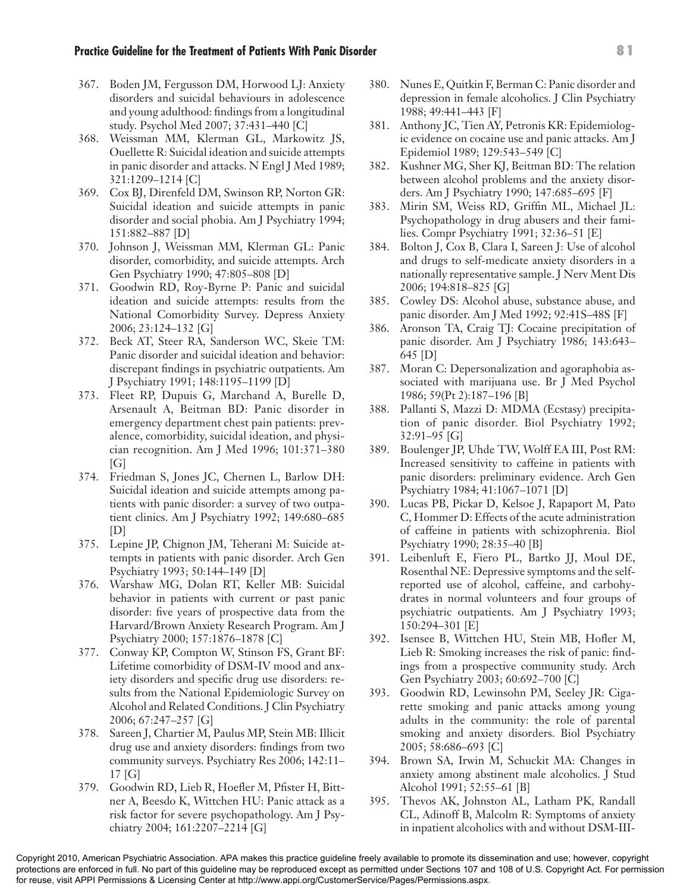- 367. Boden JM, Fergusson DM, Horwood LJ: Anxiety disorders and suicidal behaviours in adolescence and young adulthood: findings from a longitudinal study. Psychol Med 2007; 37:431–440 [C]
- 368. Weissman MM, Klerman GL, Markowitz JS, Ouellette R: Suicidal ideation and suicide attempts in panic disorder and attacks. N Engl J Med 1989; 321:1209–1214 [C]
- 369. Cox BJ, Direnfeld DM, Swinson RP, Norton GR: Suicidal ideation and suicide attempts in panic disorder and social phobia. Am J Psychiatry 1994; 151:882–887 [D]
- 370. Johnson J, Weissman MM, Klerman GL: Panic disorder, comorbidity, and suicide attempts. Arch Gen Psychiatry 1990; 47:805–808 [D]
- 371. Goodwin RD, Roy-Byrne P: Panic and suicidal ideation and suicide attempts: results from the National Comorbidity Survey. Depress Anxiety 2006; 23:124–132 [G]
- 372. Beck AT, Steer RA, Sanderson WC, Skeie TM: Panic disorder and suicidal ideation and behavior: discrepant findings in psychiatric outpatients. Am J Psychiatry 1991; 148:1195–1199 [D]
- 373. Fleet RP, Dupuis G, Marchand A, Burelle D, Arsenault A, Beitman BD: Panic disorder in emergency department chest pain patients: prevalence, comorbidity, suicidal ideation, and physician recognition. Am J Med 1996; 101:371–380  $[G]$
- 374. Friedman S, Jones JC, Chernen L, Barlow DH: Suicidal ideation and suicide attempts among patients with panic disorder: a survey of two outpatient clinics. Am J Psychiatry 1992; 149:680–685 [D]
- 375. Lepine JP, Chignon JM, Teherani M: Suicide attempts in patients with panic disorder. Arch Gen Psychiatry 1993; 50:144–149 [D]
- 376. Warshaw MG, Dolan RT, Keller MB: Suicidal behavior in patients with current or past panic disorder: five years of prospective data from the Harvard/Brown Anxiety Research Program. Am J Psychiatry 2000; 157:1876–1878 [C]
- 377. Conway KP, Compton W, Stinson FS, Grant BF: Lifetime comorbidity of DSM-IV mood and anxiety disorders and specific drug use disorders: results from the National Epidemiologic Survey on Alcohol and Related Conditions. J Clin Psychiatry 2006; 67:247–257 [G]
- 378. Sareen J, Chartier M, Paulus MP, Stein MB: Illicit drug use and anxiety disorders: findings from two community surveys. Psychiatry Res 2006; 142:11– 17 [G]
- 379. Goodwin RD, Lieb R, Hoefler M, Pfister H, Bittner A, Beesdo K, Wittchen HU: Panic attack as a risk factor for severe psychopathology. Am J Psychiatry 2004; 161:2207–2214 [G]
- 380. Nunes E, Quitkin F, Berman C: Panic disorder and depression in female alcoholics. J Clin Psychiatry 1988; 49:441–443 [F]
- 381. Anthony JC, Tien AY, Petronis KR: Epidemiologic evidence on cocaine use and panic attacks. Am J Epidemiol 1989; 129:543–549 [C]
- 382. Kushner MG, Sher KJ, Beitman BD: The relation between alcohol problems and the anxiety disorders. Am J Psychiatry 1990; 147:685–695 [F]
- 383. Mirin SM, Weiss RD, Griffin ML, Michael JL: Psychopathology in drug abusers and their families. Compr Psychiatry 1991; 32:36–51 [E]
- 384. Bolton J, Cox B, Clara I, Sareen J: Use of alcohol and drugs to self-medicate anxiety disorders in a nationally representative sample. J Nerv Ment Dis 2006; 194:818–825 [G]
- 385. Cowley DS: Alcohol abuse, substance abuse, and panic disorder. Am J Med 1992; 92:41S–48S [F]
- 386. Aronson TA, Craig TJ: Cocaine precipitation of panic disorder. Am J Psychiatry 1986; 143:643– 645 [D]
- 387. Moran C: Depersonalization and agoraphobia associated with marijuana use. Br J Med Psychol 1986; 59(Pt 2):187–196 [B]
- 388. Pallanti S, Mazzi D: MDMA (Ecstasy) precipitation of panic disorder. Biol Psychiatry 1992; 32:91–95 [G]
- 389. Boulenger JP, Uhde TW, Wolff EA III, Post RM: Increased sensitivity to caffeine in patients with panic disorders: preliminary evidence. Arch Gen Psychiatry 1984; 41:1067–1071 [D]
- 390. Lucas PB, Pickar D, Kelsoe J, Rapaport M, Pato C, Hommer D: Effects of the acute administration of caffeine in patients with schizophrenia. Biol Psychiatry 1990; 28:35–40 [B]
- 391. Leibenluft E, Fiero PL, Bartko JJ, Moul DE, Rosenthal NE: Depressive symptoms and the selfreported use of alcohol, caffeine, and carbohydrates in normal volunteers and four groups of psychiatric outpatients. Am J Psychiatry 1993; 150:294–301 [E]
- 392. Isensee B, Wittchen HU, Stein MB, Hofler M, Lieb R: Smoking increases the risk of panic: findings from a prospective community study. Arch Gen Psychiatry 2003; 60:692–700 [C]
- 393. Goodwin RD, Lewinsohn PM, Seeley JR: Cigarette smoking and panic attacks among young adults in the community: the role of parental smoking and anxiety disorders. Biol Psychiatry 2005; 58:686–693 [C]
- 394. Brown SA, Irwin M, Schuckit MA: Changes in anxiety among abstinent male alcoholics. J Stud Alcohol 1991; 52:55–61 [B]
- 395. Thevos AK, Johnston AL, Latham PK, Randall CL, Adinoff B, Malcolm R: Symptoms of anxiety in inpatient alcoholics with and without DSM-III-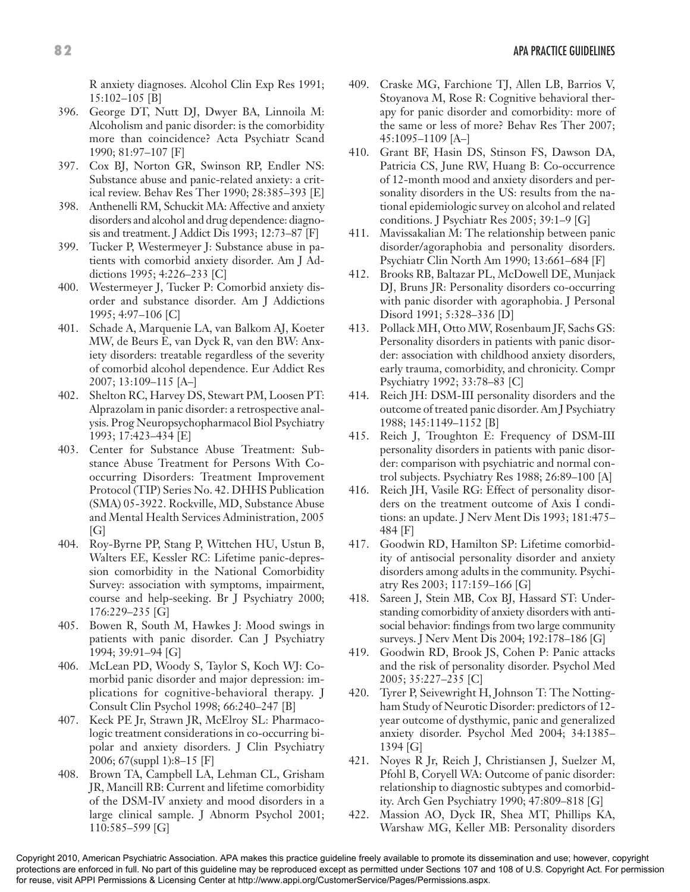R anxiety diagnoses. Alcohol Clin Exp Res 1991; 15:102–105 [B]

- 396. George DT, Nutt DJ, Dwyer BA, Linnoila M: Alcoholism and panic disorder: is the comorbidity more than coincidence? Acta Psychiatr Scand 1990; 81:97–107 [F]
- 397. Cox BJ, Norton GR, Swinson RP, Endler NS: Substance abuse and panic-related anxiety: a critical review. Behav Res Ther 1990; 28:385–393 [E]
- 398. Anthenelli RM, Schuckit MA: Affective and anxiety disorders and alcohol and drug dependence: diagnosis and treatment. J Addict Dis 1993; 12:73–87 [F]
- 399. Tucker P, Westermeyer J: Substance abuse in patients with comorbid anxiety disorder. Am J Addictions 1995; 4:226–233 [C]
- 400. Westermeyer J, Tucker P: Comorbid anxiety disorder and substance disorder. Am J Addictions 1995; 4:97–106 [C]
- 401. Schade A, Marquenie LA, van Balkom AJ, Koeter MW, de Beurs E, van Dyck R, van den BW: Anxiety disorders: treatable regardless of the severity of comorbid alcohol dependence. Eur Addict Res 2007; 13:109–115 [A–]
- 402. Shelton RC, Harvey DS, Stewart PM, Loosen PT: Alprazolam in panic disorder: a retrospective analysis. Prog Neuropsychopharmacol Biol Psychiatry 1993; 17:423–434 [E]
- 403. Center for Substance Abuse Treatment: Substance Abuse Treatment for Persons With Cooccurring Disorders: Treatment Improvement Protocol (TIP) Series No. 42. DHHS Publication (SMA) 05-3922. Rockville, MD, Substance Abuse and Mental Health Services Administration, 2005  $[G]$
- 404. Roy-Byrne PP, Stang P, Wittchen HU, Ustun B, Walters EE, Kessler RC: Lifetime panic-depression comorbidity in the National Comorbidity Survey: association with symptoms, impairment, course and help-seeking. Br J Psychiatry 2000; 176:229–235 [G]
- 405. Bowen R, South M, Hawkes J: Mood swings in patients with panic disorder. Can J Psychiatry 1994; 39:91–94 [G]
- 406. McLean PD, Woody S, Taylor S, Koch WJ: Comorbid panic disorder and major depression: implications for cognitive-behavioral therapy. J Consult Clin Psychol 1998; 66:240–247 [B]
- 407. Keck PE Jr, Strawn JR, McElroy SL: Pharmacologic treatment considerations in co-occurring bipolar and anxiety disorders. J Clin Psychiatry 2006; 67(suppl 1):8–15 [F]
- 408. Brown TA, Campbell LA, Lehman CL, Grisham JR, Mancill RB: Current and lifetime comorbidity of the DSM-IV anxiety and mood disorders in a large clinical sample. J Abnorm Psychol 2001; 110:585–599 [G]
- 409. Craske MG, Farchione TJ, Allen LB, Barrios V, Stoyanova M, Rose R: Cognitive behavioral therapy for panic disorder and comorbidity: more of the same or less of more? Behav Res Ther 2007; 45:1095–1109 [A–]
- 410. Grant BF, Hasin DS, Stinson FS, Dawson DA, Patricia CS, June RW, Huang B: Co-occurrence of 12-month mood and anxiety disorders and personality disorders in the US: results from the national epidemiologic survey on alcohol and related conditions. J Psychiatr Res 2005; 39:1–9 [G]
- 411. Mavissakalian M: The relationship between panic disorder/agoraphobia and personality disorders. Psychiatr Clin North Am 1990; 13:661–684 [F]
- 412. Brooks RB, Baltazar PL, McDowell DE, Munjack DJ, Bruns JR: Personality disorders co-occurring with panic disorder with agoraphobia. J Personal Disord 1991; 5:328–336 [D]
- 413. Pollack MH, Otto MW, Rosenbaum JF, Sachs GS: Personality disorders in patients with panic disorder: association with childhood anxiety disorders, early trauma, comorbidity, and chronicity. Compr Psychiatry 1992; 33:78–83 [C]
- 414. Reich JH: DSM-III personality disorders and the outcome of treated panic disorder. Am J Psychiatry 1988; 145:1149–1152 [B]
- 415. Reich J, Troughton E: Frequency of DSM-III personality disorders in patients with panic disorder: comparison with psychiatric and normal control subjects. Psychiatry Res 1988; 26:89–100 [A]
- 416. Reich JH, Vasile RG: Effect of personality disorders on the treatment outcome of Axis I conditions: an update. J Nerv Ment Dis 1993; 181:475– 484 [F]
- 417. Goodwin RD, Hamilton SP: Lifetime comorbidity of antisocial personality disorder and anxiety disorders among adults in the community. Psychiatry Res 2003; 117:159–166 [G]
- 418. Sareen J, Stein MB, Cox BJ, Hassard ST: Understanding comorbidity of anxiety disorders with antisocial behavior: findings from two large community surveys. J Nerv Ment Dis 2004; 192:178–186 [G]
- 419. Goodwin RD, Brook JS, Cohen P: Panic attacks and the risk of personality disorder. Psychol Med 2005; 35:227–235 [C]
- 420. Tyrer P, Seivewright H, Johnson T: The Nottingham Study of Neurotic Disorder: predictors of 12 year outcome of dysthymic, panic and generalized anxiety disorder. Psychol Med 2004; 34:1385– 1394 [G]
- 421. Noyes R Jr, Reich J, Christiansen J, Suelzer M, Pfohl B, Coryell WA: Outcome of panic disorder: relationship to diagnostic subtypes and comorbidity. Arch Gen Psychiatry 1990; 47:809–818 [G]
- 422. Massion AO, Dyck IR, Shea MT, Phillips KA, Warshaw MG, Keller MB: Personality disorders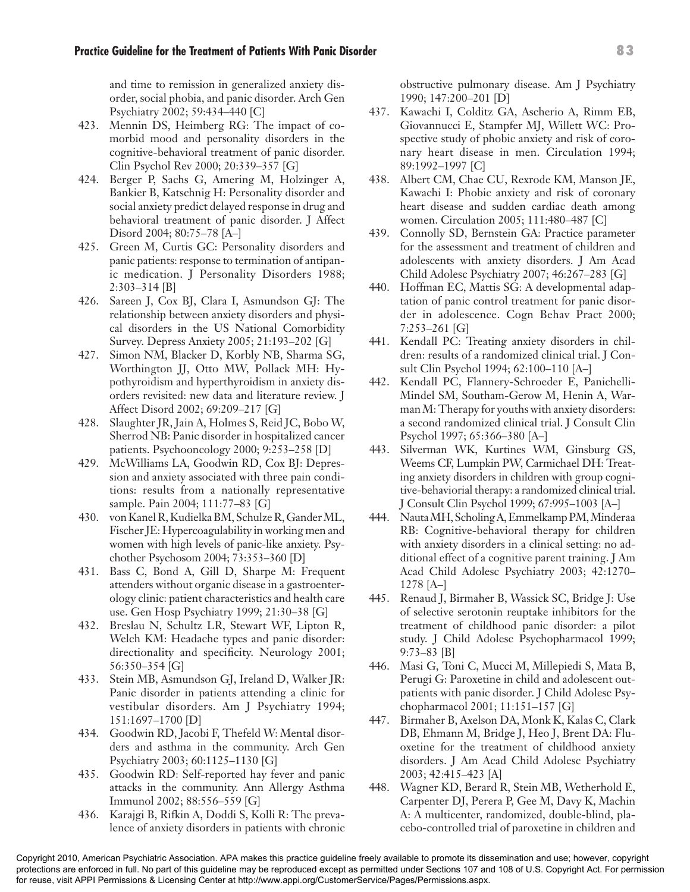and time to remission in generalized anxiety disorder, social phobia, and panic disorder. Arch Gen Psychiatry 2002; 59:434–440 [C]

- 423. Mennin DS, Heimberg RG: The impact of comorbid mood and personality disorders in the cognitive-behavioral treatment of panic disorder. Clin Psychol Rev 2000; 20:339–357 [G]
- 424. Berger P, Sachs G, Amering M, Holzinger A, Bankier B, Katschnig H: Personality disorder and social anxiety predict delayed response in drug and behavioral treatment of panic disorder. J Affect Disord 2004; 80:75–78 [A–]
- 425. Green M, Curtis GC: Personality disorders and panic patients: response to termination of antipanic medication. J Personality Disorders 1988; 2:303–314 [B]
- 426. Sareen J, Cox BJ, Clara I, Asmundson GJ: The relationship between anxiety disorders and physical disorders in the US National Comorbidity Survey. Depress Anxiety 2005; 21:193–202 [G]
- 427. Simon NM, Blacker D, Korbly NB, Sharma SG, Worthington JJ, Otto MW, Pollack MH: Hypothyroidism and hyperthyroidism in anxiety disorders revisited: new data and literature review. J Affect Disord 2002; 69:209–217 [G]
- 428. Slaughter JR, Jain A, Holmes S, Reid JC, Bobo W, Sherrod NB: Panic disorder in hospitalized cancer patients. Psychooncology 2000; 9:253–258 [D]
- 429. McWilliams LA, Goodwin RD, Cox BJ: Depression and anxiety associated with three pain conditions: results from a nationally representative sample. Pain 2004; 111:77–83 [G]
- 430. von Kanel R, Kudielka BM, Schulze R, Gander ML, Fischer JE: Hypercoagulability in working men and women with high levels of panic-like anxiety. Psychother Psychosom 2004; 73:353–360 [D]
- 431. Bass C, Bond A, Gill D, Sharpe M: Frequent attenders without organic disease in a gastroenterology clinic: patient characteristics and health care use. Gen Hosp Psychiatry 1999; 21:30–38 [G]
- 432. Breslau N, Schultz LR, Stewart WF, Lipton R, Welch KM: Headache types and panic disorder: directionality and specificity. Neurology 2001; 56:350–354 [G]
- 433. Stein MB, Asmundson GJ, Ireland D, Walker JR: Panic disorder in patients attending a clinic for vestibular disorders. Am J Psychiatry 1994; 151:1697–1700 [D]
- 434. Goodwin RD, Jacobi F, Thefeld W: Mental disorders and asthma in the community. Arch Gen Psychiatry 2003; 60:1125–1130 [G]
- 435. Goodwin RD: Self-reported hay fever and panic attacks in the community. Ann Allergy Asthma Immunol 2002; 88:556–559 [G]
- 436. Karajgi B, Rifkin A, Doddi S, Kolli R: The prevalence of anxiety disorders in patients with chronic

obstructive pulmonary disease. Am J Psychiatry 1990; 147:200–201 [D]

- 437. Kawachi I, Colditz GA, Ascherio A, Rimm EB, Giovannucci E, Stampfer MJ, Willett WC: Prospective study of phobic anxiety and risk of coronary heart disease in men. Circulation 1994; 89:1992–1997 [C]
- 438. Albert CM, Chae CU, Rexrode KM, Manson JE, Kawachi I: Phobic anxiety and risk of coronary heart disease and sudden cardiac death among women. Circulation 2005; 111:480–487 [C]
- 439. Connolly SD, Bernstein GA: Practice parameter for the assessment and treatment of children and adolescents with anxiety disorders. J Am Acad Child Adolesc Psychiatry 2007; 46:267–283 [G]
- 440. Hoffman EC, Mattis SG: A developmental adaptation of panic control treatment for panic disorder in adolescence. Cogn Behav Pract 2000; 7:253–261 [G]
- 441. Kendall PC: Treating anxiety disorders in children: results of a randomized clinical trial. J Consult Clin Psychol 1994; 62:100–110 [A–]
- 442. Kendall PC, Flannery-Schroeder E, Panichelli-Mindel SM, Southam-Gerow M, Henin A, Warman M: Therapy for youths with anxiety disorders: a second randomized clinical trial. J Consult Clin Psychol 1997; 65:366–380 [A–]
- 443. Silverman WK, Kurtines WM, Ginsburg GS, Weems CF, Lumpkin PW, Carmichael DH: Treating anxiety disorders in children with group cognitive-behaviorial therapy: a randomized clinical trial. J Consult Clin Psychol 1999; 67:995–1003 [A–]
- 444. Nauta MH, Scholing A, Emmelkamp PM, Minderaa RB: Cognitive-behavioral therapy for children with anxiety disorders in a clinical setting: no additional effect of a cognitive parent training. J Am Acad Child Adolesc Psychiatry 2003; 42:1270– 1278 [A–]
- 445. Renaud J, Birmaher B, Wassick SC, Bridge J: Use of selective serotonin reuptake inhibitors for the treatment of childhood panic disorder: a pilot study. J Child Adolesc Psychopharmacol 1999; 9:73–83 [B]
- 446. Masi G, Toni C, Mucci M, Millepiedi S, Mata B, Perugi G: Paroxetine in child and adolescent outpatients with panic disorder. J Child Adolesc Psychopharmacol 2001; 11:151–157 [G]
- 447. Birmaher B, Axelson DA, Monk K, Kalas C, Clark DB, Ehmann M, Bridge J, Heo J, Brent DA: Fluoxetine for the treatment of childhood anxiety disorders. J Am Acad Child Adolesc Psychiatry 2003; 42:415–423 [A]
- 448. Wagner KD, Berard R, Stein MB, Wetherhold E, Carpenter DJ, Perera P, Gee M, Davy K, Machin A: A multicenter, randomized, double-blind, placebo-controlled trial of paroxetine in children and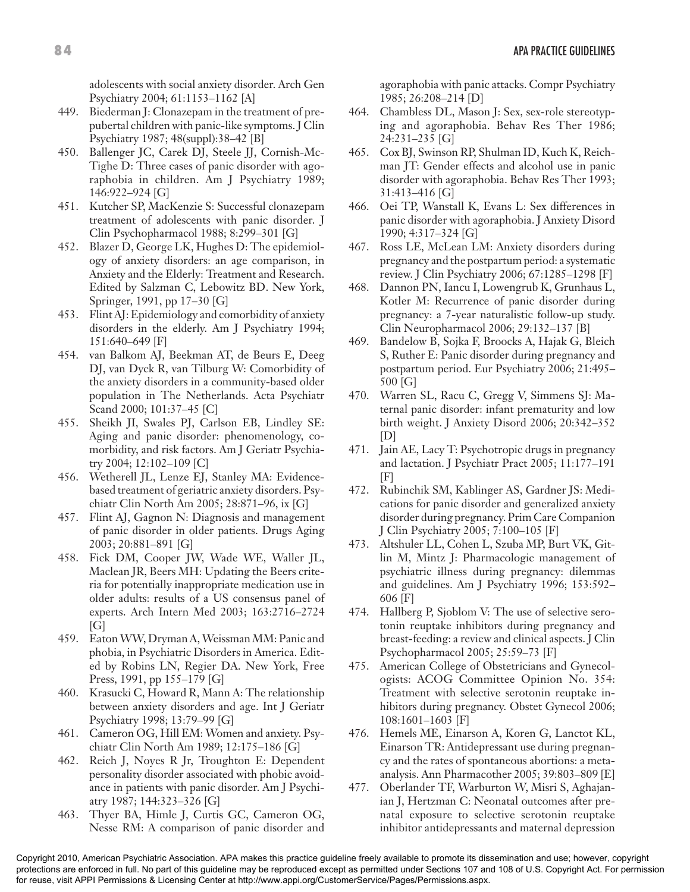adolescents with social anxiety disorder. Arch Gen Psychiatry 2004; 61:1153–1162 [A]

- 449. Biederman J: Clonazepam in the treatment of prepubertal children with panic-like symptoms. J Clin Psychiatry 1987; 48(suppl):38–42 [B]
- 450. Ballenger JC, Carek DJ, Steele JJ, Cornish-Mc-Tighe D: Three cases of panic disorder with agoraphobia in children. Am J Psychiatry 1989; 146:922–924 [G]
- 451. Kutcher SP, MacKenzie S: Successful clonazepam treatment of adolescents with panic disorder. J Clin Psychopharmacol 1988; 8:299–301 [G]
- 452. Blazer D, George LK, Hughes D: The epidemiology of anxiety disorders: an age comparison, in Anxiety and the Elderly: Treatment and Research. Edited by Salzman C, Lebowitz BD. New York, Springer, 1991, pp 17–30 [G]
- 453. Flint AJ: Epidemiology and comorbidity of anxiety disorders in the elderly. Am J Psychiatry 1994; 151:640–649 [F]
- 454. van Balkom AJ, Beekman AT, de Beurs E, Deeg DJ, van Dyck R, van Tilburg W: Comorbidity of the anxiety disorders in a community-based older population in The Netherlands. Acta Psychiatr Scand 2000; 101:37–45 [C]
- 455. Sheikh JI, Swales PJ, Carlson EB, Lindley SE: Aging and panic disorder: phenomenology, comorbidity, and risk factors. Am J Geriatr Psychiatry 2004; 12:102–109 [C]
- 456. Wetherell JL, Lenze EJ, Stanley MA: Evidencebased treatment of geriatric anxiety disorders. Psychiatr Clin North Am 2005; 28:871–96, ix [G]
- 457. Flint AJ, Gagnon N: Diagnosis and management of panic disorder in older patients. Drugs Aging 2003; 20:881–891 [G]
- 458. Fick DM, Cooper JW, Wade WE, Waller JL, Maclean JR, Beers MH: Updating the Beers criteria for potentially inappropriate medication use in older adults: results of a US consensus panel of experts. Arch Intern Med 2003; 163:2716–2724 [G]
- 459. Eaton WW, Dryman A, Weissman MM: Panic and phobia, in Psychiatric Disorders in America. Edited by Robins LN, Regier DA. New York, Free Press, 1991, pp 155–179 [G]
- 460. Krasucki C, Howard R, Mann A: The relationship between anxiety disorders and age. Int J Geriatr Psychiatry 1998; 13:79–99 [G]
- 461. Cameron OG, Hill EM: Women and anxiety. Psychiatr Clin North Am 1989; 12:175–186 [G]
- 462. Reich J, Noyes R Jr, Troughton E: Dependent personality disorder associated with phobic avoidance in patients with panic disorder. Am J Psychiatry 1987; 144:323–326 [G]
- 463. Thyer BA, Himle J, Curtis GC, Cameron OG, Nesse RM: A comparison of panic disorder and

agoraphobia with panic attacks. Compr Psychiatry 1985; 26:208–214 [D]

- 464. Chambless DL, Mason J: Sex, sex-role stereotyping and agoraphobia. Behav Res Ther 1986; 24:231–235 [G]
- 465. Cox BJ, Swinson RP, Shulman ID, Kuch K, Reichman JT: Gender effects and alcohol use in panic disorder with agoraphobia. Behav Res Ther 1993; 31:413–416 [G]
- 466. Oei TP, Wanstall K, Evans L: Sex differences in panic disorder with agoraphobia. J Anxiety Disord 1990; 4:317–324 [G]
- 467. Ross LE, McLean LM: Anxiety disorders during pregnancy and the postpartum period: a systematic review. J Clin Psychiatry 2006; 67:1285–1298 [F]
- 468. Dannon PN, Iancu I, Lowengrub K, Grunhaus L, Kotler M: Recurrence of panic disorder during pregnancy: a 7-year naturalistic follow-up study. Clin Neuropharmacol 2006; 29:132–137 [B]
- 469. Bandelow B, Sojka F, Broocks A, Hajak G, Bleich S, Ruther E: Panic disorder during pregnancy and postpartum period. Eur Psychiatry 2006; 21:495– 500 [G]
- 470. Warren SL, Racu C, Gregg V, Simmens SJ: Maternal panic disorder: infant prematurity and low birth weight. J Anxiety Disord 2006; 20:342–352  $|D|$
- 471. Jain AE, Lacy T: Psychotropic drugs in pregnancy and lactation. J Psychiatr Pract 2005; 11:177–191  $[F]$
- 472. Rubinchik SM, Kablinger AS, Gardner JS: Medications for panic disorder and generalized anxiety disorder during pregnancy. Prim Care Companion J Clin Psychiatry 2005; 7:100–105 [F]
- 473. Altshuler LL, Cohen L, Szuba MP, Burt VK, Gitlin M, Mintz J: Pharmacologic management of psychiatric illness during pregnancy: dilemmas and guidelines. Am J Psychiatry 1996; 153:592– 606 [F]
- 474. Hallberg P, Sjoblom V: The use of selective serotonin reuptake inhibitors during pregnancy and breast-feeding: a review and clinical aspects. J Clin Psychopharmacol 2005; 25:59–73 [F]
- 475. American College of Obstetricians and Gynecologists: ACOG Committee Opinion No. 354: Treatment with selective serotonin reuptake inhibitors during pregnancy. Obstet Gynecol 2006; 108:1601–1603 [F]
- 476. Hemels ME, Einarson A, Koren G, Lanctot KL, Einarson TR: Antidepressant use during pregnancy and the rates of spontaneous abortions: a metaanalysis. Ann Pharmacother 2005; 39:803–809 [E]
- 477. Oberlander TF, Warburton W, Misri S, Aghajanian J, Hertzman C: Neonatal outcomes after prenatal exposure to selective serotonin reuptake inhibitor antidepressants and maternal depression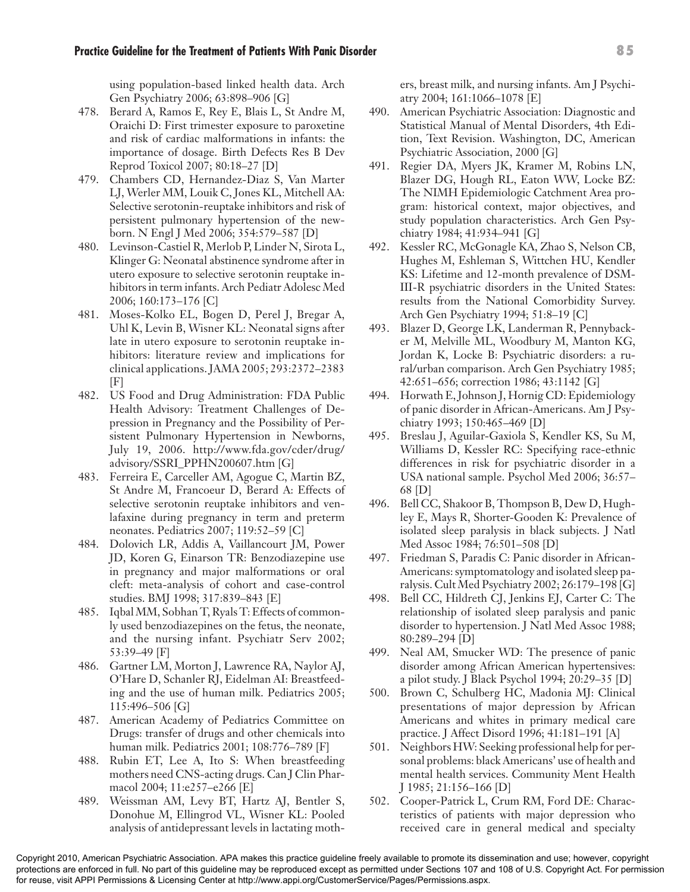using population-based linked health data. Arch Gen Psychiatry 2006; 63:898–906 [G]

- 478. Berard A, Ramos E, Rey E, Blais L, St Andre M, Oraichi D: First trimester exposure to paroxetine and risk of cardiac malformations in infants: the importance of dosage. Birth Defects Res B Dev Reprod Toxicol 2007; 80:18–27 [D]
- 479. Chambers CD, Hernandez-Diaz S, Van Marter LJ, Werler MM, Louik C, Jones KL, Mitchell AA: Selective serotonin-reuptake inhibitors and risk of persistent pulmonary hypertension of the newborn. N Engl J Med 2006; 354:579–587 [D]
- 480. Levinson-Castiel R, Merlob P, Linder N, Sirota L, Klinger G: Neonatal abstinence syndrome after in utero exposure to selective serotonin reuptake inhibitors in term infants. Arch Pediatr Adolesc Med 2006; 160:173–176 [C]
- 481. Moses-Kolko EL, Bogen D, Perel J, Bregar A, Uhl K, Levin B, Wisner KL: Neonatal signs after late in utero exposure to serotonin reuptake inhibitors: literature review and implications for clinical applications. JAMA 2005; 293:2372–2383 [F]
- 482. US Food and Drug Administration: FDA Public Health Advisory: Treatment Challenges of Depression in Pregnancy and the Possibility of Persistent Pulmonary Hypertension in Newborns, July 19, 2006. http://www.fda.gov/cder/drug/ advisory/SSRI\_PPHN200607.htm [G]
- 483. Ferreira E, Carceller AM, Agogue C, Martin BZ, St Andre M, Francoeur D, Berard A: Effects of selective serotonin reuptake inhibitors and venlafaxine during pregnancy in term and preterm neonates. Pediatrics 2007; 119:52–59 [C]
- 484. Dolovich LR, Addis A, Vaillancourt JM, Power JD, Koren G, Einarson TR: Benzodiazepine use in pregnancy and major malformations or oral cleft: meta-analysis of cohort and case-control studies. BMJ 1998; 317:839–843 [E]
- 485. Iqbal MM, Sobhan T, Ryals T: Effects of commonly used benzodiazepines on the fetus, the neonate, and the nursing infant. Psychiatr Serv 2002; 53:39–49 [F]
- 486. Gartner LM, Morton J, Lawrence RA, Naylor AJ, O'Hare D, Schanler RJ, Eidelman AI: Breastfeeding and the use of human milk. Pediatrics 2005; 115:496–506 [G]
- 487. American Academy of Pediatrics Committee on Drugs: transfer of drugs and other chemicals into human milk. Pediatrics 2001; 108:776–789 [F]
- 488. Rubin ET, Lee A, Ito S: When breastfeeding mothers need CNS-acting drugs. Can J Clin Pharmacol 2004; 11:e257–e266 [E]
- 489. Weissman AM, Levy BT, Hartz AJ, Bentler S, Donohue M, Ellingrod VL, Wisner KL: Pooled analysis of antidepressant levels in lactating moth-

ers, breast milk, and nursing infants. Am J Psychiatry 2004; 161:1066–1078 [E]

- 490. American Psychiatric Association: Diagnostic and Statistical Manual of Mental Disorders, 4th Edition, Text Revision. Washington, DC, American Psychiatric Association, 2000 [G]
- 491. Regier DA, Myers JK, Kramer M, Robins LN, Blazer DG, Hough RL, Eaton WW, Locke BZ: The NIMH Epidemiologic Catchment Area program: historical context, major objectives, and study population characteristics. Arch Gen Psychiatry 1984; 41:934–941 [G]
- 492. Kessler RC, McGonagle KA, Zhao S, Nelson CB, Hughes M, Eshleman S, Wittchen HU, Kendler KS: Lifetime and 12-month prevalence of DSM-III-R psychiatric disorders in the United States: results from the National Comorbidity Survey. Arch Gen Psychiatry 1994; 51:8–19 [C]
- 493. Blazer D, George LK, Landerman R, Pennybacker M, Melville ML, Woodbury M, Manton KG, Jordan K, Locke B: Psychiatric disorders: a rural/urban comparison. Arch Gen Psychiatry 1985; 42:651–656; correction 1986; 43:1142 [G]
- 494. Horwath E, Johnson J, Hornig CD: Epidemiology of panic disorder in African-Americans. Am J Psychiatry 1993; 150:465–469 [D]
- 495. Breslau J, Aguilar-Gaxiola S, Kendler KS, Su M, Williams D, Kessler RC: Specifying race-ethnic differences in risk for psychiatric disorder in a USA national sample. Psychol Med 2006; 36:57– 68 [D]
- 496. Bell CC, Shakoor B, Thompson B, Dew D, Hughley E, Mays R, Shorter-Gooden K: Prevalence of isolated sleep paralysis in black subjects. J Natl Med Assoc 1984; 76:501–508 [D]
- 497. Friedman S, Paradis C: Panic disorder in African-Americans: symptomatology and isolated sleep paralysis. Cult Med Psychiatry 2002; 26:179–198 [G]
- 498. Bell CC, Hildreth CJ, Jenkins EJ, Carter C: The relationship of isolated sleep paralysis and panic disorder to hypertension. J Natl Med Assoc 1988; 80:289–294 [D]
- 499. Neal AM, Smucker WD: The presence of panic disorder among African American hypertensives: a pilot study. J Black Psychol 1994; 20:29–35 [D]
- 500. Brown C, Schulberg HC, Madonia MJ: Clinical presentations of major depression by African Americans and whites in primary medical care practice. J Affect Disord 1996; 41:181–191 [A]
- 501. Neighbors HW: Seeking professional help for personal problems: black Americans' use of health and mental health services. Community Ment Health J 1985; 21:156–166 [D]
- 502. Cooper-Patrick L, Crum RM, Ford DE: Characteristics of patients with major depression who received care in general medical and specialty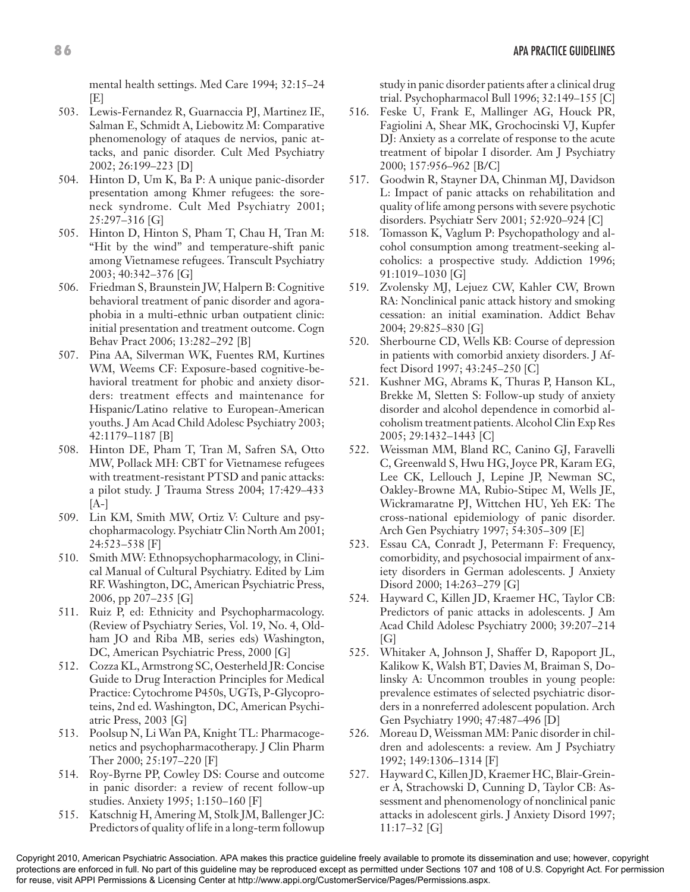mental health settings. Med Care 1994; 32:15–24 [E]

- 503. Lewis-Fernandez R, Guarnaccia PJ, Martinez IE, Salman E, Schmidt A, Liebowitz M: Comparative phenomenology of ataques de nervios, panic attacks, and panic disorder. Cult Med Psychiatry 2002; 26:199–223 [D]
- 504. Hinton D, Um K, Ba P: A unique panic-disorder presentation among Khmer refugees: the soreneck syndrome. Cult Med Psychiatry 2001; 25:297–316 [G]
- 505. Hinton D, Hinton S, Pham T, Chau H, Tran M: "Hit by the wind" and temperature-shift panic among Vietnamese refugees. Transcult Psychiatry 2003; 40:342–376 [G]
- 506. Friedman S, Braunstein JW, Halpern B: Cognitive behavioral treatment of panic disorder and agoraphobia in a multi-ethnic urban outpatient clinic: initial presentation and treatment outcome. Cogn Behav Pract 2006; 13:282–292 [B]
- 507. Pina AA, Silverman WK, Fuentes RM, Kurtines WM, Weems CF: Exposure-based cognitive-behavioral treatment for phobic and anxiety disorders: treatment effects and maintenance for Hispanic/Latino relative to European-American youths. J Am Acad Child Adolesc Psychiatry 2003; 42:1179–1187 [B]
- 508. Hinton DE, Pham T, Tran M, Safren SA, Otto MW, Pollack MH: CBT for Vietnamese refugees with treatment-resistant PTSD and panic attacks: a pilot study. J Trauma Stress 2004; 17:429–433  $[A-]$
- 509. Lin KM, Smith MW, Ortiz V: Culture and psychopharmacology. Psychiatr Clin North Am 2001; 24:523–538 [F]
- 510. Smith MW: Ethnopsychopharmacology, in Clinical Manual of Cultural Psychiatry. Edited by Lim RF. Washington, DC, American Psychiatric Press, 2006, pp 207–235 [G]
- 511. Ruiz P, ed: Ethnicity and Psychopharmacology. (Review of Psychiatry Series, Vol. 19, No. 4, Oldham JO and Riba MB, series eds) Washington, DC, American Psychiatric Press, 2000 [G]
- 512. Cozza KL, Armstrong SC, Oesterheld JR: Concise Guide to Drug Interaction Principles for Medical Practice: Cytochrome P450s, UGTs, P-Glycoproteins, 2nd ed. Washington, DC, American Psychiatric Press, 2003 [G]
- 513. Poolsup N, Li Wan PA, Knight TL: Pharmacogenetics and psychopharmacotherapy. J Clin Pharm Ther 2000; 25:197–220 [F]
- 514. Roy-Byrne PP, Cowley DS: Course and outcome in panic disorder: a review of recent follow-up studies. Anxiety 1995; 1:150–160 [F]
- 515. Katschnig H, Amering M, Stolk JM, Ballenger JC: Predictors of quality of life in a long-term followup

study in panic disorder patients after a clinical drug trial. Psychopharmacol Bull 1996; 32:149–155 [C]

- 516. Feske U, Frank E, Mallinger AG, Houck PR, Fagiolini A, Shear MK, Grochocinski VJ, Kupfer DJ: Anxiety as a correlate of response to the acute treatment of bipolar I disorder. Am J Psychiatry 2000; 157:956–962 [B/C]
- 517. Goodwin R, Stayner DA, Chinman MJ, Davidson L: Impact of panic attacks on rehabilitation and quality of life among persons with severe psychotic disorders. Psychiatr Serv 2001; 52:920–924 [C]
- 518. Tomasson K, Vaglum P: Psychopathology and alcohol consumption among treatment-seeking alcoholics: a prospective study. Addiction 1996; 91:1019–1030 [G]
- 519. Zvolensky MJ, Lejuez CW, Kahler CW, Brown RA: Nonclinical panic attack history and smoking cessation: an initial examination. Addict Behav 2004; 29:825–830 [G]
- 520. Sherbourne CD, Wells KB: Course of depression in patients with comorbid anxiety disorders. J Affect Disord 1997; 43:245–250 [C]
- 521. Kushner MG, Abrams K, Thuras P, Hanson KL, Brekke M, Sletten S: Follow-up study of anxiety disorder and alcohol dependence in comorbid alcoholism treatment patients. Alcohol Clin Exp Res 2005; 29:1432–1443 [C]
- 522. Weissman MM, Bland RC, Canino GJ, Faravelli C, Greenwald S, Hwu HG, Joyce PR, Karam EG, Lee CK, Lellouch J, Lepine JP, Newman SC, Oakley-Browne MA, Rubio-Stipec M, Wells JE, Wickramaratne PJ, Wittchen HU, Yeh EK: The cross-national epidemiology of panic disorder. Arch Gen Psychiatry 1997; 54:305–309 [E]
- 523. Essau CA, Conradt J, Petermann F: Frequency, comorbidity, and psychosocial impairment of anxiety disorders in German adolescents. J Anxiety Disord 2000; 14:263–279 [G]
- 524. Hayward C, Killen JD, Kraemer HC, Taylor CB: Predictors of panic attacks in adolescents. J Am Acad Child Adolesc Psychiatry 2000; 39:207–214  $[G]$
- 525. Whitaker A, Johnson J, Shaffer D, Rapoport JL, Kalikow K, Walsh BT, Davies M, Braiman S, Dolinsky A: Uncommon troubles in young people: prevalence estimates of selected psychiatric disorders in a nonreferred adolescent population. Arch Gen Psychiatry 1990; 47:487–496 [D]
- 526. Moreau D, Weissman MM: Panic disorder in children and adolescents: a review. Am J Psychiatry 1992; 149:1306–1314 [F]
- 527. Hayward C, Killen JD, Kraemer HC, Blair-Greiner A, Strachowski D, Cunning D, Taylor CB: Assessment and phenomenology of nonclinical panic attacks in adolescent girls. J Anxiety Disord 1997; 11:17–32 [G]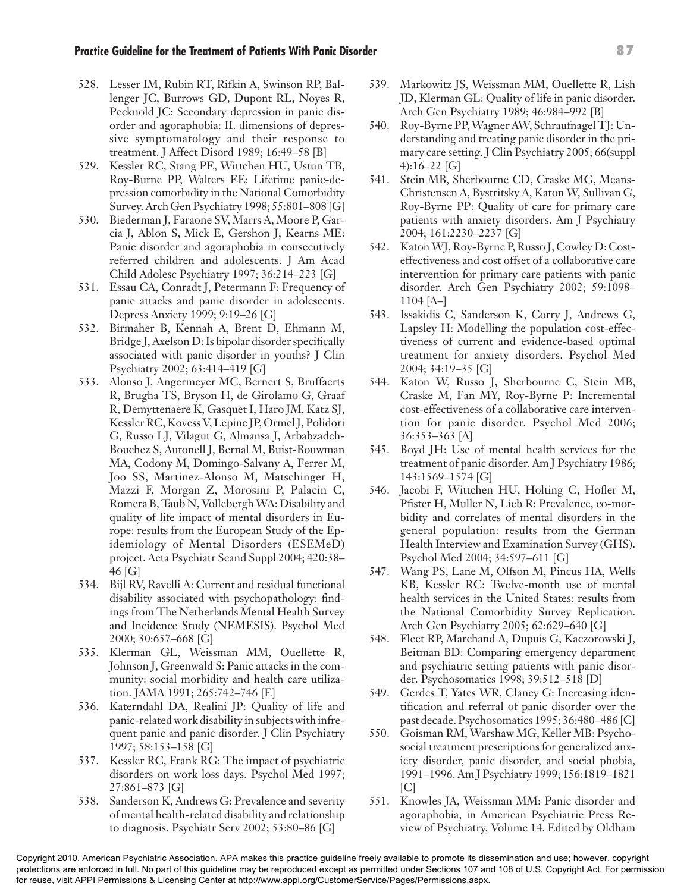- 528. Lesser IM, Rubin RT, Rifkin A, Swinson RP, Ballenger JC, Burrows GD, Dupont RL, Noyes R, Pecknold JC: Secondary depression in panic disorder and agoraphobia: II. dimensions of depressive symptomatology and their response to treatment. J Affect Disord 1989; 16:49–58 [B]
- 529. Kessler RC, Stang PE, Wittchen HU, Ustun TB, Roy-Burne PP, Walters EE: Lifetime panic-depression comorbidity in the National Comorbidity Survey. Arch Gen Psychiatry 1998; 55:801–808 [G]
- 530. Biederman J, Faraone SV, Marrs A, Moore P, Garcia J, Ablon S, Mick E, Gershon J, Kearns ME: Panic disorder and agoraphobia in consecutively referred children and adolescents. J Am Acad Child Adolesc Psychiatry 1997; 36:214–223 [G]
- 531. Essau CA, Conradt J, Petermann F: Frequency of panic attacks and panic disorder in adolescents. Depress Anxiety 1999; 9:19–26 [G]
- 532. Birmaher B, Kennah A, Brent D, Ehmann M, Bridge J, Axelson D: Is bipolar disorder specifically associated with panic disorder in youths? J Clin Psychiatry 2002; 63:414–419 [G]
- 533. Alonso J, Angermeyer MC, Bernert S, Bruffaerts R, Brugha TS, Bryson H, de Girolamo G, Graaf R, Demyttenaere K, Gasquet I, Haro JM, Katz SJ, Kessler RC, Kovess V, Lepine JP, Ormel J, Polidori G, Russo LJ, Vilagut G, Almansa J, Arbabzadeh-Bouchez S, Autonell J, Bernal M, Buist-Bouwman MA, Codony M, Domingo-Salvany A, Ferrer M, Joo SS, Martinez-Alonso M, Matschinger H, Mazzi F, Morgan Z, Morosini P, Palacin C, Romera B, Taub N, Vollebergh WA: Disability and quality of life impact of mental disorders in Europe: results from the European Study of the Epidemiology of Mental Disorders (ESEMeD) project. Acta Psychiatr Scand Suppl 2004; 420:38– 46 [G]
- 534. Bijl RV, Ravelli A: Current and residual functional disability associated with psychopathology: findings from The Netherlands Mental Health Survey and Incidence Study (NEMESIS). Psychol Med 2000; 30:657–668 [G]
- 535. Klerman GL, Weissman MM, Ouellette R, Johnson J, Greenwald S: Panic attacks in the community: social morbidity and health care utilization. JAMA 1991; 265:742–746 [E]
- 536. Katerndahl DA, Realini JP: Quality of life and panic-related work disability in subjects with infrequent panic and panic disorder. J Clin Psychiatry 1997; 58:153–158 [G]
- 537. Kessler RC, Frank RG: The impact of psychiatric disorders on work loss days. Psychol Med 1997; 27:861–873 [G]
- 538. Sanderson K, Andrews G: Prevalence and severity of mental health-related disability and relationship to diagnosis. Psychiatr Serv 2002; 53:80–86 [G]
- 539. Markowitz JS, Weissman MM, Ouellette R, Lish JD, Klerman GL: Quality of life in panic disorder. Arch Gen Psychiatry 1989; 46:984–992 [B]
- 540. Roy-Byrne PP, Wagner AW, Schraufnagel TJ: Understanding and treating panic disorder in the primary care setting. J Clin Psychiatry 2005; 66(suppl 4):16–22 [G]
- 541. Stein MB, Sherbourne CD, Craske MG, Means-Christensen A, Bystritsky A, Katon W, Sullivan G, Roy-Byrne PP: Quality of care for primary care patients with anxiety disorders. Am J Psychiatry 2004; 161:2230–2237 [G]
- 542. Katon WJ, Roy-Byrne P, Russo J, Cowley D: Costeffectiveness and cost offset of a collaborative care intervention for primary care patients with panic disorder. Arch Gen Psychiatry 2002; 59:1098– 1104 [A–]
- 543. Issakidis C, Sanderson K, Corry J, Andrews G, Lapsley H: Modelling the population cost-effectiveness of current and evidence-based optimal treatment for anxiety disorders. Psychol Med 2004; 34:19–35 [G]
- 544. Katon W, Russo J, Sherbourne C, Stein MB, Craske M, Fan MY, Roy-Byrne P: Incremental cost-effectiveness of a collaborative care intervention for panic disorder. Psychol Med 2006; 36:353–363 [A]
- 545. Boyd JH: Use of mental health services for the treatment of panic disorder. Am J Psychiatry 1986; 143:1569–1574 [G]
- 546. Jacobi F, Wittchen HU, Holting C, Hofler M, Pfister H, Muller N, Lieb R: Prevalence, co-morbidity and correlates of mental disorders in the general population: results from the German Health Interview and Examination Survey (GHS). Psychol Med 2004; 34:597–611 [G]
- 547. Wang PS, Lane M, Olfson M, Pincus HA, Wells KB, Kessler RC: Twelve-month use of mental health services in the United States: results from the National Comorbidity Survey Replication. Arch Gen Psychiatry 2005; 62:629–640 [G]
- 548. Fleet RP, Marchand A, Dupuis G, Kaczorowski J, Beitman BD: Comparing emergency department and psychiatric setting patients with panic disorder. Psychosomatics 1998; 39:512–518 [D]
- 549. Gerdes T, Yates WR, Clancy G: Increasing identification and referral of panic disorder over the past decade. Psychosomatics 1995; 36:480–486 [C]
- 550. Goisman RM, Warshaw MG, Keller MB: Psychosocial treatment prescriptions for generalized anxiety disorder, panic disorder, and social phobia, 1991–1996. Am J Psychiatry 1999; 156:1819–1821  $\lceil C \rceil$
- 551. Knowles JA, Weissman MM: Panic disorder and agoraphobia, in American Psychiatric Press Review of Psychiatry, Volume 14. Edited by Oldham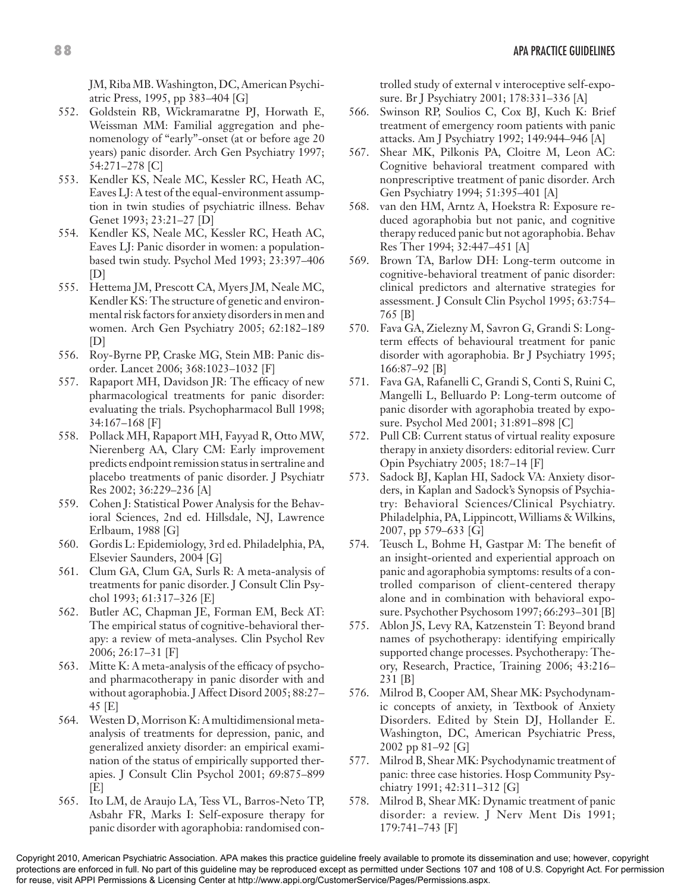JM, Riba MB. Washington, DC, American Psychiatric Press, 1995, pp 383–404 [G]

- 552. Goldstein RB, Wickramaratne PJ, Horwath E, Weissman MM: Familial aggregation and phenomenology of "early"-onset (at or before age 20 years) panic disorder. Arch Gen Psychiatry 1997; 54:271–278 [C]
- 553. Kendler KS, Neale MC, Kessler RC, Heath AC, Eaves LJ: A test of the equal-environment assumption in twin studies of psychiatric illness. Behav Genet 1993; 23:21–27 [D]
- 554. Kendler KS, Neale MC, Kessler RC, Heath AC, Eaves LJ: Panic disorder in women: a populationbased twin study. Psychol Med 1993; 23:397–406 [D]
- 555. Hettema JM, Prescott CA, Myers JM, Neale MC, Kendler KS: The structure of genetic and environmental risk factors for anxiety disorders in men and women. Arch Gen Psychiatry 2005; 62:182–189 [D]
- 556. Roy-Byrne PP, Craske MG, Stein MB: Panic disorder. Lancet 2006; 368:1023–1032 [F]
- 557. Rapaport MH, Davidson JR: The efficacy of new pharmacological treatments for panic disorder: evaluating the trials. Psychopharmacol Bull 1998; 34:167–168 [F]
- 558. Pollack MH, Rapaport MH, Fayyad R, Otto MW, Nierenberg AA, Clary CM: Early improvement predicts endpoint remission status in sertraline and placebo treatments of panic disorder. J Psychiatr Res 2002; 36:229–236 [A]
- 559. Cohen J: Statistical Power Analysis for the Behavioral Sciences, 2nd ed. Hillsdale, NJ, Lawrence Erlbaum, 1988 [G]
- 560. Gordis L: Epidemiology, 3rd ed. Philadelphia, PA, Elsevier Saunders, 2004 [G]
- 561. Clum GA, Clum GA, Surls R: A meta-analysis of treatments for panic disorder. J Consult Clin Psychol 1993; 61:317–326 [E]
- 562. Butler AC, Chapman JE, Forman EM, Beck AT: The empirical status of cognitive-behavioral therapy: a review of meta-analyses. Clin Psychol Rev 2006; 26:17–31 [F]
- 563. Mitte K: A meta-analysis of the efficacy of psychoand pharmacotherapy in panic disorder with and without agoraphobia. J Affect Disord 2005; 88:27– 45 [E]
- 564. Westen D, Morrison K: A multidimensional metaanalysis of treatments for depression, panic, and generalized anxiety disorder: an empirical examination of the status of empirically supported therapies. J Consult Clin Psychol 2001; 69:875–899 [E]
- 565. Ito LM, de Araujo LA, Tess VL, Barros-Neto TP, Asbahr FR, Marks I: Self-exposure therapy for panic disorder with agoraphobia: randomised con-

trolled study of external v interoceptive self-exposure. Br J Psychiatry 2001; 178:331–336 [A]

- 566. Swinson RP, Soulios C, Cox BJ, Kuch K: Brief treatment of emergency room patients with panic attacks. Am J Psychiatry 1992; 149:944–946 [A]
- 567. Shear MK, Pilkonis PA, Cloitre M, Leon AC: Cognitive behavioral treatment compared with nonprescriptive treatment of panic disorder. Arch Gen Psychiatry 1994; 51:395–401 [A]
- 568. van den HM, Arntz A, Hoekstra R: Exposure reduced agoraphobia but not panic, and cognitive therapy reduced panic but not agoraphobia. Behav Res Ther 1994; 32:447–451 [A]
- 569. Brown TA, Barlow DH: Long-term outcome in cognitive-behavioral treatment of panic disorder: clinical predictors and alternative strategies for assessment. J Consult Clin Psychol 1995; 63:754– 765 [B]
- 570. Fava GA, Zielezny M, Savron G, Grandi S: Longterm effects of behavioural treatment for panic disorder with agoraphobia. Br J Psychiatry 1995; 166:87–92 [B]
- 571. Fava GA, Rafanelli C, Grandi S, Conti S, Ruini C, Mangelli L, Belluardo P: Long-term outcome of panic disorder with agoraphobia treated by exposure. Psychol Med 2001; 31:891–898 [C]
- 572. Pull CB: Current status of virtual reality exposure therapy in anxiety disorders: editorial review. Curr Opin Psychiatry 2005; 18:7–14 [F]
- 573. Sadock BJ, Kaplan HI, Sadock VA: Anxiety disorders, in Kaplan and Sadock's Synopsis of Psychiatry: Behavioral Sciences/Clinical Psychiatry. Philadelphia, PA, Lippincott, Williams & Wilkins, 2007, pp 579–633 [G]
- 574. Teusch L, Bohme H, Gastpar M: The benefit of an insight-oriented and experiential approach on panic and agoraphobia symptoms: results of a controlled comparison of client-centered therapy alone and in combination with behavioral exposure. Psychother Psychosom 1997; 66:293–301 [B]
- 575. Ablon JS, Levy RA, Katzenstein T: Beyond brand names of psychotherapy: identifying empirically supported change processes. Psychotherapy: Theory, Research, Practice, Training 2006; 43:216– 231 [B]
- 576. Milrod B, Cooper AM, Shear MK: Psychodynamic concepts of anxiety, in Textbook of Anxiety Disorders. Edited by Stein DJ, Hollander E. Washington, DC, American Psychiatric Press, 2002 pp 81–92 [G]
- 577. Milrod B, Shear MK: Psychodynamic treatment of panic: three case histories. Hosp Community Psychiatry 1991; 42:311–312 [G]
- 578. Milrod B, Shear MK: Dynamic treatment of panic disorder: a review. J Nerv Ment Dis 1991; 179:741–743 [F]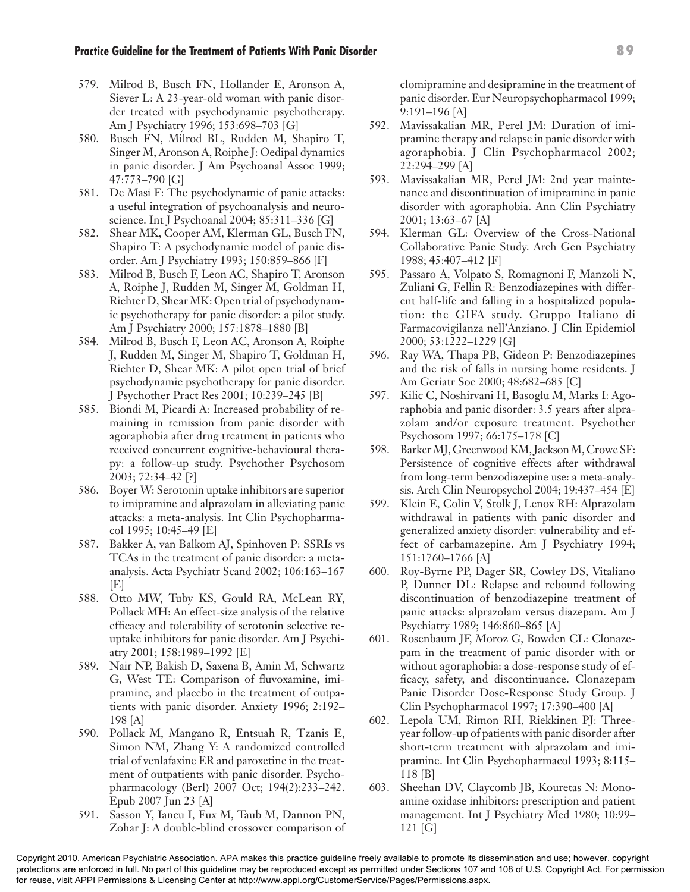- 579. Milrod B, Busch FN, Hollander E, Aronson A, Siever L: A 23-year-old woman with panic disorder treated with psychodynamic psychotherapy. Am J Psychiatry 1996; 153:698–703 [G]
- 580. Busch FN, Milrod BL, Rudden M, Shapiro T, Singer M, Aronson A, Roiphe J: Oedipal dynamics in panic disorder. J Am Psychoanal Assoc 1999; 47:773–790 [G]
- 581. De Masi F: The psychodynamic of panic attacks: a useful integration of psychoanalysis and neuroscience. Int J Psychoanal 2004; 85:311–336 [G]
- 582. Shear MK, Cooper AM, Klerman GL, Busch FN, Shapiro T: A psychodynamic model of panic disorder. Am J Psychiatry 1993; 150:859–866 [F]
- 583. Milrod B, Busch F, Leon AC, Shapiro T, Aronson A, Roiphe J, Rudden M, Singer M, Goldman H, Richter D, Shear MK: Open trial of psychodynamic psychotherapy for panic disorder: a pilot study. Am J Psychiatry 2000; 157:1878–1880 [B]
- 584. Milrod B, Busch F, Leon AC, Aronson A, Roiphe J, Rudden M, Singer M, Shapiro T, Goldman H, Richter D, Shear MK: A pilot open trial of brief psychodynamic psychotherapy for panic disorder. J Psychother Pract Res 2001; 10:239–245 [B]
- 585. Biondi M, Picardi A: Increased probability of remaining in remission from panic disorder with agoraphobia after drug treatment in patients who received concurrent cognitive-behavioural therapy: a follow-up study. Psychother Psychosom 2003; 72:34–42 [?]
- 586. Boyer W: Serotonin uptake inhibitors are superior to imipramine and alprazolam in alleviating panic attacks: a meta-analysis. Int Clin Psychopharmacol 1995; 10:45–49 [E]
- 587. Bakker A, van Balkom AJ, Spinhoven P: SSRIs vs TCAs in the treatment of panic disorder: a metaanalysis. Acta Psychiatr Scand 2002; 106:163–167 [E]
- 588. Otto MW, Tuby KS, Gould RA, McLean RY, Pollack MH: An effect-size analysis of the relative efficacy and tolerability of serotonin selective reuptake inhibitors for panic disorder. Am J Psychiatry 2001; 158:1989–1992 [E]
- 589. Nair NP, Bakish D, Saxena B, Amin M, Schwartz G, West TE: Comparison of fluvoxamine, imipramine, and placebo in the treatment of outpatients with panic disorder. Anxiety 1996; 2:192– 198 [A]
- 590. Pollack M, Mangano R, Entsuah R, Tzanis E, Simon NM, Zhang Y: A randomized controlled trial of venlafaxine ER and paroxetine in the treatment of outpatients with panic disorder. Psychopharmacology (Berl) 2007 Oct; 194(2):233–242. Epub 2007 Jun 23 [A]
- 591. Sasson Y, Iancu I, Fux M, Taub M, Dannon PN, Zohar J: A double-blind crossover comparison of

clomipramine and desipramine in the treatment of panic disorder. Eur Neuropsychopharmacol 1999; 9:191–196 [A]

- 592. Mavissakalian MR, Perel JM: Duration of imipramine therapy and relapse in panic disorder with agoraphobia. J Clin Psychopharmacol 2002; 22:294–299 [A]
- 593. Mavissakalian MR, Perel JM: 2nd year maintenance and discontinuation of imipramine in panic disorder with agoraphobia. Ann Clin Psychiatry 2001; 13:63–67 [A]
- 594. Klerman GL: Overview of the Cross-National Collaborative Panic Study. Arch Gen Psychiatry 1988; 45:407–412 [F]
- 595. Passaro A, Volpato S, Romagnoni F, Manzoli N, Zuliani G, Fellin R: Benzodiazepines with different half-life and falling in a hospitalized population: the GIFA study. Gruppo Italiano di Farmacovigilanza nell'Anziano. J Clin Epidemiol 2000; 53:1222–1229 [G]
- 596. Ray WA, Thapa PB, Gideon P: Benzodiazepines and the risk of falls in nursing home residents. J Am Geriatr Soc 2000; 48:682–685 [C]
- 597. Kilic C, Noshirvani H, Basoglu M, Marks I: Agoraphobia and panic disorder: 3.5 years after alprazolam and/or exposure treatment. Psychother Psychosom 1997; 66:175–178 [C]
- 598. Barker MJ, Greenwood KM, Jackson M, Crowe SF: Persistence of cognitive effects after withdrawal from long-term benzodiazepine use: a meta-analysis. Arch Clin Neuropsychol 2004; 19:437–454 [E]
- 599. Klein E, Colin V, Stolk J, Lenox RH: Alprazolam withdrawal in patients with panic disorder and generalized anxiety disorder: vulnerability and effect of carbamazepine. Am J Psychiatry 1994; 151:1760–1766 [A]
- 600. Roy-Byrne PP, Dager SR, Cowley DS, Vitaliano P, Dunner DL: Relapse and rebound following discontinuation of benzodiazepine treatment of panic attacks: alprazolam versus diazepam. Am J Psychiatry 1989; 146:860–865 [A]
- 601. Rosenbaum JF, Moroz G, Bowden CL: Clonazepam in the treatment of panic disorder with or without agoraphobia: a dose-response study of efficacy, safety, and discontinuance. Clonazepam Panic Disorder Dose-Response Study Group. J Clin Psychopharmacol 1997; 17:390–400 [A]
- 602. Lepola UM, Rimon RH, Riekkinen PJ: Threeyear follow-up of patients with panic disorder after short-term treatment with alprazolam and imipramine. Int Clin Psychopharmacol 1993; 8:115– 118 [B]
- 603. Sheehan DV, Claycomb JB, Kouretas N: Monoamine oxidase inhibitors: prescription and patient management. Int J Psychiatry Med 1980; 10:99– 121 [G]